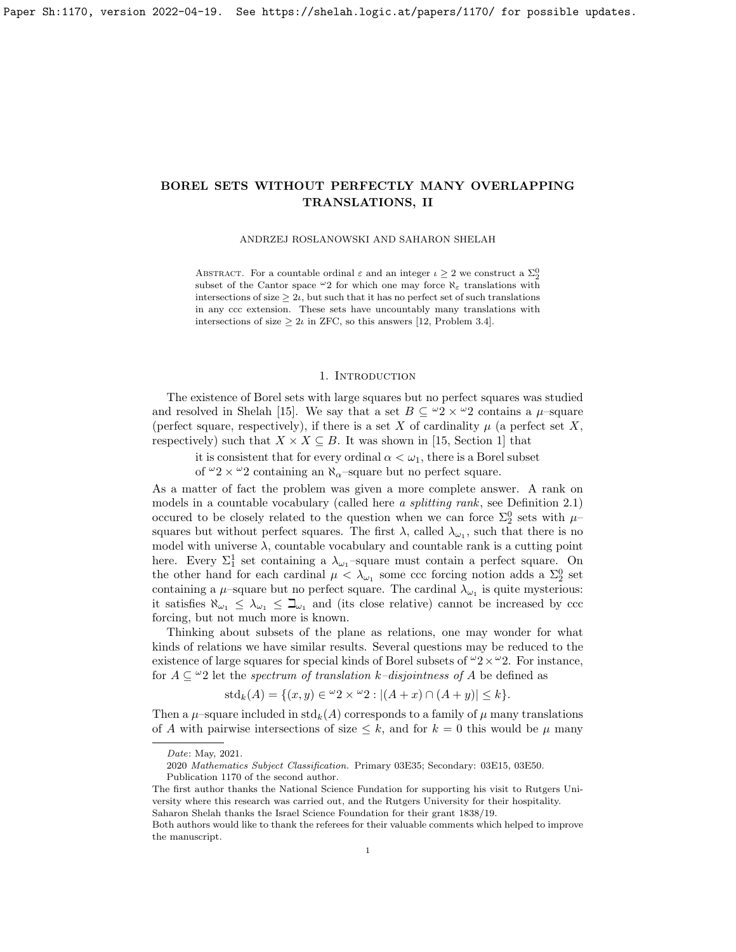ANDRZEJ ROSŁANOWSKI AND SAHARON SHELAH

ABSTRACT. For a countable ordinal  $\varepsilon$  and an integer  $\iota \geq 2$  we construct a  $\Sigma^0_2$ subset of the Cantor space  $\omega_2$  for which one may force  $\aleph_{\varepsilon}$  translations with intersections of size  $\geq 2\iota$ , but such that it has no perfect set of such translations in any ccc extension. These sets have uncountably many translations with intersections of size  $\geq 2\iota$  in ZFC, so this answers [12, Problem 3.4].

## 1. INTRODUCTION

The existence of Borel sets with large squares but no perfect squares was studied and resolved in Shelah [15]. We say that a set  $B \subseteq {}^{\omega}2 \times {}^{\omega}2$  contains a  $\mu$ -square (perfect square, respectively), if there is a set X of cardinality  $\mu$  (a perfect set X, respectively) such that  $X \times X \subseteq B$ . It was shown in [15, Section 1] that

it is consistent that for every ordinal  $\alpha < \omega_1$ , there is a Borel subset

of  $\omega_2 \times \omega_2$  containing an  $\aleph_{\alpha}$ -square but no perfect square.

As a matter of fact the problem was given a more complete answer. A rank on models in a countable vocabulary (called here a splitting rank, see Definition 2.1) occured to be closely related to the question when we can force  $\Sigma^0_2$  sets with  $\mu$ – squares but without perfect squares. The first  $\lambda$ , called  $\lambda_{\omega_1}$ , such that there is no model with universe  $\lambda$ , countable vocabulary and countable rank is a cutting point here. Every  $\Sigma_1^1$  set containing a  $\lambda_{\omega_1}$ -square must contain a perfect square. On the other hand for each cardinal  $\mu < \lambda_{\omega_1}$  some ccc forcing notion adds a  $\Sigma_2^0$  set containing a  $\mu$ -square but no perfect square. The cardinal  $\lambda_{\omega_1}$  is quite mysterious: it satisfies  $\aleph_{\omega_1} \leq \lambda_{\omega_1} \leq \beth_{\omega_1}$  and (its close relative) cannot be increased by ccc forcing, but not much more is known.

Thinking about subsets of the plane as relations, one may wonder for what kinds of relations we have similar results. Several questions may be reduced to the existence of large squares for special kinds of Borel subsets of  $\omega_2 \times \omega_2$ . For instance, for  $A \subseteq \mathcal{L}$  let the spectrum of translation k–disjointness of A be defined as

$$
std_k(A) = \{(x, y) \in {}^{\omega}2 \times {}^{\omega}2 : |(A + x) \cap (A + y)| \le k\}.
$$

Then a  $\mu$ -square included in std<sub>k</sub>(A) corresponds to a family of  $\mu$  many translations of A with pairwise intersections of size  $\leq k$ , and for  $k = 0$  this would be  $\mu$  many

Date: May, 2021.

<sup>2020</sup> Mathematics Subject Classification. Primary 03E35; Secondary: 03E15, 03E50.

Publication 1170 of the second author.

The first author thanks the National Science Fundation for supporting his visit to Rutgers University where this research was carried out, and the Rutgers University for their hospitality. Saharon Shelah thanks the Israel Science Foundation for their grant 1838/19.

Both authors would like to thank the referees for their valuable comments which helped to improve the manuscript.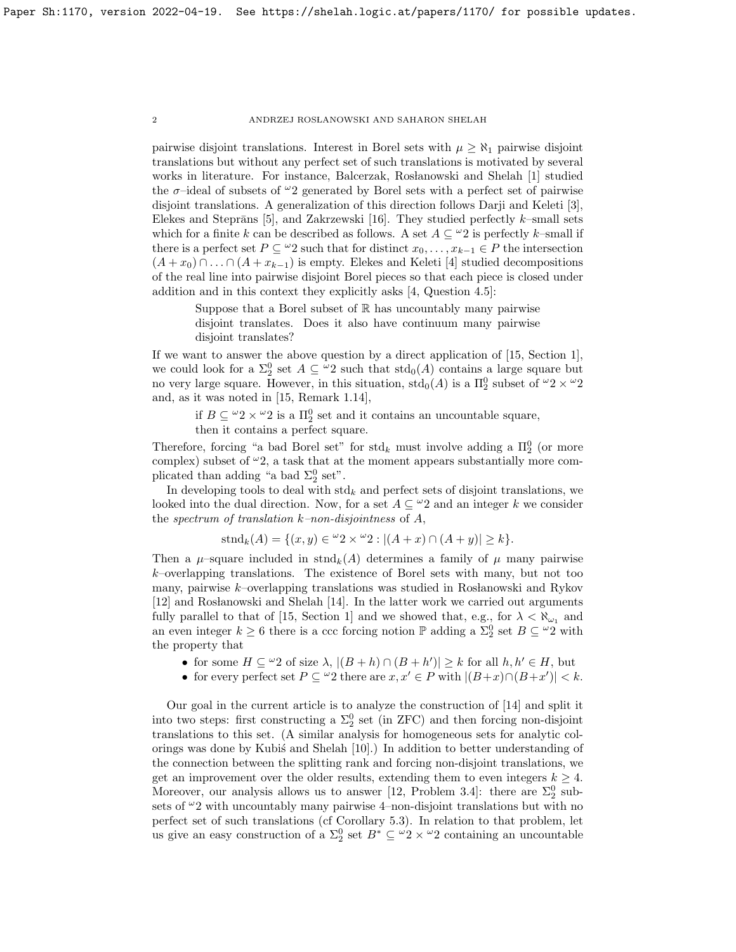pairwise disjoint translations. Interest in Borel sets with  $\mu \geq \aleph_1$  pairwise disjoint translations but without any perfect set of such translations is motivated by several works in literature. For instance, Balcerzak, Rosłanowski and Shelah [1] studied the  $\sigma$ -ideal of subsets of  $\omega_2$  generated by Borel sets with a perfect set of pairwise disjoint translations. A generalization of this direction follows Darji and Keleti [3], Elekes and Steprāns [5], and Zakrzewski [16]. They studied perfectly  $k$ –small sets which for a finite k can be described as follows. A set  $A \subseteq \mathcal{Q}$  is perfectly k–small if there is a perfect set  $P \subseteq \omega_2$  such that for distinct  $x_0, \ldots, x_{k-1} \in P$  the intersection  $(A + x_0) \cap ... \cap (A + x_{k-1})$  is empty. Elekes and Keleti [4] studied decompositions of the real line into pairwise disjoint Borel pieces so that each piece is closed under addition and in this context they explicitly asks [4, Question 4.5]:

Suppose that a Borel subset of  $\mathbb R$  has uncountably many pairwise disjoint translates. Does it also have continuum many pairwise disjoint translates?

If we want to answer the above question by a direct application of [15, Section 1], we could look for a  $\Sigma_2^0$  set  $A \subseteq \mathcal{L}_2$  such that  $\mathrm{std}_0(A)$  contains a large square but no very large square. However, in this situation,  $\text{std}_0(A)$  is a  $\Pi_2^0$  subset of  $\omega_2 \times \omega_2$ and, as it was noted in [15, Remark 1.14],

if  $B \subseteq {}^{\omega}2 \times {}^{\omega}2$  is a  $\Pi_2^0$  set and it contains an uncountable square,

then it contains a perfect square.

Therefore, forcing "a bad Borel set" for  $\text{std}_k$  must involve adding a  $\Pi_2^0$  (or more complex) subset of  $\omega_2$ , a task that at the moment appears substantially more complicated than adding "a bad  $\Sigma_2^0$  set".

In developing tools to deal with  $\text{std}_k$  and perfect sets of disjoint translations, we looked into the dual direction. Now, for a set  $A \subseteq \mathcal{L}2$  and an integer k we consider the spectrum of translation  $k$ –non-disjointness of  $A$ ,

$$
stnd_k(A) = \{(x, y) \in {}^{\omega}2 \times {}^{\omega}2 : |(A+x) \cap (A+y)| \ge k\}.
$$

Then a  $\mu$ –square included in stnd<sub>k</sub>(A) determines a family of  $\mu$  many pairwise  $k$ –overlapping translations. The existence of Borel sets with many, but not too many, pairwise  $k$ -overlapping translations was studied in Roslanowski and Rykov [12] and Rosłanowski and Shelah [14]. In the latter work we carried out arguments fully parallel to that of [15, Section 1] and we showed that, e.g., for  $\lambda < \aleph_{\omega_1}$  and an even integer  $k \geq 6$  there is a ccc forcing notion  $\mathbb P$  adding a  $\Sigma^0_2$  set  $B \subseteq {}^{\omega}2$  with the property that

- for some  $H \subseteq \omega_2$  of size  $\lambda$ ,  $|(B+h) \cap (B+h')| \geq k$  for all  $h, h' \in H$ , but
- for every perfect set  $P \subseteq \omega$ 2 there are  $x, x' \in P$  with  $|(B+x) \cap (B+x')| < k$ .

Our goal in the current article is to analyze the construction of [14] and split it into two steps: first constructing a  $\Sigma^0_2$  set (in ZFC) and then forcing non-disjoint translations to this set. (A similar analysis for homogeneous sets for analytic colorings was done by Kubis and Shelah  $[10]$ .) In addition to better understanding of the connection between the splitting rank and forcing non-disjoint translations, we get an improvement over the older results, extending them to even integers  $k \geq 4$ . Moreover, our analysis allows us to answer [12, Problem 3.4]: there are  $\Sigma^0_2$  subsets of  $\omega_2$  with uncountably many pairwise 4–non-disjoint translations but with no perfect set of such translations (cf Corollary 5.3). In relation to that problem, let us give an easy construction of a  $\Sigma_2^0$  set  $B^* \subseteq {}^{\omega}2 \times {}^{\omega}2$  containing an uncountable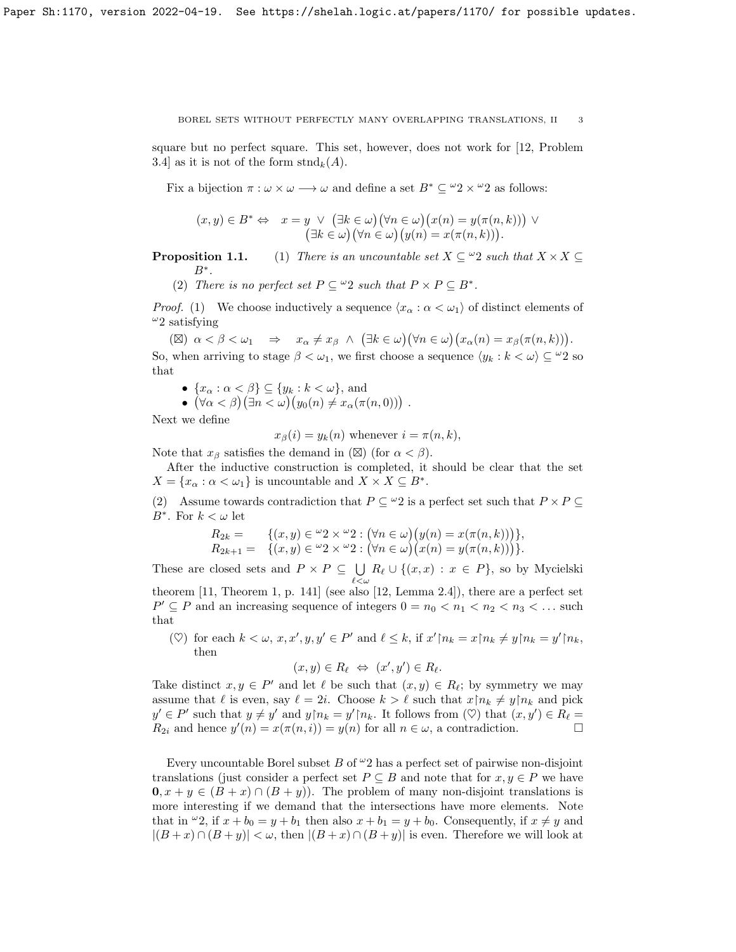square but no perfect square. This set, however, does not work for [12, Problem 3.4] as it is not of the form  $\text{stnd}_k(A)$ .

Fix a bijection  $\pi : \omega \times \omega \longrightarrow \omega$  and define a set  $B^* \subseteq {}^{\omega}2 \times {}^{\omega}2$  as follows:

$$
(x, y) \in B^* \Leftrightarrow x = y \lor (\exists k \in \omega)(\forall n \in \omega)(x(n) = y(\pi(n, k))) \lor (\exists k \in \omega)(\forall n \in \omega)(y(n) = x(\pi(n, k))).
$$

**Proposition 1.1.** (1) There is an uncountable set  $X \subseteq \mathcal{L}$  and that  $X \times X \subseteq$  $B^*$ .

(2) There is no perfect set  $P \subseteq \omega_2$  such that  $P \times P \subseteq B^*$ .

*Proof.* (1) We choose inductively a sequence  $\langle x_{\alpha} : \alpha < \omega_1 \rangle$  of distinct elements of  $^{\omega}2$  satisfying

(⊠)  $\alpha < \beta < \omega_1 \Rightarrow x_\alpha \neq x_\beta \land (\exists k \in \omega)(\forall n \in \omega)(x_\alpha(n) = x_\beta(\pi(n,k))).$ So, when arriving to stage  $\beta < \omega_1$ , we first choose a sequence  $\langle y_k : k < \omega \rangle \subseteq \omega_2$  so that

- $\{x_\alpha : \alpha < \beta\} \subseteq \{y_k : k < \omega\}$ , and
- $(\forall \alpha < \beta)(\exists n < \omega)(y_0(n) \neq x_\alpha(\pi(n, 0)))$ .

Next we define

 $x_\beta(i) = y_k(n)$  whenever  $i = \pi(n, k)$ ,

Note that  $x_{\beta}$  satisfies the demand in ( $\boxtimes$ ) (for  $\alpha < \beta$ ).

After the inductive construction is completed, it should be clear that the set  $X = \{x_{\alpha} : \alpha < \omega_1\}$  is uncountable and  $X \times X \subseteq B^*$ .

(2) Assume towards contradiction that  $P \subseteq {}^{\omega}2$  is a perfect set such that  $P \times P \subseteq$ B<sup>∗</sup>. For  $k < \omega$  let

$$
R_{2k} = \{(x, y) \in \omega_2 \times \omega_2 : (\forall n \in \omega) (y(n) = x(\pi(n, k)))\},
$$
  
\n
$$
R_{2k+1} = \{(x, y) \in \omega_2 \times \omega_2 : (\forall n \in \omega) (x(n) = y(\pi(n, k)))\}.
$$

These are closed sets and  $P \times P \subseteq \bigcup$  $\bigcup_{\ell < \omega} R_{\ell} \cup \{(x, x) : x \in P\}$ , so by Mycielski theorem [11, Theorem 1, p. 141] (see also [12, Lemma 2.4]), there are a perfect set  $P' \subseteq P$  and an increasing sequence of integers  $0 = n_0 < n_1 < n_2 < n_3 < \dots$  such

that ( $\heartsuit$ ) for each  $k < \omega$ ,  $x, x', y, y' \in P'$  and  $\ell \leq k$ , if  $x' \upharpoonright n_k = x \upharpoonright n_k \neq y \upharpoonright n_k = y' \upharpoonright n_k$ ,

then

$$
(x,y)\in R_{\ell} \iff (x',y')\in R_{\ell}.
$$

Take distinct  $x, y \in P'$  and let  $\ell$  be such that  $(x, y) \in R_{\ell}$ ; by symmetry we may assume that  $\ell$  is even, say  $\ell = 2i$ . Choose  $k > \ell$  such that  $x \nvert n_k \neq y \nvert n_k$  and pick  $y' \in P'$  such that  $y \neq y'$  and  $y \upharpoonright n_k = y' \upharpoonright n_k$ . It follows from  $(\heartsuit)$  that  $(x, y') \in R_\ell =$  $R_{2i}$  and hence  $y'(n) = x(\pi(n, i)) = y(n)$  for all  $n \in \omega$ , a contradiction.

Every uncountable Borel subset B of  $\omega_2$  has a perfect set of pairwise non-disjoint translations (just consider a perfect set  $P \subseteq B$  and note that for  $x, y \in P$  we have  $\mathbf{0}, x + y \in (B + x) \cap (B + y)$ . The problem of many non-disjoint translations is more interesting if we demand that the intersections have more elements. Note that in  $\omega_2$ , if  $x + b_0 = y + b_1$  then also  $x + b_1 = y + b_0$ . Consequently, if  $x \neq y$  and  $|(B+x) \cap (B+y)| < \omega$ , then  $|(B+x) \cap (B+y)|$  is even. Therefore we will look at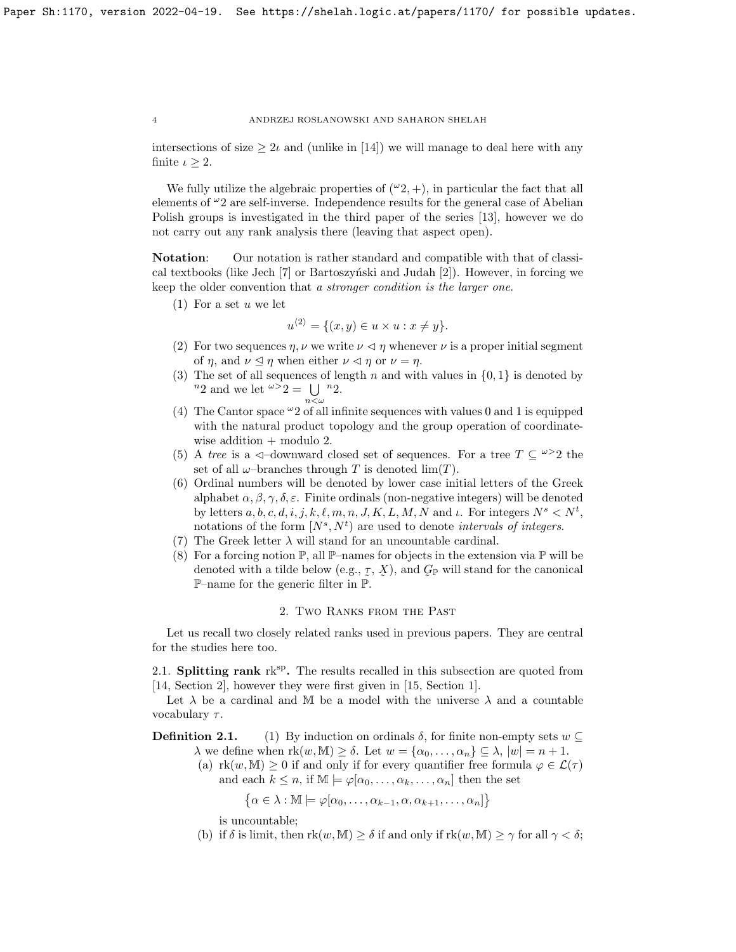intersections of size  $\geq 2\iota$  and (unlike in [14]) we will manage to deal here with any finite  $\iota \geq 2$ .

We fully utilize the algebraic properties of  $({}^{\omega}2, +)$ , in particular the fact that all elements of  $\omega_2$  are self-inverse. Independence results for the general case of Abelian Polish groups is investigated in the third paper of the series [13], however we do not carry out any rank analysis there (leaving that aspect open).

Notation: Our notation is rather standard and compatible with that of classical textbooks (like Jech  $[7]$  or Bartoszyński and Judah  $[2]$ ). However, in forcing we keep the older convention that a stronger condition is the larger one.

 $(1)$  For a set u we let

$$
u^{\langle 2 \rangle} = \{ (x, y) \in u \times u : x \neq y \}.
$$

- (2) For two sequences  $\eta$ ,  $\nu$  we write  $\nu \leq \eta$  whenever  $\nu$  is a proper initial segment of  $\eta$ , and  $\nu \leq \eta$  when either  $\nu \leq \eta$  or  $\nu = \eta$ .
- (3) The set of all sequences of length n and with values in  $\{0, 1\}$  is denoted by  $n_2$  and we let  $\omega > 2 = \bigcup_{n_2} n_2$ .  $n<\omega$
- (4) The Cantor space  $\omega_2$  of all infinite sequences with values 0 and 1 is equipped with the natural product topology and the group operation of coordinatewise addition  $+$  modulo 2.
- (5) A tree is a  $\triangleleft$ -downward closed set of sequences. For a tree  $T \subseteq \omega > 2$  the set of all  $\omega$ -branches through T is denoted  $\lim(T)$ .
- (6) Ordinal numbers will be denoted by lower case initial letters of the Greek alphabet  $\alpha, \beta, \gamma, \delta, \varepsilon$ . Finite ordinals (non-negative integers) will be denoted by letters  $a, b, c, d, i, j, k, \ell, m, n, J, K, L, M, N$  and  $\iota$ . For integers  $N^s \lt N^t$ , notations of the form  $[N^s, N^t)$  are used to denote *intervals of integers*.
- (7) The Greek letter  $\lambda$  will stand for an uncountable cardinal.
- (8) For a forcing notion  $\mathbb{P}$ , all  $\mathbb{P}-$ names for objects in the extension via  $\mathbb{P}$  will be denoted with a tilde below (e.g.,  $\mathcal{I}, \mathcal{X}$ ), and  $\mathcal{G}_{\mathbb{P}}$  will stand for the canonical  $\mathbb{P}_{\text{op}}$  are for the generic filter in  $\mathbb{P}$ **P**–name for the generic filter in  $\mathbb{P}$ .

### 2. Two Ranks from the Past

Let us recall two closely related ranks used in previous papers. They are central for the studies here too.

2.1. Splitting rank  $rk^{sp}$ . The results recalled in this subsection are quoted from [14, Section 2], however they were first given in [15, Section 1].

Let  $\lambda$  be a cardinal and M be a model with the universe  $\lambda$  and a countable vocabulary  $\tau$ .

**Definition 2.1.** (1) By induction on ordinals  $\delta$ , for finite non-empty sets  $w \subset$  $\lambda$  we define when  $rk(w, M) \geq \delta$ . Let  $w = {\alpha_0, \ldots, \alpha_n} \subseteq \lambda$ ,  $|w| = n + 1$ .

(a)  $rk(w, M) \geq 0$  if and only if for every quantifier free formula  $\varphi \in \mathcal{L}(\tau)$ and each  $k \leq n$ , if  $\mathbb{M} \models \varphi[\alpha_0, \ldots, \alpha_k, \ldots, \alpha_n]$  then the set

 $\{\alpha \in \lambda : \mathbb{M} \models \varphi[\alpha_0, \ldots, \alpha_{k-1}, \alpha, \alpha_{k+1}, \ldots, \alpha_n]\}$ 

is uncountable;

(b) if  $\delta$  is limit, then  $rk(w, M) \geq \delta$  if and only if  $rk(w, M) \geq \gamma$  for all  $\gamma < \delta$ ;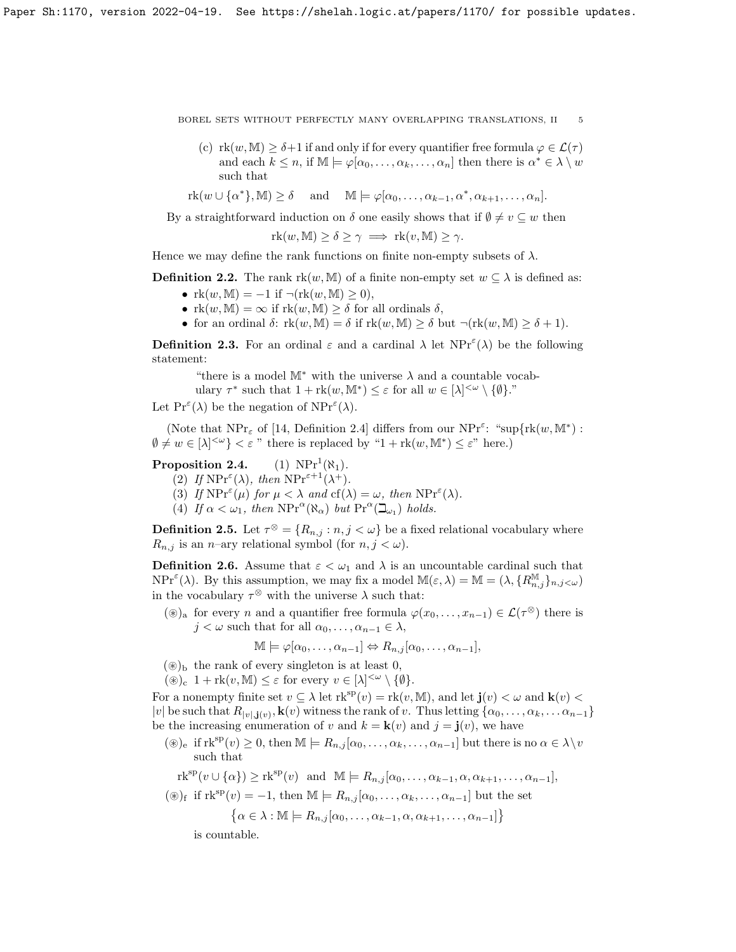- (c)  $\text{rk}(w, \mathbb{M}) > \delta+1$  if and only if for every quantifier free formula  $\varphi \in \mathcal{L}(\tau)$ and each  $k \leq n$ , if  $\mathbb{M} \models \varphi[\alpha_0, \dots, \alpha_k, \dots, \alpha_n]$  then there is  $\alpha^* \in \lambda \setminus w$ such that
- $rk(w \cup {\alpha^*}, \mathbb{M}) \geq \delta$  and  $\mathbb{M} \models \varphi[\alpha_0, \ldots, \alpha_{k-1}, \alpha^*, \alpha_{k+1}, \ldots, \alpha_n].$

By a straightforward induction on  $\delta$  one easily shows that if  $\emptyset \neq v \subseteq w$  then

 $rk(w, M) \ge \delta \ge \gamma \implies rk(v, M) \ge \gamma.$ 

Hence we may define the rank functions on finite non-empty subsets of  $\lambda$ .

**Definition 2.2.** The rank  $\text{rk}(w, \mathbb{M})$  of a finite non-empty set  $w \subseteq \lambda$  is defined as:

- $rk(w, M) = -1$  if  $\neg (rk(w, M) \geq 0)$ ,
- $rk(w, M) = \infty$  if  $rk(w, M) \geq \delta$  for all ordinals  $\delta$ ,
- for an ordinal  $\delta$ :  $\text{rk}(w, \mathbb{M}) = \delta$  if  $\text{rk}(w, \mathbb{M}) \geq \delta$  but  $\neg(\text{rk}(w, \mathbb{M}) \geq \delta + 1)$ .

**Definition 2.3.** For an ordinal  $\varepsilon$  and a cardinal  $\lambda$  let  $NPr^{\varepsilon}(\lambda)$  be the following statement:

"there is a model  $\mathbb{M}^*$  with the universe  $\lambda$  and a countable vocab-

ulary  $\tau^*$  such that  $1 + \mathrm{rk}(w, \mathbb{M}^*) \leq \varepsilon$  for all  $w \in [\lambda]^{<\omega} \setminus \{\emptyset\}$ ."

Let  $\Pr^{\varepsilon}(\lambda)$  be the negation of  $\operatorname{NPr}^{\varepsilon}(\lambda)$ .

(Note that  $NPr_{\varepsilon}$  of [14, Definition 2.4] differs from our  $NPr^{\varepsilon}$ : "sup $\{rk(w, \mathbb{M}^*)$ :  $\emptyset \neq w \in [\lambda]^{<\omega}\} < \varepsilon$ " there is replaced by "1 + rk(w, M\*)  $\leq \varepsilon$ " here.)

#### Proposition 2.4. (1)  $NPr^1(\aleph_1)$ .

- (2) If  $NPr^{\epsilon}(\lambda)$ , then  $NPr^{\epsilon+1}(\lambda^+)$ .
- (3) If  $\text{NPr}^{\varepsilon}(\mu)$  for  $\mu < \lambda$  and  $cf(\lambda) = \omega$ , then  $\text{NPr}^{\varepsilon}(\lambda)$ .
- (4) If  $\alpha < \omega_1$ , then  $NPr^{\alpha}(\aleph_{\alpha})$  but  $Pr^{\alpha}(\beth_{\omega_1})$  holds.

**Definition 2.5.** Let  $\tau^{\otimes} = \{R_{n,j} : n, j < \omega\}$  be a fixed relational vocabulary where  $R_{n,j}$  is an *n*–ary relational symbol (for  $n, j < \omega$ ).

**Definition 2.6.** Assume that  $\varepsilon < \omega_1$  and  $\lambda$  is an uncountable cardinal such that  $NPr^{\varepsilon}(\lambda)$ . By this assumption, we may fix a model  $\mathbb{M}(\varepsilon,\lambda) = \mathbb{M} = (\lambda, \{R_{n,j}^{\mathbb{M}}\}_{n,j < \omega})$ in the vocabulary  $\tau^{\otimes}$  with the universe  $\lambda$  such that:

(⊛)<sub>a</sub> for every *n* and a quantifier free formula  $\varphi(x_0, \ldots, x_{n-1}) \in \mathcal{L}(\tau^{\otimes})$  there is  $j < \omega$  such that for all  $\alpha_0, \ldots, \alpha_{n-1} \in \lambda$ ,

$$
\mathbb{M} \models \varphi[\alpha_0, \dots, \alpha_{n-1}] \Leftrightarrow R_{n,j}[\alpha_0, \dots, \alpha_{n-1}],
$$

- $(\circledast)_b$  the rank of every singleton is at least 0,
- $(\circledast)_c$  1 + rk $(v, M) \leq \varepsilon$  for every  $v \in [\lambda]^{<\omega} \setminus \{\emptyset\}.$

For a nonempty finite set  $v \subseteq \lambda$  let  $\mathrm{rk}^{\mathrm{sp}}(v) = \mathrm{rk}(v, \mathbb{M})$ , and let  $\mathbf{j}(v) < \omega$  and  $\mathbf{k}(v) < \lambda$ |v| be such that  $R_{|v|,j(v)},\mathbf{k}(v)$  witness the rank of v. Thus letting  $\{\alpha_0,\ldots,\alpha_k,\ldots,\alpha_{n-1}\}$ be the increasing enumeration of v and  $k = k(v)$  and  $j = j(v)$ , we have

 $(\circledast)_e$  if  $rk^{sp}(v) \geq 0$ , then  $\mathbb{M} \models R_{n,j}[\alpha_0,\ldots,\alpha_k,\ldots,\alpha_{n-1}]$  but there is no  $\alpha \in \lambda \backslash v$ such that

 $rk^{sp}(v \cup {\alpha}) \geq rk^{sp}(v)$  and  $\mathbb{M} \models R_{n,j}[\alpha_0,\ldots,\alpha_{k-1},\alpha,\alpha_{k+1},\ldots,\alpha_{n-1}],$ 

 $(\circledast)_f$  if  $rk^{sp}(v) = -1$ , then  $\mathbb{M} \models R_{n,j}[\alpha_0,\ldots,\alpha_k,\ldots,\alpha_{n-1}]$  but the set

$$
\{\alpha \in \lambda : \mathbb{M} \models R_{n,j}[\alpha_0, \dots, \alpha_{k-1}, \alpha, \alpha_{k+1}, \dots, \alpha_{n-1}]\}
$$

is countable.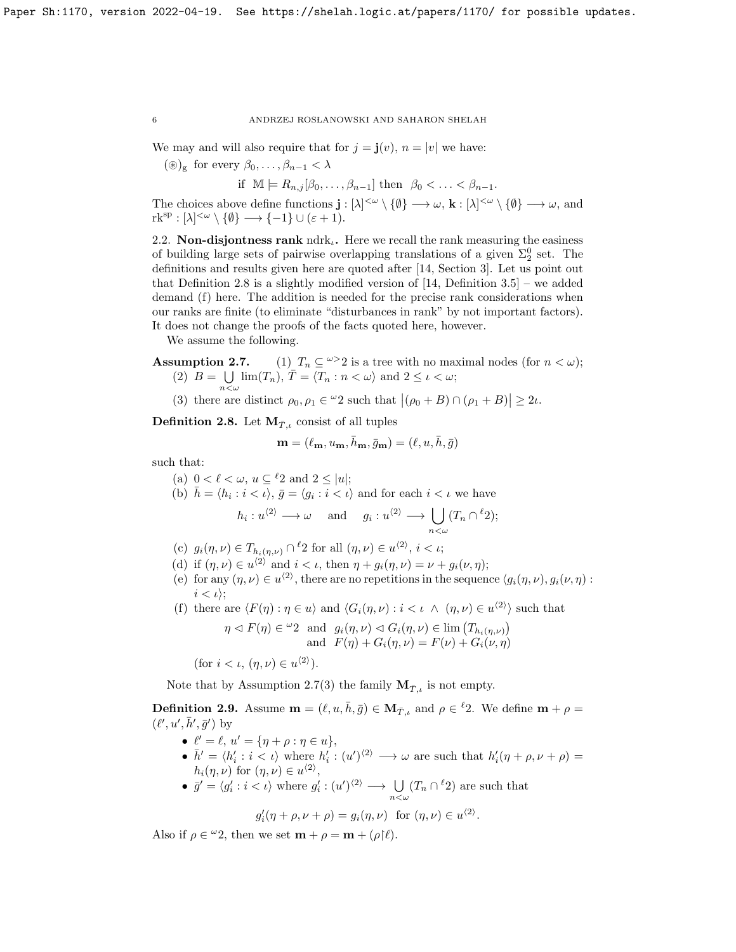We may and will also require that for  $j = \mathbf{j}(v)$ ,  $n = |v|$  we have:

 $(\circledast)_g$  for every  $\beta_0, \ldots, \beta_{n-1} < \lambda$ 

if  $\mathbb{M} \models R_{n,j}[\beta_0,\ldots,\beta_{n-1}]$  then  $\beta_0 < \ldots < \beta_{n-1}$ .

The choices above define functions  $\mathbf{j}: [\lambda]^{<\omega} \setminus \{\emptyset\} \longrightarrow \omega$ ,  $\mathbf{k}: [\lambda]^{<\omega} \setminus \{\emptyset\} \longrightarrow \omega$ , and  $\mathrm{rk}^{\mathrm{sp}} : [\lambda]^{<\omega} \setminus \{\emptyset\} \longrightarrow \{-1\} \cup (\varepsilon + 1).$ 

2.2. Non-disjontness rank ndrk<sub> $i$ </sub>. Here we recall the rank measuring the easiness of building large sets of pairwise overlapping translations of a given  $\Sigma_2^0$  set. The definitions and results given here are quoted after [14, Section 3]. Let us point out that Definition 2.8 is a slightly modified version of  $[14,$  Definition 3.5] – we added demand (f) here. The addition is needed for the precise rank considerations when our ranks are finite (to eliminate "disturbances in rank" by not important factors). It does not change the proofs of the facts quoted here, however.

We assume the following.

- **Assumption 2.7.** (1)  $T_n \subseteq \omega > 2$  is a tree with no maximal nodes (for  $n < \omega$ );  $(2)$   $B = \bigcup$  $\bigcup_{n<\omega}$  lim $(T_n)$ ,  $\overline{T} = \langle T_n : n < \omega \rangle$  and  $2 \leq \iota < \omega$ ;
	- (3) there are distinct  $\rho_0, \rho_1 \in {}^{\omega}2$  such that  $|(\rho_0 + B) \cap (\rho_1 + B)| \geq 2\iota$ .

**Definition 2.8.** Let  $M_{\bar{T},i}$  consist of all tuples

$$
\mathbf{m} = (\ell_{\mathbf{m}}, u_{\mathbf{m}}, \bar{h}_{\mathbf{m}}, \bar{g}_{\mathbf{m}}) = (\ell, u, \bar{h}, \bar{g})
$$

such that:

- (a)  $0 < \ell < \omega$ ,  $u \subseteq {}^{\ell}2$  and  $2 \le |u|$ ;
- (b)  $\bar{h} = \langle h_i : i \langle \nu \rangle, \bar{g} = \langle g_i : i \langle \nu \rangle$  and for each  $i \langle \nu \rangle$  we have

$$
h_i: u^{\langle 2 \rangle} \longrightarrow \omega
$$
 and  $g_i: u^{\langle 2 \rangle} \longrightarrow \bigcup_{n < \omega} (T_n \cap {^{\ell}2});$ 

- (c)  $g_i(\eta, \nu) \in T_{h_i(\eta, \nu)} \cap {}^{\ell}2$  for all  $(\eta, \nu) \in u^{\langle 2 \rangle}, i < \iota$ ;
- (d) if  $(\eta, \nu) \in u^{\langle 2 \rangle}$  and  $i < \iota$ , then  $\eta + g_i(\eta, \nu) = \nu + g_i(\nu, \eta)$ ;
- (e) for any  $(\eta, \nu) \in u^{\langle 2 \rangle}$ , there are no repetitions in the sequence  $\langle g_i(\eta, \nu), g_i(\nu, \eta)$ :  $i < \iota$ ;
- (f) there are  $\langle F(\eta) : \eta \in u \rangle$  and  $\langle G_i(\eta, \nu) : i \langle \iota \wedge (\eta, \nu) \in u^{\langle 2 \rangle} \rangle$  such that

$$
\eta \lhd F(\eta) \in {}^{\omega}2
$$
 and  $g_i(\eta, \nu) \lhd G_i(\eta, \nu) \in \lim (T_{h_i(\eta, \nu)})$   
and  $F(\eta) + G_i(\eta, \nu) = F(\nu) + G_i(\nu, \eta)$ 

(for  $i < \iota$ ,  $(\eta, \nu) \in u^{\langle 2 \rangle}$ ).

Note that by Assumption 2.7(3) the family  $\mathbf{M}_{\bar{T},i}$  is not empty.

**Definition 2.9.** Assume  $\mathbf{m} = (\ell, u, \bar{h}, \bar{g}) \in \mathbf{M}_{\bar{T},\iota}$  and  $\rho \in {}^{\ell}2$ . We define  $\mathbf{m} + \rho =$  $(\ell', u', \bar h', \bar g')$  by

- $\ell' = \ell, u' = {\eta + \rho : \eta \in u},$
- $\bar{h}' = \langle h'_i : i \leq \iota \rangle$  where  $h'_i : (u')^{(2)} \longrightarrow \omega$  are such that  $h'_i(\eta + \rho, \nu + \rho) =$  $h_i(\eta,\nu)$  for  $(\eta,\nu) \in u^{\langle 2 \rangle},$
- $\bar{g}' = \langle g'_i : i < \iota \rangle$  where  $g'_i : (u')^{(2)} \longrightarrow \bigcup_{n < \omega} (T_n \cap {}^{\ell}2)$  are such that

$$
g'_i(\eta + \rho, \nu + \rho) = g_i(\eta, \nu)
$$
 for  $(\eta, \nu) \in u^{\langle 2 \rangle}$ .

Also if  $\rho \in {}^{\omega}2$ , then we set  $\mathbf{m} + \rho = \mathbf{m} + (\rho \upharpoonright \ell)$ .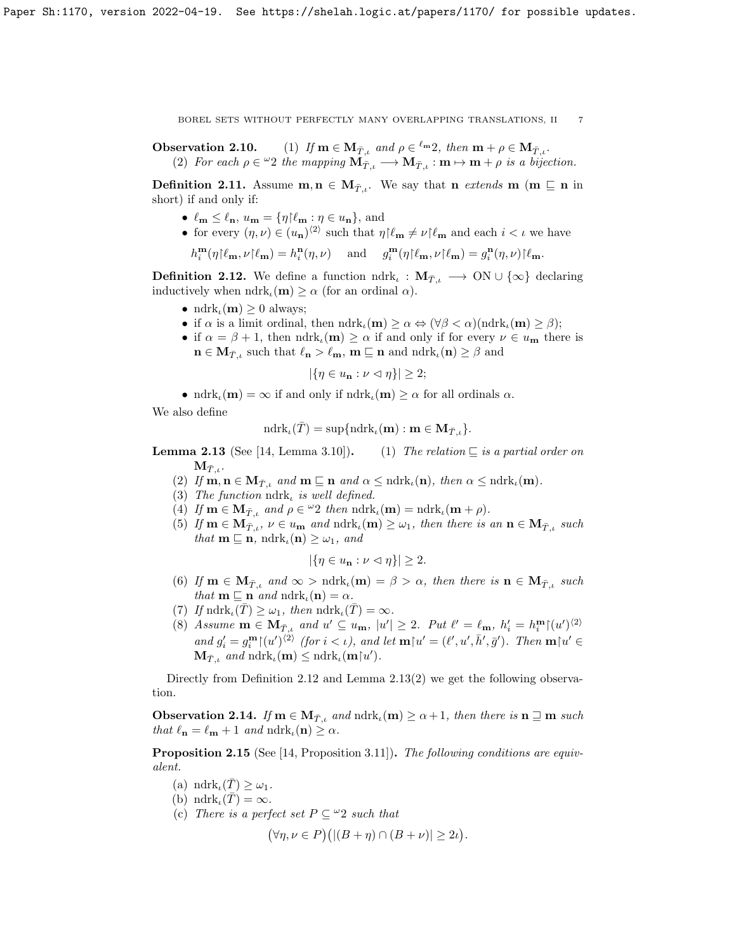**Observation 2.10.** (1) If  $\mathbf{m} \in \mathbf{M}_{\bar{T},\iota}$  and  $\rho \in \ell^m 2$ , then  $\mathbf{m} + \rho \in \mathbf{M}_{\bar{T},\iota}$ . (2) For each  $\rho \in {}^{\omega}2$  the mapping  $\mathbf{M}_{\bar{T},\iota} \longrightarrow \mathbf{M}_{\bar{T},\iota} : \mathbf{m} \mapsto \mathbf{m} + \rho$  is a bijection.

**Definition 2.11.** Assume  $\mathbf{m}, \mathbf{n} \in M_{\mathcal{T},i}$ . We say that  $\mathbf{n}$  extends  $\mathbf{m}$  ( $\mathbf{m} \subseteq \mathbf{n}$  in short) if and only if:

- $\ell_{\mathbf{m}} \leq \ell_{\mathbf{n}}, u_{\mathbf{m}} = {\eta | \ell_{\mathbf{m}} : \eta \in u_{\mathbf{n}}}, \text{ and}$
- for every  $(\eta, \nu) \in (u_{\mathbf{n}})^{\langle 2 \rangle}$  such that  $\eta | \ell_{\mathbf{m}} \neq \nu | \ell_{\mathbf{m}}$  and each  $i < \iota$  we have

$$
h^{\mathbf m}_i(\eta{\restriction}\ell_{\mathbf m},\nu{\restriction}\ell_{\mathbf m})=h^{\mathbf n}_i(\eta,\nu)\quad\text{ and }\quad g^{\mathbf m}_i(\eta{\restriction}\ell_{\mathbf m},\nu{\restriction}\ell_{\mathbf m})=g^{\mathbf n}_i(\eta,\nu){\restriction}\ell_{\mathbf m}.
$$

**Definition 2.12.** We define a function  $\text{ndrk}_\iota : \mathbf{M}_{\bar{T},\iota} \to \text{ON} \cup \{\infty\}$  declaring inductively when  $ndrk_{\iota}(\mathbf{m}) \geq \alpha$  (for an ordinal  $\alpha$ ).

- ndrk<sub> $\iota$ </sub>(**m**)  $\geq 0$  always;
- if  $\alpha$  is a limit ordinal, then  $\mathrm{ndrk}_\iota(\mathbf{m}) \geq \alpha \Leftrightarrow (\forall \beta < \alpha)(\mathrm{ndrk}_\iota(\mathbf{m}) \geq \beta);$
- if  $\alpha = \beta + 1$ , then  $\text{ndrk}_l(\mathbf{m}) \geq \alpha$  if and only if for every  $\nu \in u_{\mathbf{m}}$  there is  $\mathbf{n} \in \mathbf{M}_{\bar{T},\iota}$  such that  $\ell_{\mathbf{n}} > \ell_{\mathbf{m}}$ ,  $\mathbf{m} \sqsubseteq \mathbf{n}$  and  $\mathrm{ndrk}_{\iota}(\mathbf{n}) \geq \beta$  and

$$
|\{\eta \in u_{\mathbf{n}} : \nu \vartriangleleft \eta\}| \geq 2;
$$

• ndrk<sub>l</sub>(m) =  $\infty$  if and only if ndrk<sub>l</sub>(m)  $\geq \alpha$  for all ordinals  $\alpha$ .

We also define

$$
\mathrm{ndrk}_{\iota}(\bar{T})=\sup\{\mathrm{ndrk}_{\iota}(\mathbf{m}): \mathbf{m}\in \mathbf{M}_{\bar{T},\iota}\}.
$$

**Lemma 2.13** (See [14, Lemma 3.10]). (1) The relation  $\sqsubseteq$  is a partial order on  $M_{\bar{T}}$  .

- (2) If  $\mathbf{m}, \mathbf{n} \in \mathbf{M}_{T,\iota}$  and  $\mathbf{m} \sqsubseteq \mathbf{n}$  and  $\alpha \leq \text{ndrk}_{\iota}(\mathbf{n})$ , then  $\alpha \leq \text{ndrk}_{\iota}(\mathbf{m})$ .
- (3) The function  $\mathrm{ndrk}_t$  is well defined.
- (4) If  $\mathbf{m} \in \mathbf{M}_{\bar{T},\iota}$  and  $\rho \in {}^{\omega}2$  then  $\mathrm{ndrk}_{\iota}(\mathbf{m}) = \mathrm{ndrk}_{\iota}(\mathbf{m} + \rho)$ .
- (5) If  $\mathbf{m} \in \mathbf{M}_{\bar{T},\iota}$ ,  $\nu \in u_{\mathbf{m}}$  and  $\text{ndrk}_{\iota}(\mathbf{m}) \geq \omega_1$ , then there is an  $\mathbf{n} \in \mathbf{M}_{\bar{T},\iota}$  such that  $\mathbf{m} \sqsubseteq \mathbf{n}$ ,  $\text{ndrk}_\iota(\mathbf{n}) \geq \omega_1$ , and

$$
|\{\eta \in u_{\mathbf{n}} : \nu \vartriangleleft \eta\}| \geq 2.
$$

- (6) If  $\mathbf{m} \in \mathbf{M}_{\bar{T},i}$  and  $\infty > \text{ndrk}_i(\mathbf{m}) = \beta > \alpha$ , then there is  $\mathbf{n} \in \mathbf{M}_{\bar{T},i}$  such that  $\mathbf{m} \sqsubseteq \mathbf{n}$  and  $\mathrm{ndrk}_\iota(\mathbf{n}) = \alpha$ .
- (7) If  $\mathrm{ndrk}_\iota(\bar{T}) \geq \omega_1$ , then  $\mathrm{ndrk}_\iota(\bar{T}) = \infty$ .
- (8) Assume  $\mathbf{m} \in \mathbf{M}_{\bar{T},\iota}$  and  $u' \subseteq u_{\mathbf{m}}$ ,  $|u'| \geq 2$ . Put  $\ell' = \ell_{\mathbf{m}}$ ,  $h'_i = h_i^{\mathbf{m}} |(u')^{(2)}$ and  $g_i' = g_i^{\mathbf{m}}[(u')^{(2)} \text{ (for } i < \iota)$ , and let  $\mathbf{m}[u' = (\ell', u', \bar{h}', \bar{g}'])$ . Then  $\mathbf{m}[u' \in$  $\mathbf{M}_{\bar{T},\iota}$  and  $\mathrm{ndrk}_{\iota}(\mathbf{m}) \leq \mathrm{ndrk}_{\iota}(\mathbf{m} \upharpoonright u').$

Directly from Definition 2.12 and Lemma 2.13(2) we get the following observation.

**Observation 2.14.** If  $m \in M_{\bar{T},\iota}$  and  $\text{ndrk}_{\iota}(m) \ge \alpha + 1$ , then there is  $n \sqsupseteq m$  such that  $\ell_{\mathbf{n}} = \ell_{\mathbf{m}} + 1$  and  $\mathrm{ndrk}_\iota(\mathbf{n}) \geq \alpha$ .

Proposition 2.15 (See [14, Proposition 3.11]). The following conditions are equivalent.

- (a)  $\mathrm{ndrk}_{\iota}(\overline{T}) \geq \omega_1$ .
- (b)  $\mathrm{ndrk}_{\iota}(\overline{T}) = \infty$ .
- (c) There is a perfect set  $P \subseteq {}^{\omega}2$  such that

$$
(\forall \eta, \nu \in P) \left( |(B + \eta) \cap (B + \nu)| \ge 2\iota \right).
$$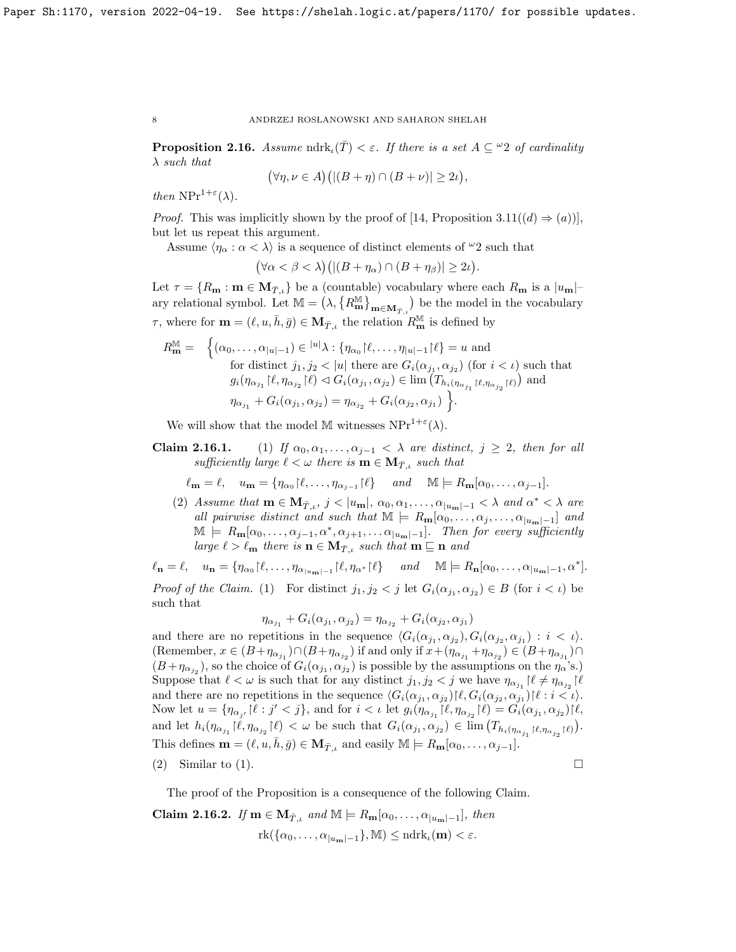**Proposition 2.16.** Assume ndrk<sub>l</sub>(T) <  $\varepsilon$ . If there is a set  $A \subseteq \mathcal{Q}$  of cardinality λ such that

$$
(\forall \eta, \nu \in A) \big( |(B + \eta) \cap (B + \nu)| \ge 2\iota \big),
$$

then  $NPr^{1+\varepsilon}(\lambda)$ .

*Proof.* This was implicitly shown by the proof of [14, Proposition 3.11( $(d) \Rightarrow (a)$ )], but let us repeat this argument.

Assume  $\langle \eta_\alpha : \alpha < \lambda \rangle$  is a sequence of distinct elements of  $\omega_2$  such that

$$
(\forall \alpha < \beta < \lambda)(|(B + \eta_{\alpha}) \cap (B + \eta_{\beta})| \ge 2\iota).
$$

Let  $\tau = \{R_{\bf m} : {\bf m} \in {\bf M}_{T,\iota}\}\$ be a (countable) vocabulary where each  $R_{\bf m}$  is a  $|u_{\bf m}|$ ary relational symbol. Let  $\mathbb{M} = (\lambda, \{R_{\mathbf{m}}^{\mathbb{M}}\}_{\mathbf{m}\in\mathbf{M}_{T,\iota}})$  be the model in the vocabulary  $\tau$ , where for  $\mathbf{m} = (\ell, u, \bar{h}, \bar{g}) \in \mathbf{M}_{\bar{T},\iota}$  the relation  $R_{\mathbf{m}}^{\mathbb{M}}$  is defined by

$$
R_{\mathbf{m}}^{\mathbb{M}} = \begin{cases} (\alpha_0, \dots, \alpha_{|u|-1}) \in {}^{|u|}\lambda : \{\eta_{\alpha_0} \upharpoonright \ell, \dots, \eta_{|u|-1} \upharpoonright \ell\} = u \text{ and} \\ \text{for distinct } j_1, j_2 < |u| \text{ there are } G_i(\alpha_{j_1}, \alpha_{j_2}) \text{ (for } i < \iota) \text{ such that} \\ g_i(\eta_{\alpha_{j_1}} \upharpoonright \ell, \eta_{\alpha_{j_2}} \upharpoonright \ell) \vartriangleleft G_i(\alpha_{j_1}, \alpha_{j_2}) \in \lim (T_{h_i(\eta_{\alpha_{j_1}} \upharpoonright \ell, \eta_{\alpha_{j_2}} \upharpoonright \ell)}) \text{ and} \\ \eta_{\alpha_{j_1}} + G_i(\alpha_{j_1}, \alpha_{j_2}) = \eta_{\alpha_{j_2}} + G_i(\alpha_{j_2}, \alpha_{j_1}) \end{cases}.
$$

We will show that the model M witnesses  $NPr^{1+\epsilon}(\lambda)$ .

Claim 2.16.1. (1) If  $\alpha_0, \alpha_1, \ldots, \alpha_{j-1} < \lambda$  are distinct,  $j \geq 2$ , then for all sufficiently large  $\ell < \omega$  there is  $\mathbf{m} \in \mathbf{M}_{T,\iota}$  such that

$$
\ell_{\mathbf{m}} = \ell, \quad u_{\mathbf{m}} = \{ \eta_{\alpha_0} | \ell, \dots, \eta_{\alpha_{j-1}} | \ell \} \quad \text{and} \quad \mathbb{M} \models R_{\mathbf{m}}[\alpha_0, \dots, \alpha_{j-1}].
$$

(2) Assume that  $\mathbf{m} \in \mathbf{M}_{\bar{T},\iota}$ ,  $j < |u_{\mathbf{m}}|$ ,  $\alpha_0, \alpha_1, \ldots, \alpha_{|u_{\mathbf{m}}|-1} < \lambda$  and  $\alpha^* < \lambda$  are all pairwise distinct and such that  $\mathbb{M} \models R_{\mathbf{m}}[\alpha_0, \ldots, \alpha_j, \ldots, \alpha_{|u_{\mathbf{m}}|-1}]$  and  $\mathbb{M} \models R_{\mathbf{m}}[\alpha_0,\ldots,\alpha_{j-1},\alpha^*,\alpha_{j+1},\ldots,\alpha_{|u_{\mathbf{m}}|-1}].$  Then for every sufficiently large  $\ell > \ell_m$  there is  $\mathbf{n} \in \mathbf{M}_{T,\iota}$  such that  $\mathbf{m} \sqsubseteq \mathbf{n}$  and

 $\ell_{\mathbf{n}} = \ell, \quad u_{\mathbf{n}} = {\eta_{\alpha_0} | \ell, \ldots, \eta_{\alpha_{|u_{\mathbf{m}}|-1}} | \ell, \eta_{\alpha^*} | \ell} \quad and \quad M \models R_{\mathbf{n}}[\alpha_0, \ldots, \alpha_{|u_{\mathbf{m}}|-1}, \alpha^*].$ *Proof of the Claim.* (1) For distinct  $j_1, j_2 < j$  let  $G_i(\alpha_{j_1}, \alpha_{j_2}) \in B$  (for  $i < \iota$ ) be

such that

$$
\eta_{\alpha_{j_1}} + G_i(\alpha_{j_1}, \alpha_{j_2}) = \eta_{\alpha_{j_2}} + G_i(\alpha_{j_2}, \alpha_{j_1})
$$

and there are no repetitions in the sequence  $\langle G_i(\alpha_{j_1}, \alpha_{j_2}), G_i(\alpha_{j_2}, \alpha_{j_1}) : i < \iota \rangle$ . (Remember,  $x \in (B + \eta_{\alpha_{j_1}}) \cap (B + \eta_{\alpha_{j_2}})$  if and only if  $x + (\eta_{\alpha_{j_1}} + \eta_{\alpha_{j_2}}) \in (B + \eta_{\alpha_{j_1}}) \cap$  $(B+\eta_{\alpha_{j_2}})$ , so the choice of  $G_i(\alpha_{j_1}, \alpha_{j_2})$  is possible by the assumptions on the  $\eta_\alpha$ 's.) Suppose that  $\ell < \omega$  is such that for any distinct  $j_1, j_2 < j$  we have  $\eta_{\alpha_{j_1}}$   $\lbrack \ell \neq \eta_{\alpha_{j_2}} \rbrack \ell$ and there are no repetitions in the sequence  $\langle G_i(\alpha_{j_1}, \alpha_{j_2}) | \ell, G_i(\alpha_{j_2}, \alpha_{j_1}) | \ell : i < \iota$ . Now let  $u = \{\eta_{\alpha_{j'}} | \ell : j' < j\}$ , and for  $i < \iota$  let  $g_i(\eta_{\alpha_{j_1}} | \ell, \eta_{\alpha_{j_2}} | \ell) = G_i(\alpha_{j_1}, \alpha_{j_2}) | \ell$ , and let  $h_i(\eta_{\alpha_{j_1}}|\ell, \eta_{\alpha_{j_2}}|\ell) < \omega$  be such that  $G_i(\alpha_{j_1}, \alpha_{j_2}) \in \lim_{i \to \infty} (T_{h_i(\eta_{\alpha_{j_1}}|\ell, \eta_{\alpha_{j_2}}|\ell)}).$ This defines  $\mathbf{m} = (\ell, u, \bar{h}, \bar{g}) \in \mathbf{M}_{\bar{T},\iota}$  and easily  $\mathbb{M} \models R_{\mathbf{m}}[\alpha_0, \ldots, \alpha_{j-1}].$ 

(2) Similar to (1).

The proof of the Proposition is a consequence of the following Claim.

Claim 2.16.2. If  $\mathbf{m} \in \mathbf{M}_{\bar{T},\iota}$  and  $\mathbb{M} \models R_{\mathbf{m}}[\alpha_0,\ldots,\alpha_{|u_{\mathbf{m}}|-1}],$  then  $rk({{\alpha_0}, \ldots, {\alpha_{|u_m|-1}}}, \mathbb{M}) \leq ndrk_{\iota}(\mathbf{m}) < \varepsilon.$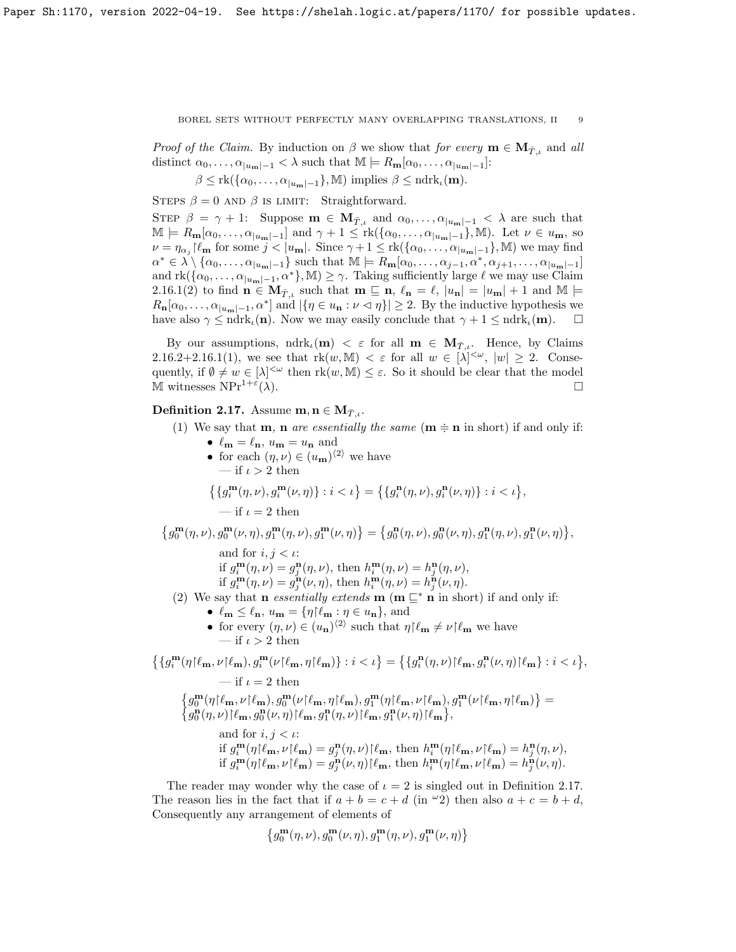*Proof of the Claim.* By induction on  $\beta$  we show that for every  $\mathbf{m} \in \mathbf{M}_{T}$ , and all distinct  $\alpha_0, \ldots, \alpha_{|u_m|-1} < \lambda$  such that  $\mathbb{M} \models R_{\mathbf{m}}[\alpha_0, \ldots, \alpha_{|u_m|-1}]$ :

 $\beta \leq \text{rk}(\{\alpha_0,\ldots,\alpha_{|u_m|-1}\},\mathbb{M})$  implies  $\beta \leq \text{ndrk}_\iota(\mathbf{m})$ .

STEPS  $\beta = 0$  AND  $\beta$  is LIMIT: Straightforward.

STEP  $\beta = \gamma + 1$ : Suppose  $\mathbf{m} \in \mathbf{M}_{\bar{T},\iota}$  and  $\alpha_0, \ldots, \alpha_{|u_{\mathbf{m}}|-1} < \lambda$  are such that  $\mathbb{M} \models R_{\mathbf{m}}[\alpha_0,\ldots,\alpha_{|u_{\mathbf{m}}|-1}]$  and  $\gamma+1 \leq \mathrm{rk}(\{\alpha_0,\ldots,\alpha_{|u_{\mathbf{m}}|-1}\},\mathbb{M})$ . Let  $\nu \in u_{\mathbf{m}}$ , so  $\nu = \eta_{\alpha_j} \left[ \ell_{\mathbf{m}} \right]$  for some  $j < |u_{\mathbf{m}}|$ . Since  $\gamma + 1 \leq \text{rk}(\{\alpha_0, \ldots, \alpha_{|u_{\mathbf{m}}|-1}\}, \mathbb{M})$  we may find  $\alpha^* \in \lambda \setminus \{ \alpha_0, \ldots, \alpha_{|u_m|-1} \}$  such that  $\mathbb{M} \models R_{m}[\alpha_0, \ldots, \alpha_{j-1}, \alpha^*, \alpha_{j+1}, \ldots, \alpha_{|u_m|-1}]$ and  $\mathrm{rk}(\{\alpha_0,\ldots,\alpha_{|u_m|-1},\alpha^*\},\mathbb{M})\geq \gamma$ . Taking sufficiently large  $\ell$  we may use Claim 2.16.1(2) to find  $\mathbf{n} \in \mathbf{M}_{T,\iota}$  such that  $\mathbf{m} \subseteq \mathbf{n}, \ell_{\mathbf{n}} = \ell, |u_{\mathbf{n}}| = |u_{\mathbf{m}}| + 1$  and  $\mathbb{M} \models$  $R_{\mathbf{n}}[\alpha_0,\ldots,\alpha_{|u_{\mathbf{m}}|-1},\alpha^*]$  and  $|\{\eta \in u_{\mathbf{n}} : \nu \leq \eta\}| \geq 2$ . By the inductive hypothesis we have also  $\gamma \leq \text{ndrk}_\iota(\mathbf{n})$ . Now we may easily conclude that  $\gamma + 1 \leq \text{ndrk}_\iota(\mathbf{m})$ .

By our assumptions,  $ndrk_k(m) < \varepsilon$  for all  $m \in M_{\overline{T},\iota}$ . Hence, by Claims 2.16.2+2.16.1(1), we see that  $\mathrm{rk}(w,\mathbb{M}) < \varepsilon$  for all  $w \in |\lambda|^{<\omega}$ ,  $|w| \geq 2$ . Consequently, if  $\emptyset \neq w \in [\lambda]^{<\omega}$  then  $rk(w, M) \leq \varepsilon$ . So it should be clear that the model M witnesses  $NPr^{1+\epsilon}(\lambda)$ .  $(\lambda)$ .

## **Definition 2.17.** Assume  $\mathbf{m}, \mathbf{n} \in \mathbf{M}_{\bar{T},i}$ .

- (1) We say that **m**, **n** are essentially the same  $(m \doteq \mathbf{n} \text{ in short})$  if and only if:
	- $\ell_{\mathbf{m}} = \ell_{\mathbf{n}}, u_{\mathbf{m}} = u_{\mathbf{n}}$  and • for each  $(\eta, \nu) \in (u_{\mathbf{m}})^{\langle 2 \rangle}$  we have — if  $\iota > 2$  then

$$
\left\{\left\{g_i^{\mathbf{m}}(\eta,\nu),g_i^{\mathbf{m}}(\nu,\eta)\right\} : i < \iota\right\} = \left\{\left\{g_i^{\mathbf{n}}(\eta,\nu),g_i^{\mathbf{n}}(\nu,\eta)\right\} : i < \iota\right\},\
$$
  
— if  $\iota = 2$  then

 $\left\{g^{\mathbf{m}}_{0}(\eta, \nu), g^{\mathbf{m}}_{0}(\nu, \eta), g^{\mathbf{m}}_{1}(\eta, \nu), g^{\mathbf{m}}_{1}(\nu, \eta)\right\} = \left\{g^{\mathbf{n}}_{0}(\eta, \nu), g^{\mathbf{n}}_{0}(\nu, \eta), g^{\mathbf{n}}_{1}(\eta, \nu), g^{\mathbf{n}}_{1}(\nu, \eta)\right\},$ 

and for  $i, j < \iota$ : if  $g_i^{\mathbf{m}}(\eta,\nu) = g_j^{\mathbf{n}}(\eta,\nu)$ , then  $h_i^{\mathbf{m}}(\eta,\nu) = h_j^{\mathbf{n}}(\eta,\nu)$ ,

if  $g_i^{\mathbf{m}}(\eta,\nu) = g_j^{\mathbf{n}}(\nu,\eta)$ , then  $h_i^{\mathbf{m}}(\eta,\nu) = h_j^{\mathbf{n}}(\nu,\eta)$ .

- (2) We say that **n** essentially extends **m** (**m**  $\subseteq^*$  **n** in short) if and only if:
	- $\ell_{\mathbf{m}} \leq \ell_{\mathbf{n}}, u_{\mathbf{m}} = {\eta | \ell_{\mathbf{m}} : \eta \in u_{\mathbf{n}}}, \text{ and}$
	- for every  $(\eta, \nu) \in (u_{\mathbf{n}})^{\langle 2 \rangle}$  such that  $\eta | \ell_{\mathbf{m}} \neq \nu | \ell_{\mathbf{m}}$  we have — if  $\iota > 2$  then

$$
\begin{split} \left\{\{g_i^{\mathbf{m}}(\eta)\ell_{\mathbf{m}},\nu\!\upharpoonright\!\ell_{\mathbf{m}}),g_i^{\mathbf{m}}(\nu\!\upharpoonright\!\ell_{\mathbf{m}},\eta\!\upharpoonright\!\ell_{\mathbf{m}})\right\}:i<\iota\big\} &= \left\{\{g_i^{\mathbf{n}}(\eta,\nu)\!\upharpoonright\!\ell_{\mathbf{m}},g_i^{\mathbf{n}}(\nu,\eta)\!\upharpoonright\!\ell_{\mathbf{m}}\right\}:i<\iota\big\},\\ &\qquad\qquad-\text{if }\iota=2\text{ then}\\ \left\{g_0^{\mathbf{m}}(\eta\!\upharpoonright\!\ell_{\mathbf{m}},\nu\!\upharpoonright\!\ell_{\mathbf{m}}),g_0^{\mathbf{m}}(\nu\!\upharpoonright\!\ell_{\mathbf{m}},\eta\!\upharpoonright\!\ell_{\mathbf{m}}),g_1^{\mathbf{m}}(\eta\!\upharpoonright\!\ell_{\mathbf{m}},\nu\!\upharpoonright\!\ell_{\mathbf{m}}),g_1^{\mathbf{m}}(\nu\!\upharpoonright\!\ell_{\mathbf{m}},\eta\!\upharpoonright\!\ell_{\mathbf{m}})\right\} &=\\ \left\{g_0^{\mathbf{n}}(\eta,\nu)\!\upharpoonright\!\ell_{\mathbf{m}},g_0^{\mathbf{n}}(\nu,\eta)\!\upharpoonright\!\ell_{\mathbf{m}},g_1^{\mathbf{n}}(\eta,\nu)\!\upharpoonright\!\ell_{\mathbf{m}},g_1^{\mathbf{n}}(\nu,\eta)\!\upharpoonright\!\ell_{\mathbf{m}}\right\},\\ &\qquad\qquad\text{and for }i,j<\iota:\\ \text{if }g_i^{\mathbf{m}}(\eta\!\upharpoonright\!\ell_{\mathbf{m}},\nu\!\upharpoonright\!\ell_{\mathbf{m}}) &=g_j^{\mathbf{n}}(\eta,\nu)\!\upharpoonright\!\ell_{\mathbf{m}},\text{ then }h_i^{\mathbf{m}}(\eta\!\upharpoonright\!\ell_{\mathbf{m}},\nu\!\upharpoonright\!\ell_{\mathbf{m}}) =h_j^{\mathbf{n}}(\nu,\nu),\\ \text{if }g_i^{\mathbf{m}}(\eta\!\upharpoonright\!\ell_{\mathbf{m}},\nu\!\upharpoonright\!\ell_{\mathbf{m}}) &=g_j^{\mathbf{n}}(\nu,\eta)\!\up
$$

The reader may wonder why the case of  $\iota = 2$  is singled out in Definition 2.17. The reason lies in the fact that if  $a + b = c + d$  (in  $\omega_2$ ) then also  $a + c = b + d$ , Consequently any arrangement of elements of

$$
\left\{g_0^{\mathbf m}(\eta,\nu),g_0^{\mathbf m}(\nu,\eta),g_1^{\mathbf m}(\eta,\nu),g_1^{\mathbf m}(\nu,\eta)\right\}
$$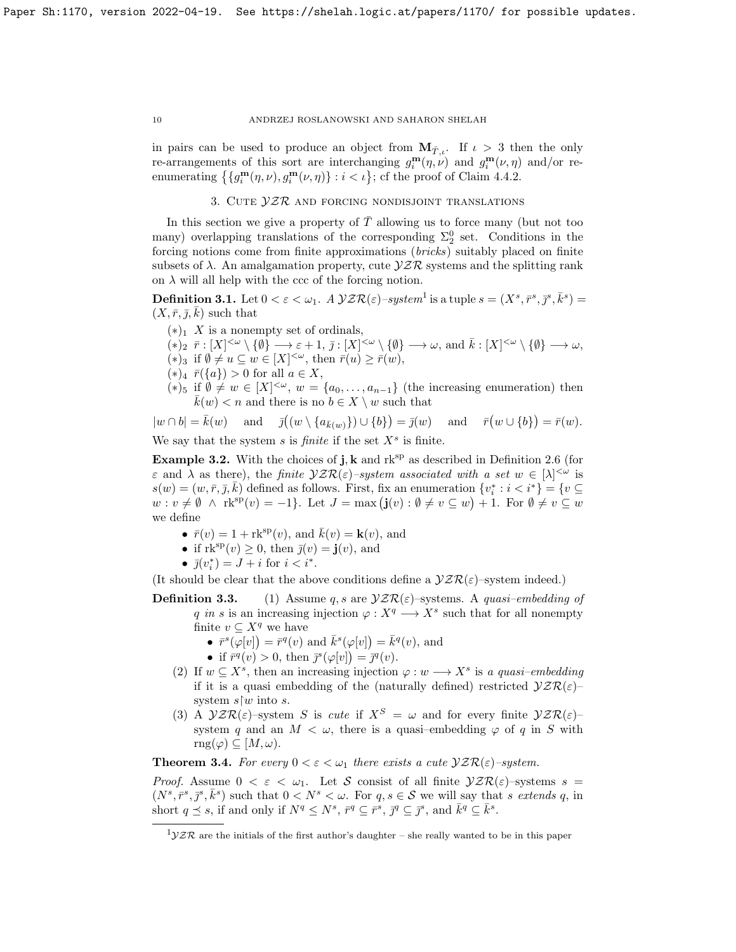in pairs can be used to produce an object from  $\mathbf{M}_{T,\iota}$ . If  $\iota > 3$  then the only re-arrangements of this sort are interchanging  $g_i^{\mathbf{m}}(\eta, \nu)$  and  $g_i^{\mathbf{m}}(\nu, \eta)$  and/or reenumerating  $\{g_i^{\mathbf{m}}(\eta,\nu), g_i^{\mathbf{m}}(\nu,\eta)\}$ :  $i < \iota\}$ ; cf the proof of Claim 4.4.2.

## 3. CUTE  $yzR$  and forcing nondisjoint translations

In this section we give a property of  $\overline{T}$  allowing us to force many (but not too many) overlapping translations of the corresponding  $\Sigma_2^0$  set. Conditions in the forcing notions come from finite approximations (bricks) suitably placed on finite subsets of  $\lambda$ . An amalgamation property, cute  $\mathcal{YZR}$  systems and the splitting rank on  $\lambda$  will all help with the ccc of the forcing notion.

**Definition 3.1.** Let  $0 < \varepsilon < \omega_1$ . A  $\mathcal{VZR}(\varepsilon)$ -system<sup>1</sup> is a tuple  $s = (X^s, \bar{r}^s, \bar{p}^s, \bar{k}^s)$  $(X, \bar{r}, \bar{j}, \bar{k})$  such that

- $(*)_1$  X is a nonempty set of ordinals,
- $(*)_2 \ \bar{r}: [X]^{<\omega} \setminus {\emptyset} \longrightarrow \varepsilon + 1, \ \bar{\jmath}: [X]^{<\omega} \setminus {\emptyset} \longrightarrow \omega, \text{ and } \bar{k}: [X]^{<\omega} \setminus {\emptyset} \longrightarrow \omega,$
- (\*)<sub>3</sub> if  $\emptyset \neq u \subseteq w \in [X]^{<\omega}$ , then  $\bar{r}(u) \geq \bar{r}(w)$ ,
- $(*)_4 \bar{r}(\{a\}) > 0$  for all  $a \in X$ ,
- (\*)<sub>5</sub> if  $\emptyset \neq w \in [X]^{<\omega}$ ,  $w = \{a_0, \ldots, a_{n-1}\}$  (the increasing enumeration) then  $\bar{k}(w) < n$  and there is no  $b \in X \setminus w$  such that

 $|w \cap b| = \overline{k}(w)$  and  $\overline{j}((w \setminus \{a_{\overline{k}(w)}\}) \cup \{b\})$  $= \bar{j}(w)$  and  $\bar{r}(w \cup \{b\}) = \bar{r}(w)$ .

We say that the system  $s$  is *finite* if the set  $X^s$  is finite.

**Example 3.2.** With the choices of **j**, **k** and  $rk^{sp}$  as described in Definition 2.6 (for  $\varepsilon$  and  $\lambda$  as there), the finite  $\mathcal{YZR}(\varepsilon)$ -system associated with a set  $w \in [\lambda]^{<\omega}$  is  $s(w) = (w, \bar{r}, \bar{j}, \bar{k})$  defined as follows. First, fix an enumeration  $\{v_i^* : i < i^*\} = \{v \subseteq$  $w: v \neq \emptyset \ \land \ \text{rk}^{\text{sp}}(v) = -1\}.$  Let  $J = \max(\mathbf{j}(v): \emptyset \neq v \subseteq w) + 1.$  For  $\emptyset \neq v \subseteq w$ we define

- $\bar{r}(v) = 1 + \text{rk}^{\text{sp}}(v)$ , and  $\bar{k}(v) = k(v)$ , and
- if  $\text{rk}^{\text{sp}}(v) \geq 0$ , then  $\bar{j}(v) = \mathbf{j}(v)$ , and
- $\bar{j}(v_i^*) = J + i$  for  $i < i^*$ .

(It should be clear that the above conditions define a  $\mathcal{YZR}(\varepsilon)$ -system indeed.)

- **Definition 3.3.** (1) Assume q, s are  $\mathcal{YZR}(\varepsilon)$ -systems. A quasi-embedding of q in s is an increasing injection  $\varphi: X^q \longrightarrow X^s$  such that for all nonempty finite  $v \subseteq X^q$  we have
	- $\overline{r}^s(\overline{\varphi}[v]) = \overline{r}^q(v)$  and  $\overline{k}^s(\varphi[v]) = \overline{k}^q(v)$ , and
	- if  $\bar{r}^q(v) > 0$ , then  $\bar{j}^s(\varphi[v]) = \bar{j}^q(v)$ .
	- (2) If  $w \subseteq X^s$ , then an increasing injection  $\varphi : w \longrightarrow X^s$  is a quasi-embedding if it is a quasi embedding of the (naturally defined) restricted  $\mathcal{YZR}(\varepsilon)$ system  $s/w$  into s.
	- (3) A  $\mathcal{YZR}(\varepsilon)$ -system S is cute if  $X^S = \omega$  and for every finite  $\mathcal{YZR}(\varepsilon)$ system q and an  $M < \omega$ , there is a quasi-embedding  $\varphi$  of q in S with  $\text{rng}(\varphi) \subseteq [M, \omega).$

**Theorem 3.4.** For every  $0 < \varepsilon < \omega_1$  there exists a cute  $\mathcal{VZR}(\varepsilon)$ -system.

*Proof.* Assume  $0 < \varepsilon < \omega_1$ . Let S consist of all finite  $\mathcal{YZR}(\varepsilon)$ -systems  $s =$  $(N^s, \overline{r}^s, \overline{j}^s, \overline{k}^s)$  such that  $0 < N^s < \omega$ . For  $q, s \in \mathcal{S}$  we will say that s extends q, in short  $q \leq s$ , if and only if  $N^q \leq N^s$ ,  $\bar{r}^q \subseteq \bar{r}^s$ ,  $\bar{j}^q \subseteq \bar{j}^s$ , and  $\bar{k}^q \subseteq \bar{k}^s$ .

 $1VZR$  are the initials of the first author's daughter – she really wanted to be in this paper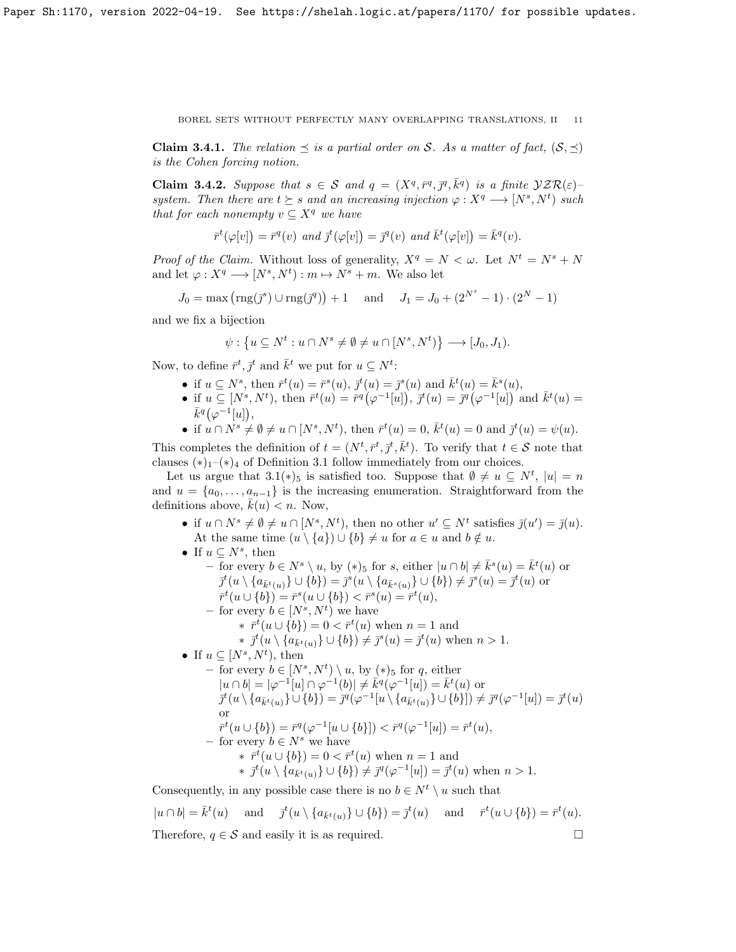**Claim 3.4.1.** The relation  $\prec$  is a partial order on S. As a matter of fact,  $(S, \prec)$ is the Cohen forcing notion.

Claim 3.4.2. Suppose that  $s \in S$  and  $q = (X^q, \bar{r}^q, \bar{y}^q, \bar{k}^q)$  is a finite  $\mathcal{VZR}(\varepsilon)$ system. Then there are  $t \succeq s$  and an increasing injection  $\varphi : X^q \longrightarrow [N^s, N^t)$  such that for each nonempty  $v \subseteq X^q$  we have

$$
\bar{r}^t(\varphi[v]) = \bar{r}^q(v) \text{ and } \bar{j}^t(\varphi[v]) = \bar{j}^q(v) \text{ and } \bar{k}^t(\varphi[v]) = \bar{k}^q(v).
$$

*Proof of the Claim.* Without loss of generality,  $X^q = N < \omega$ . Let  $N^t = N^s + N$ and let  $\varphi: X^q \longrightarrow [N^s, N^t) : m \mapsto N^s + m$ . We also let

$$
J_0 = \max(\text{rng}(\bar{\jmath}^s) \cup \text{rng}(\bar{\jmath}^q)) + 1 \quad \text{ and } \quad J_1 = J_0 + (2^{N^s} - 1) \cdot (2^N - 1)
$$

and we fix a bijection

$$
\psi: \left\{ u \subseteq N^t : u \cap N^s \neq \emptyset \neq u \cap [N^s, N^t] \right\} \longrightarrow [J_0, J_1).
$$

Now, to define  $\bar{r}^t, \bar{j}^t$  and  $\bar{k}^t$  we put for  $u \subseteq N^t$ :

- if  $u \subseteq N^s$ , then  $\bar{r}^t(u) = \bar{r}^s(u)$ ,  $\bar{j}^t(u) = \bar{j}^s(u)$  and  $\bar{k}^t(u) = \bar{k}^s(u)$ ,
- if  $u \subseteq [N^s, N^t)$ , then  $\bar{r}^t(u) = \bar{r}^q(\varphi^{-1}[u]), \ \bar{j}^t(u) = \bar{j}^q(\varphi^{-1}[u])$  and  $\bar{k}^t(u) =$  $\bar{k}^q(\varphi^{-1}[u]),$
- if  $u \cap N^s \neq \emptyset \neq u \cap [N^s, N^t)$ , then  $\bar{r}^t(u) = 0$ ,  $\bar{k}^t(u) = 0$  and  $\bar{j}^t(u) = \psi(u)$ .

This completes the definition of  $t = (N^t, \bar{r}^t, \bar{j}^t, \bar{k}^t)$ . To verify that  $t \in S$  note that clauses  $(*)_1$ – $(*)_4$  of Definition 3.1 follow immediately from our choices.

Let us argue that  $3.1(*)_5$  is satisfied too. Suppose that  $\emptyset \neq u \subseteq N^t$ ,  $|u| = n$ and  $u = \{a_0, \ldots, a_{n-1}\}\$ is the increasing enumeration. Straightforward from the definitions above,  $k(u) < n$ . Now,

- if  $u \cap N^s \neq \emptyset \neq u \cap [N^s, N^t)$ , then no other  $u' \subseteq N^t$  satisfies  $\bar{j}(u') = \bar{j}(u)$ . At the same time  $(u \setminus \{a\}) \cup \{b\} \neq u$  for  $a \in u$  and  $b \notin u$ .
- If  $u \subseteq N^s$ , then
	- for every  $b \in N^s \setminus u$ , by  $(*)_5$  for s, either  $|u \cap b| \neq \bar{k}^s(u) = \bar{k}^t(u)$  or  $\bar{j}^t(u \setminus \{a_{\bar{k}^t(u)}\} \cup \{b\}) = \bar{j}^s(u \setminus \{a_{\bar{k}^s(u)}\} \cup \{b\}) \neq \bar{j}^s(u) = \bar{j}^t(u)$  or  $\bar{r}^t(u \cup \{b\}) = \bar{r}^s(u \cup \{b\}) < \bar{r}^s(u) = \bar{r}^t(u),$ 
		- for every  $b \in [N^s, N^t)$  we have
			- \*  $\bar{r}^t(u \cup \{b\}) = 0 < \bar{r}^t(u)$  when  $n = 1$  and

\* 
$$
\bar{j}^t(u \setminus \{a_{\bar{k}^t(u)}\} \cup \{b\}) \neq \bar{j}^s(u) = \bar{j}^t(u)
$$
 when  $n > 1$ .

- If  $u \subseteq [N^s, N^t)$ , then
	- − for every  $b \in [N^s, N^t) \setminus u$ , by  $(*)_5$  for q, either  $|u \cap b| = |\varphi^{-1}[u] \cap \varphi^{-1}(b)| \neq \overline{k}^q(\varphi^{-1}[u]) = \overline{k}^t(u)$  or  $\bar{g}^t(u \setminus \{a_{\bar{k}^t(u)}\} \cup \{b\}) = \bar{g}^q(\varphi^{-1}[u \setminus \{a_{\bar{k}^t(u)}\} \cup \{b\}]) \neq \bar{g}^q(\varphi^{-1}[u]) = \bar{g}^t(u)$ or  $\bar{r}^t(u \cup \{b\}) = \bar{r}^q(\varphi^{-1}[u \cup \{b\}]) < \bar{r}^q(\varphi^{-1}[u]) = \bar{r}^t(u),$ – for every  $b \in N^s$  we have \*  $\bar{r}^t(u \cup \{b\}) = 0 < \bar{r}^t(u)$  when  $n = 1$  and
		- \*  $\bar{j}^t(u \setminus \{a_{\bar{k}^t(u)}\} \cup \{b\}) \neq \bar{j}^q(\varphi^{-1}[u]) = \bar{j}^t(u)$  when  $n > 1$ .
		-

Consequently, in any possible case there is no  $b \in N^t \setminus u$  such that

$$
|u \cap b| = \bar{k}^t(u) \quad \text{and} \quad \bar{j}^t(u \setminus \{a_{\bar{k}^t(u)}\} \cup \{b\}) = \bar{j}^t(u) \quad \text{and} \quad \bar{r}^t(u \cup \{b\}) = \bar{r}^t(u).
$$
  
Therefore,  $q \in \mathcal{S}$  and easily it is as required.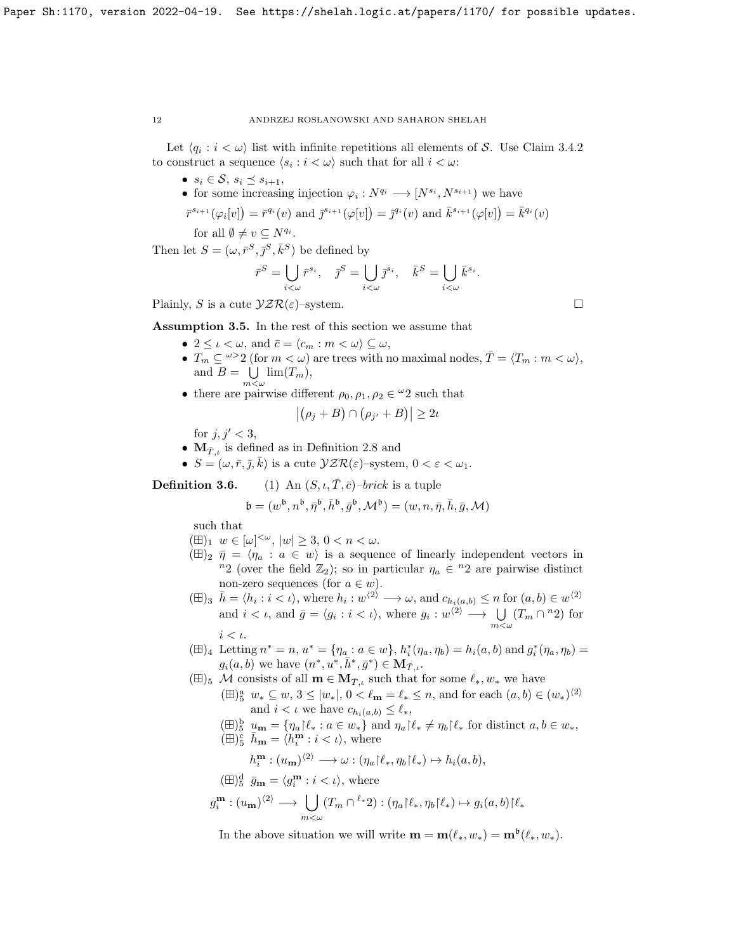Let  $\langle q_i : i < \omega \rangle$  list with infinite repetitions all elements of S. Use Claim 3.4.2 to construct a sequence  $\langle s_i : i \langle \omega \rangle$  such that for all  $i \langle \omega :$ 

•  $s_i \in \mathcal{S}, s_i \preceq s_{i+1},$ 

• for some increasing injection 
$$
\varphi_i: N^{q_i} \longrightarrow [N^{s_i}, N^{s_{i+1}})
$$
 we have

$$
\bar{r}^{s_{i+1}}(\varphi_i[v]) = \bar{r}^{q_i}(v) \text{ and } \bar{\jmath}^{s_{i+1}}(\varphi[v]) = \bar{\jmath}^{q_i}(v) \text{ and } \bar{k}^{s_{i+1}}(\varphi[v]) = \bar{k}^{q_i}(v)
$$

for all  $\emptyset \neq v \subseteq N^{q_i}$ .

Then let  $S = (\omega, \bar{r}^S, \bar{j}^S, \bar{k}^S)$  be defined by

$$
\bar{r}^S = \bigcup_{i < \omega} \bar{r}^{s_i}, \quad \bar{\jmath}^S = \bigcup_{i < \omega} \bar{\jmath}^{s_i}, \quad \bar{k}^S = \bigcup_{i < \omega} \bar{k}^{s_i}.
$$

Plainly, S is a cute  $\mathcal{YZR}(\varepsilon)$ -system.

Assumption 3.5. In the rest of this section we assume that

- $2 \leq \iota < \omega$ , and  $\bar{c} = \langle c_m : m < \omega \rangle \subseteq \omega$ ,
- $T_m \subseteq \omega > 2$  (for  $m < \omega$ ) are trees with no maximal nodes,  $\overline{T} = \langle T_m : m < \omega \rangle$ , and  $B = \bigcup \lim(T_m),$  $m<\omega$
- there are pairwise different  $\rho_0, \rho_1, \rho_2 \in \mathcal{Q}$  such that

$$
|(\rho_j + B) \cap (\rho_{j'} + B)| \ge 2\iota
$$

for  $j, j' < 3$ ,

- $M_{\bar{T},i}$  is defined as in Definition 2.8 and
- $S = (\omega, \bar{r}, \bar{j}, \bar{k})$  is a cute  $\mathcal{YZR}(\varepsilon)$ -system,  $0 < \varepsilon < \omega_1$ .

**Definition 3.6.** (1) An  $(S, \iota, T, \bar{c})$ –*brick* is a tuple

$$
\mathfrak{b} = (w^{\mathfrak{b}}, n^{\mathfrak{b}}, \bar{\eta}^{\mathfrak{b}}, \bar{h}^{\mathfrak{b}}, \bar{g}^{\mathfrak{b}}, \mathcal{M}^{\mathfrak{b}}) = (w, n, \bar{\eta}, \bar{h}, \bar{g}, \mathcal{M})
$$

such that

- $(\boxplus)_1 \ w \in [\omega]^{<\omega}, \ |w| \geq 3, \ 0 < n < \omega.$
- $(\boxplus)_2 \ \bar{\eta} = \langle \eta_a : a \in w \rangle$  is a sequence of linearly independent vectors in <sup>n</sup>2 (over the field  $\mathbb{Z}_2$ ); so in particular  $\eta_a \in {}^n2$  are pairwise distinct non-zero sequences (for  $a \in w$ ).
- $(\boxplus)_{3}$   $\bar{h} = \langle h_i : i \langle \iota \rangle$ , where  $h_i : w^{\langle 2 \rangle} \longrightarrow \omega$ , and  $c_{h_i(a,b)} \leq n$  for  $(a,b) \in w^{\langle 2 \rangle}$ and  $i < \iota$ , and  $\bar{g} = \langle g_i : i < \iota \rangle$ , where  $g_i : w^{\langle 2 \rangle} \longrightarrow \bigcup_{m < \omega} (T_m \cap {}^n2)$  for  $i < \iota$ .
- $(\boxplus)_4$  Letting  $n^* = n$ ,  $u^* = \{\eta_a : a \in w\}$ ,  $h_i^*(\eta_a, \eta_b) = h_i(a, b)$  and  $g_i^*(\eta_a, \eta_b) =$  $g_i(a, b)$  we have  $(n^*, u^*, \bar{h}^*, \bar{g}^*) \in M_{\bar{T}, \iota}$ .
- $(\boxplus)_5$  M consists of all  $\mathbf{m} \in \mathbf{M}_{\bar{T},\iota}$  such that for some  $\ell_*, w_*$  we have
	- $(\boxplus)^{\text{a}}_{5} w_* \subseteq w, 3 \leq |w_*|, 0 < \ell_{\mathbf{m}} = \ell_* \leq n$ , and for each  $(a, b) \in (w_*)^{\langle 2 \rangle}$ and  $i < \iota$  we have  $c_{h_i(a,b)} \leq \ell_*,$
	- $(\boxplus)^{\mathsf{b}}_{5} \underline{u}_{\mathbf{m}} = \{\eta_a | \ell_* : a \in w_*\}$  and  $\eta_a | \ell_* \neq \eta_b | \ell_*$  for distinct  $a, b \in w_*$ ,  $(\boxplus)^{\rm c}_{\rm 5}$   $\overline{h}_{\rm m} = \langle h^{\rm m}_i : i < \iota \rangle$ , where

$$
h_i^{\mathbf{m}}: (u_{\mathbf{m}})^{\langle 2 \rangle} \longrightarrow \omega: (\eta_a \upharpoonright \ell_*, \eta_b \upharpoonright \ell_*) \mapsto h_i(a, b),
$$

$$
\begin{aligned} (\boxplus)^{\text{d}}_{5} \ \bar{g}_{\mathbf{m}} &= \langle g_i^{\mathbf{m}} : i < \iota \rangle \text{, where} \\ g_i^{\mathbf{m}} : (u_{\mathbf{m}})^{\langle 2 \rangle} &\longrightarrow \bigcup_{m < \omega} (T_m \cap {}^{\ell_*} 2) : (\eta_a \upharpoonright \ell_*, \eta_b \upharpoonright \ell_*) \mapsto g_i(a, b) \upharpoonright \ell_* \end{aligned}
$$

In the above situation we will write  $\mathbf{m} = \mathbf{m}(\ell_*, w_*) = \mathbf{m}^{\mathfrak{b}}(\ell_*, w_*).$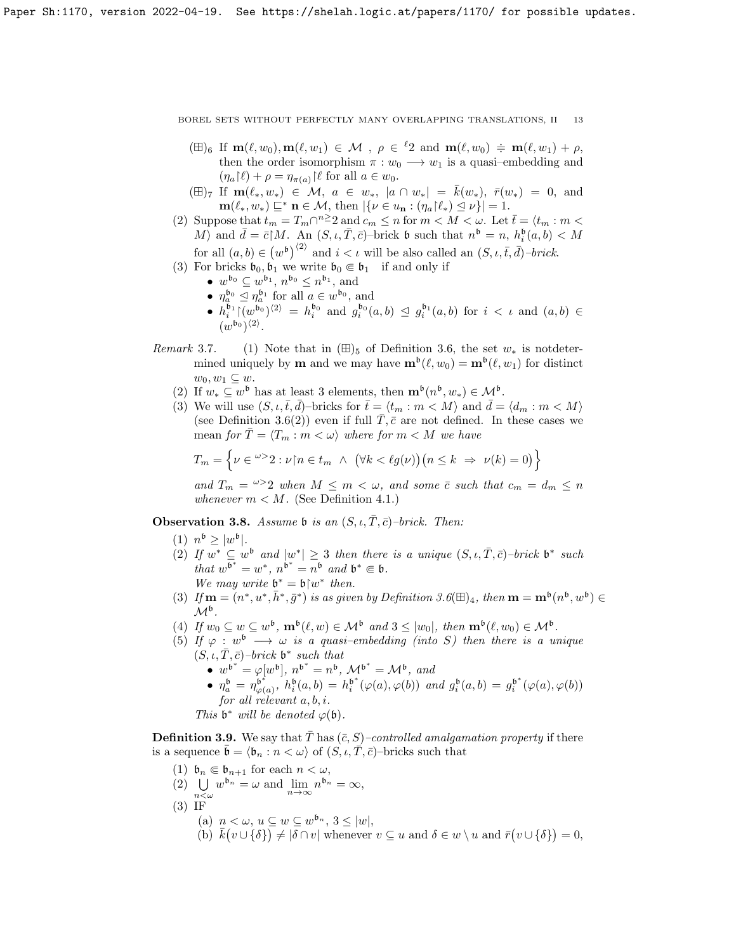- $(\boxplus)_6$  If  $m(\ell, w_0), m(\ell, w_1) \in \mathcal{M}$ ,  $\rho \in {}^{\ell_2}$  and  $m(\ell, w_0) \doteqdot m(\ell, w_1) + \rho$ , then the order isomorphism  $\pi : w_0 \longrightarrow w_1$  is a quasi-embedding and  $(\eta_a(\ell) + \rho = \eta_{\pi(a)}) \ell$  for all  $a \in w_0$ .
- $(\boxplus)_{7}$  If  $\mathbf{m}(\ell_*, w_*) \in \mathcal{M}, a \in w_*, |a \cap w_*| = \overline{k}(w_*)$ ,  $\overline{r}(w_*) = 0$ , and  $\mathbf{m}(\ell_*, w_*) \sqsubseteq^* \mathbf{n} \in \mathcal{M}$ , then  $|\{\nu \in u_\mathbf{n} : (\eta_a \upharpoonright \ell_*) \leq \nu\}| = 1.$
- (2) Suppose that  $t_m = T_m \cap n \geq 2$  and  $c_m \leq n$  for  $m < M < \omega$ . Let  $\overline{t} = \langle t_m : m \rangle$ M) and  $\bar{d} = \bar{c}[M, \text{ An } (S, \iota, \bar{T}, \bar{c})$ –brick b such that  $n^{\mathfrak{b}} = n, h_i^{\mathfrak{b}}(a, b) < M$ for all  $(a, b) \in (w^b)^{\langle 2 \rangle}$  and  $i < \iota$  will be also called an  $(S, \iota, \bar{t}, \bar{d})$ -brick.
- 
- (3) For bricks  $\mathfrak{b}_0, \mathfrak{b}_1$  we write  $\mathfrak{b}_0 \in \mathfrak{b}_1$  if and only if
	- $w^{\mathfrak{b}_0} \subseteq w^{\mathfrak{b}_1}, n^{\mathfrak{b}_0} \leq n^{\mathfrak{b}_1}$ , and
	- $\eta_a^{\mathfrak{b}_0} \leq \eta_a^{\mathfrak{b}_1}$  for all  $a \in w^{\mathfrak{b}_0}$ , and
	- $h_i^{b_1}|(w^{b_0})^{\langle 2\rangle} = h_i^{b_0}$  and  $g_i^{b_0}(a, b) \leq g_i^{b_1}(a, b)$  for  $i < \iota$  and  $(a, b) \in$  $(w^{b_0})^{\langle 2 \rangle}$ .
- Remark 3.7. (1) Note that in  $(\boxplus)_5$  of Definition 3.6, the set  $w_*$  is notedtermined uniquely by **m** and we may have  $\mathbf{m}^{\mathfrak{b}}(\ell, w_0) = \mathbf{m}^{\mathfrak{b}}(\ell, w_1)$  for distinct  $w_0, w_1 \subseteq w$ .
	- (2) If  $w_* \subseteq w^{\mathfrak{b}}$  has at least 3 elements, then  $\mathbf{m}^{\mathfrak{b}}(n^{\mathfrak{b}}, w_*) \in \mathcal{M}^{\mathfrak{b}}$ .
	- (3) We will use  $(S, \iota, \bar{t}, \bar{d})$ –bricks for  $\bar{t} = \langle t_m : m \langle M \rangle$  and  $\bar{d} = \langle d_m : m \langle M \rangle$ (see Definition 3.6(2)) even if full  $T, \bar{c}$  are not defined. In these cases we mean for  $\overline{T} = \langle T_m : m < \omega \rangle$  where for  $m < M$  we have

$$
T_m = \left\{ \nu \in {}^{\omega >} 2 : \nu \nmid n \in t_m \ \land \ (\forall k < \ell g(\nu)) \big( n \le k \ \Rightarrow \ \nu(k) = 0 \big) \right\}
$$

and  $T_m = \frac{\omega}{2}$  when  $M \leq m < \omega$ , and some  $\overline{c}$  such that  $c_m = d_m \leq n$ whenever  $m < M$ . (See Definition 4.1.)

**Observation 3.8.** Assume b is an  $(S, \iota, \overline{T}, \overline{c})$ –brick. Then:

- (1)  $n^{\mathfrak{b}} \geq |w^{\mathfrak{b}}|$ .
- (2) If  $w^* \subseteq w^6$  and  $|w^*| \geq 3$  then there is a unique  $(S, \iota, \overline{T}, \overline{c})$ -brick  $\mathfrak{b}^*$  such that  $w^{b^*} = w^*$ ,  $n^{b^*} = n^b$  and  $b^* \in b$ . We may write  $\mathfrak{b}^* = \mathfrak{b} \upharpoonright w^*$  then.
- (3) If  $\mathbf{m} = (n^*, u^*, \bar{h}^*, \bar{g}^*)$  is as given by Definition 3.6( $\boxplus$ )<sub>4</sub>, then  $\mathbf{m} = \mathbf{m}^{\mathfrak{b}}(n^{\mathfrak{b}}, w^{\mathfrak{b}}) \in$  $\mathcal{M}^{\mathfrak{b}}$  .
- (4) If  $w_0 \subseteq w \subseteq w^{\mathfrak{b}}$ ,  $\mathbf{m}^{\mathfrak{b}}(\ell,w) \in \mathcal{M}^{\mathfrak{b}}$  and  $3 \leq |w_0|$ , then  $\mathbf{m}^{\mathfrak{b}}(\ell,w_0) \in \mathcal{M}^{\mathfrak{b}}$ .
- (5) If  $\varphi : w^{\mathfrak{b}} \longrightarrow \omega$  is a quasi-embedding (into S) then there is a unique  $(S, \iota, \bar{T}, \bar{c})$ –brick  $\mathfrak{b}^*$  such that
	- $w^{b^*} = \varphi[w^b], n^{b^*} = n^b, \mathcal{M}^{b^*} = \mathcal{M}^b, \text{ and}$
	- $\eta_a^{\mathfrak{b}} = \eta_{\varphi}^{\mathfrak{b}^*}$  $\phi_{\varphi(a)}^{(b^*)}, h_i^{\mathfrak{b}}(a,b) = h_i^{\mathfrak{b}^*}(\varphi(a), \varphi(b))$  and  $g_i^{\mathfrak{b}}(a,b) = g_i^{\mathfrak{b}^*}(\varphi(a), \varphi(b))$ for all relevant a, b, i.

This  $\mathfrak{b}^*$  will be denoted  $\varphi(\mathfrak{b})$ .

**Definition 3.9.** We say that  $\overline{T}$  has  $(\overline{c}, S)$ –controlled amalgamation property if there is a sequence  $\bar{\mathfrak{b}} = \langle \mathfrak{b}_n : n < \omega \rangle$  of  $(S, \iota, \bar{T}, \bar{c})$ –bricks such that

- (1)  $\mathfrak{b}_n \in \mathfrak{b}_{n+1}$  for each  $n < \omega$ ,
- (2)  $\bigcup_{n \leq \omega} w^{b_n} = \omega$  and  $\lim_{n \to \infty} n^{b_n} = \infty$ ,
- $n<\omega$ (3) IF
	- (a)  $n < \omega, u \subseteq w \subseteq w^{b_n}, 3 \leq |w|,$
	- (b)  $\bar{k}(v \cup {\delta}) \neq |\delta \cap v|$  whenever  $v \subseteq u$  and  $\delta \in w \setminus u$  and  $\bar{r}(v \cup {\delta}) = 0$ ,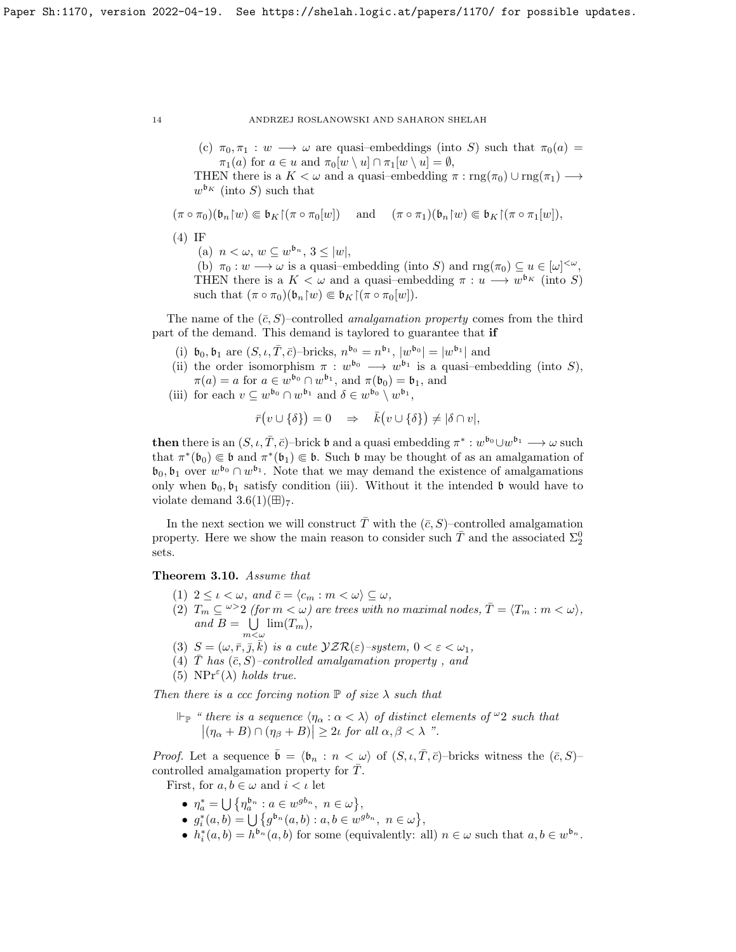(c)  $\pi_0, \pi_1 : w \longrightarrow \omega$  are quasi-embeddings (into S) such that  $\pi_0(a) =$  $\pi_1(a)$  for  $a \in u$  and  $\pi_0[w \setminus u] \cap \pi_1[w \setminus u] = \emptyset$ ,

THEN there is a  $K < \omega$  and a quasi–embedding  $\pi : \text{rng}(\pi_0) \cup \text{rng}(\pi_1) \longrightarrow$  $w^{\mathfrak{b}_K}$  (into S) such that

$$
(\pi \circ \pi_0)(\mathfrak{b}_n \upharpoonright w) \Subset \mathfrak{b}_K \upharpoonright (\pi \circ \pi_0[w]) \quad \text{ and } \quad (\pi \circ \pi_1)(\mathfrak{b}_n \upharpoonright w) \Subset \mathfrak{b}_K \upharpoonright (\pi \circ \pi_1[w]),
$$

(4) IF

(a)  $n < \omega, w \subseteq w^{b_n}, 3 \leq |w|,$ 

(b)  $\pi_0 : w \longrightarrow \omega$  is a quasi-embedding (into S) and  $\text{rng}(\pi_0) \subseteq u \in [\omega]^{<\omega}$ , THEN there is a  $K < \omega$  and a quasi-embedding  $\pi : u \longrightarrow w^{b_K}$  (into S) such that  $(\pi \circ \pi_0)(\mathfrak{b}_n[w) \in \mathfrak{b}_K[(\pi \circ \pi_0[w]).$ 

The name of the  $(\bar{c}, S)$ –controlled *amalgamation property* comes from the third part of the demand. This demand is taylored to guarantee that if

- (i)  $\mathfrak{b}_0, \mathfrak{b}_1$  are  $(S, \iota, \bar{T}, \bar{c})$ -bricks,  $n^{\mathfrak{b}_0} = n^{\mathfrak{b}_1}$ ,  $|w^{\mathfrak{b}_0}| = |w^{\mathfrak{b}_1}|$  and
- (ii) the order isomorphism  $\pi : w^{b_0} \longrightarrow w^{b_1}$  is a quasi-embedding (into S),  $\pi(a) = a$  for  $a \in w^{\mathfrak{b}_0} \cap w^{\mathfrak{b}_1}$ , and  $\pi(\mathfrak{b}_0) = \mathfrak{b}_1$ , and
- (iii) for each  $v \subseteq w^{b_0} \cap w^{b_1}$  and  $\delta \in w^{b_0} \setminus w^{b_1}$ ,

$$
\bar{r}(v \cup \{\delta\}) = 0 \quad \Rightarrow \quad \bar{k}(v \cup \{\delta\}) \neq |\delta \cap v|,
$$

**then** there is an  $(S, \iota, \overline{T}, \overline{c})$ -brick **b** and a quasi embedding  $\pi^* : w^{\mathfrak{b}_0} \cup w^{\mathfrak{b}_1} \longrightarrow \omega$  such that  $\pi^*(\mathfrak{b}_0) \in \mathfrak{b}$  and  $\pi^*(\mathfrak{b}_1) \in \mathfrak{b}$ . Such  $\mathfrak{b}$  may be thought of as an amalgamation of  $\mathfrak{b}_0, \mathfrak{b}_1$  over  $w^{\mathfrak{b}_0} \cap w^{\mathfrak{b}_1}$ . Note that we may demand the existence of amalgamations only when  $\mathfrak{b}_0, \mathfrak{b}_1$  satisfy condition (iii). Without it the intended  $\mathfrak{b}$  would have to violate demand  $3.6(1)(\boxplus)_{7}$ .

In the next section we will construct T with the  $(\bar{c}, S)$ –controlled amalgamation property. Here we show the main reason to consider such  $\bar{T}$  and the associated  $\Sigma^0_2$ sets.

Theorem 3.10. Assume that

- (1)  $2 \leq \iota < \omega$ , and  $\bar{c} = \langle c_m : m < \omega \rangle \subseteq \omega$ ,
- (2)  $T_m \subseteq \omega > 2$  (for  $m < \omega$ ) are trees with no maximal nodes,  $\overline{T} = \langle T_m : m < \omega \rangle$ , and  $B = \bigcup \lim(T_m)$ ,  $m<\omega$
- (3)  $S = (\omega, \bar{r}, \bar{j}, \bar{k})$  is a cute  $\mathcal{VZR}(\varepsilon)$ -system,  $0 < \varepsilon < \omega_1$ ,
- (4)  $\overline{T}$  has  $(\overline{c}, S)$ -controlled amalgamation property, and
- (5)  $NPr^{\varepsilon}(\lambda)$  holds true.

Then there is a ccc forcing notion  $\mathbb P$  of size  $\lambda$  such that

 $\Vdash_{\mathbb{P}}$  " there is a sequence  $\langle \eta_{\alpha} : \alpha < \lambda \rangle$  of distinct elements of  $\omega_2$  such that  $|(\eta_{\alpha} + B) \cap (\eta_{\beta} + B)| \geq 2\iota \text{ for all } \alpha, \beta < \lambda$  ".

*Proof.* Let a sequence  $\bar{\mathfrak{b}} = \langle \mathfrak{b}_n : n \langle \omega \rangle$  of  $(S, \iota, \bar{T}, \bar{c})$ -bricks witness the  $(\bar{c}, S)$ controlled amalgamation property for  $T$ .

First, for  $a, b \in \omega$  and  $i < \iota$  let

- $\eta_a^* = \bigcup \{ \eta_a^{b_n} : a \in w^{gb_n}, n \in \omega \},\$
- $g_i^*(a, b) = \bigcup \{ g^{b_n}(a, b) : a, b \in w^{gb_n}, n \in \omega \},\$
- $h_i^*(a, b) = h^{b_n}(a, b)$  for some (equivalently: all)  $n \in \omega$  such that  $a, b \in w^{b_n}$ .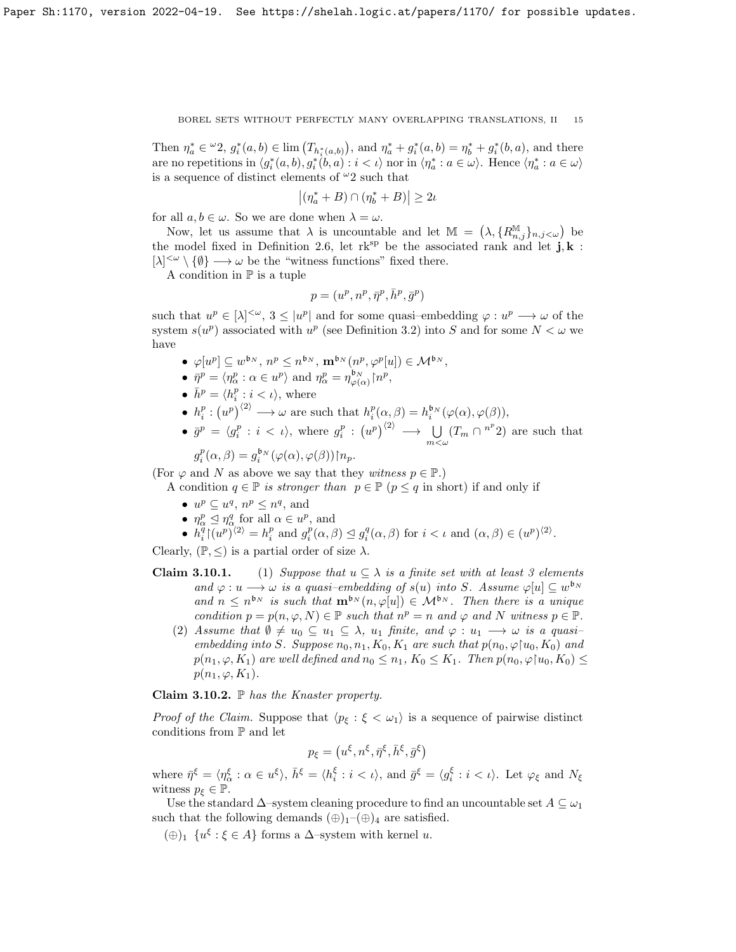Then  $\eta_a^* \in {}^{\omega_2}, g_i^*(a, b) \in \lim_{h \to a} (T_{h_i^*(a, b)})$ , and  $\eta_a^* + g_i^*(a, b) = \eta_b^* + g_i^*(b, a)$ , and there are no repetitions in  $\langle g_i^*(a, b), g_i^*(b, a) : i < \iota \rangle$  nor in  $\langle \eta_a^* : a \in \omega \rangle$ . Hence  $\langle \eta_a^* : a \in \omega \rangle$ is a sequence of distinct elements of  $^{\omega}2$  such that

$$
|(\eta_a^* + B) \cap (\eta_b^* + B)| \ge 2\iota
$$

for all  $a, b \in \omega$ . So we are done when  $\lambda = \omega$ .

Now, let us assume that  $\lambda$  is uncountable and let  $\mathbb{M} = (\lambda, \{R_{n,j}^{\mathbb{M}}\}_{n,j < \omega})$  be the model fixed in Definition 2.6, let  $\mathbf{rk}^{\text{sp}}$  be the associated rank and let  $\mathbf{j}, \mathbf{k}$ :  $[\lambda]^{<\omega} \setminus {\emptyset} \longrightarrow \omega$  be the "witness functions" fixed there.

A condition in  $\mathbb P$  is a tuple

$$
p = (u^p, n^p, \bar{\eta}^p, \bar{h}^p, \bar{g}^p)
$$

such that  $u^p \in [\lambda]^{<\omega}$ ,  $3 \leq |u^p|$  and for some quasi-embedding  $\varphi : u^p \longrightarrow \omega$  of the system  $s(u^p)$  associated with  $u^p$  (see Definition 3.2) into S and for some  $N < \omega$  we have

- $\bullet \varphi[u^p] \subseteq w^{\mathfrak{b}_N}, n^p \leq n^{\mathfrak{b}_N}, \mathbf{m}^{\mathfrak{b}_N}(n^p, \varphi^p[u]) \in \mathcal{M}^{\mathfrak{b}_N},$
- $\bar{\eta}^p = \langle \eta^p_\alpha : \alpha \in u^p \rangle$  and  $\eta^p_\alpha = \eta^{b_N}_{\varphi(\alpha)} {\upharpoonright} n^p$ ,
- $\bar{h}^p = \langle h_i^p : i < \iota \rangle$ , where
- $h_i^p : (u^p)^{\langle 2 \rangle} \longrightarrow \omega$  are such that  $h_i^p(\alpha, \beta) = h_i^{b_N}(\varphi(\alpha), \varphi(\beta)),$
- $\bar{g}^p = \langle g_i^p : i \langle \psi \rangle$ , where  $g_i^p : (u^p)^{\langle 2 \rangle} \longrightarrow \bigcup_{m \langle \omega} (T_m \cap {}^{n^p}2)$  are such that p

$$
g_i^p(\alpha, \beta) = g_i^{\mathfrak{b}_N}(\varphi(\alpha), \varphi(\beta)) \upharpoonright n_p.
$$

(For  $\varphi$  and N as above we say that they witness  $p \in \mathbb{P}$ .)

A condition  $q \in \mathbb{P}$  is stronger than  $p \in \mathbb{P}$  ( $p \leq q$  in short) if and only if

- $u^p \subseteq u^q, n^p \leq n^q$ , and
- $\eta_{\alpha}^{p} \leq \eta_{\alpha}^{q}$  for all  $\alpha \in u^{p}$ , and
- $h_i^{\overline{q}} \upharpoonright (u^p)^{\langle 2 \rangle} = h_i^p$  and  $g_i^p(\alpha, \beta) \leq g_i^q(\alpha, \beta)$  for  $i < \iota$  and  $(\alpha, \beta) \in (u^p)^{\langle 2 \rangle}$ .

Clearly,  $(\mathbb{P}, \leq)$  is a partial order of size  $\lambda$ .

- **Claim 3.10.1.** (1) Suppose that  $u \subseteq \lambda$  is a finite set with at least 3 elements and  $\varphi: u \longrightarrow \omega$  is a quasi-embedding of  $s(u)$  into S. Assume  $\varphi[u] \subseteq w^{\mathfrak{b}_N}$ and  $n \leq n^{b_N}$  is such that  $\mathbf{m}^{b_N}(n, \varphi[u]) \in \mathcal{M}^{b_N}$ . Then there is a unique condition  $p = p(n, \varphi, N) \in \mathbb{P}$  such that  $n^p = n$  and  $\varphi$  and  $N$  witness  $p \in \mathbb{P}$ .
	- (2) Assume that  $\emptyset \neq u_0 \subseteq u_1 \subseteq \lambda$ ,  $u_1$  finite, and  $\varphi : u_1 \longrightarrow \omega$  is a quasiembedding into S. Suppose  $n_0, n_1, K_0, K_1$  are such that  $p(n_0, \varphi | u_0, K_0)$  and  $p(n_1, \varphi, K_1)$  are well defined and  $n_0 \leq n_1, K_0 \leq K_1$ . Then  $p(n_0, \varphi | u_0, K_0) \leq$  $p(n_1, \varphi, K_1)$ .

Claim 3.10.2.  $\mathbb P$  has the Knaster property.

*Proof of the Claim.* Suppose that  $\langle p_{\xi} : \xi < \omega_1 \rangle$  is a sequence of pairwise distinct conditions from  $\mathbb P$  and let

$$
p_{\xi} = (u^{\xi}, n^{\xi}, \bar{\eta}^{\xi}, \bar{h}^{\xi}, \bar{g}^{\xi})
$$

where  $\bar{\eta}^{\xi} = \langle \eta_{\alpha}^{\xi} : \alpha \in u^{\xi} \rangle$ ,  $\bar{h}^{\xi} = \langle h_i^{\xi} : i < \iota \rangle$ , and  $\bar{g}^{\xi} = \langle g_i^{\xi} : i < \iota \rangle$ . Let  $\varphi_{\xi}$  and  $N_{\xi}$ witness  $p_{\xi} \in \mathbb{P}$ .

Use the standard  $\Delta$ –system cleaning procedure to find an uncountable set  $A \subseteq \omega_1$ such that the following demands  $(\oplus)_{1}$ – $(\oplus)_{4}$  are satisfied.

(⊕)<sub>1</sub>  $\{u^{\xi} : \xi \in A\}$  forms a  $\Delta$ -system with kernel u.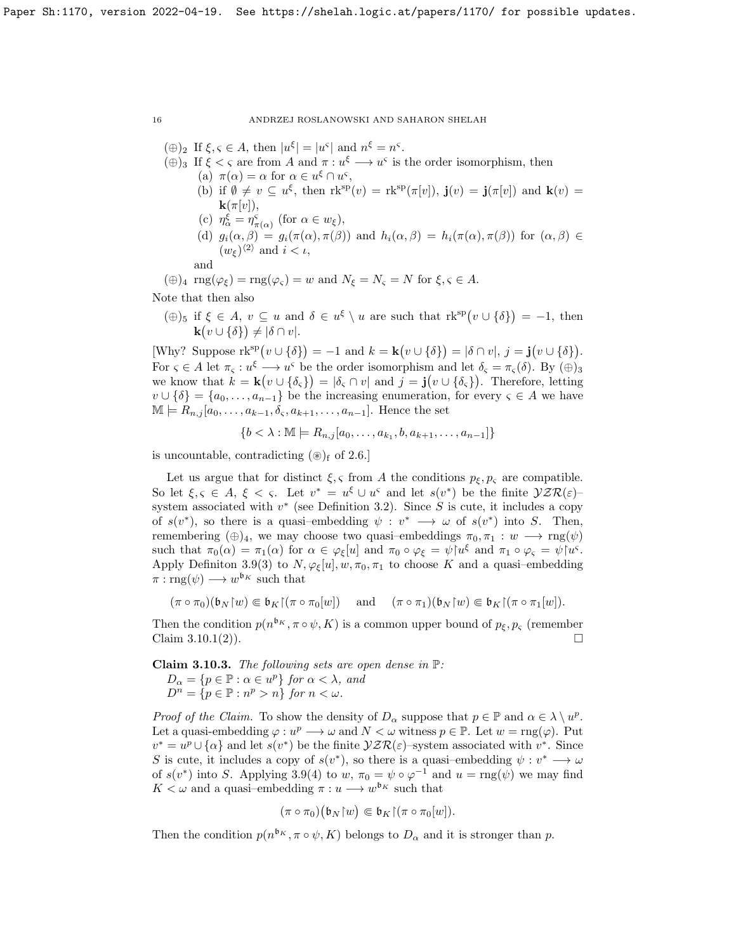- $(\oplus)_2$  If  $\xi, \varsigma \in A$ , then  $|u^{\xi}| = |u^{\varsigma}|$  and  $n^{\xi} = n^{\varsigma}$ .
- $(\oplus)_3$  If  $\xi < \varsigma$  are from A and  $\pi : u^{\xi} \longrightarrow u^{\varsigma}$  is the order isomorphism, then (a)  $\pi(\alpha) = \alpha$  for  $\alpha \in u^{\xi} \cap u^{\varsigma}$ ,
	- (b) if  $\emptyset \neq v \subseteq u^{\xi}$ , then  $\text{rk}^{\text{sp}}(v) = \text{rk}^{\text{sp}}(\pi[v])$ ,  $\mathbf{j}(v) = \mathbf{j}(\pi[v])$  and  $\mathbf{k}(v) =$  $\mathbf{k}(\pi[v]),$
	- (c)  $\eta_{\alpha}^{\xi} = \eta_{\pi(\alpha)}^{\varsigma}$  (for  $\alpha \in w_{\xi}$ ),
	- (d)  $g_i(\alpha, \beta) = g_i(\pi(\alpha), \pi(\beta))$  and  $h_i(\alpha, \beta) = h_i(\pi(\alpha), \pi(\beta))$  for  $(\alpha, \beta) \in$  $(w_{\xi})^{\langle 2 \rangle}$  and  $i < \iota$ , and
- $(\oplus)_4 \text{ rng}(\varphi_{\xi}) = \text{rng}(\varphi_{\varsigma}) = w \text{ and } N_{\xi} = N_{\varsigma} = N \text{ for } \xi, \varsigma \in A.$

Note that then also

 $(\oplus)_5$  if  $\xi \in A$ ,  $v \subseteq u$  and  $\delta \in u^{\xi} \setminus u$  are such that  $\text{rk}^{\text{sp}}(v \cup \{\delta\}) = -1$ , then  $\mathbf{k}(v \cup {\delta}) \neq |\delta \cap v|.$ 

[Why? Suppose  $\mathrm{rk}^{\mathrm{sp}}(v \cup \{\delta\}) = -1$  and  $k = \mathbf{k}(v \cup \{\delta\}) = |\delta \cap v|, j = \mathbf{j}(v \cup \{\delta\}).$ For  $\varsigma \in A$  let  $\pi_{\varsigma}: u^{\xi} \longrightarrow u^{\varsigma}$  be the order isomorphism and let  $\delta_{\varsigma} = \pi_{\varsigma}(\delta)$ . By  $(\oplus)_{3}$ we know that  $k = \mathbf{k}(v \cup {\delta_{\varsigma}}) = |\delta_{\varsigma} \cap v|$  and  $j = \mathbf{j}(v \cup {\delta_{\varsigma}})$ . Therefore, letting  $v \cup \{\delta\} = \{a_0, \ldots, a_{n-1}\}\$ be the increasing enumeration, for every  $\varsigma \in A$  we have  $\mathbb{M} \models R_{n,j}[a_0, \ldots, a_{k-1}, \delta_{\varsigma}, a_{k+1}, \ldots, a_{n-1}].$  Hence the set

$$
\{b < \lambda : \mathbb{M} \models R_{n,j}[a_0, \dots, a_{k_1}, b, a_{k+1}, \dots, a_{n-1}]\}
$$

is uncountable, contradicting  $(\circledast)$ <sub>f</sub> of 2.6.]

Let us argue that for distinct  $\xi, \zeta$  from A the conditions  $p_{\xi}, p_{\zeta}$  are compatible. So let  $\xi, \zeta \in A, \xi < \zeta$ . Let  $v^* = u^{\xi} \cup u^{\varsigma}$  and let  $s(v^*)$  be the finite  $\mathcal{VZR}(\varepsilon)$ system associated with  $v^*$  (see Definition 3.2). Since S is cute, it includes a copy of  $s(v^*)$ , so there is a quasi-embedding  $\psi : v^* \longrightarrow \omega$  of  $s(v^*)$  into S. Then, remembering  $(\oplus)_4$ , we may choose two quasi-embeddings  $\pi_0, \pi_1 : w \longrightarrow \text{rng}(\psi)$ such that  $\pi_0(\alpha) = \pi_1(\alpha)$  for  $\alpha \in \varphi_{\xi}[u]$  and  $\pi_0 \circ \varphi_{\xi} = \psi[u^{\xi}]$  and  $\pi_1 \circ \varphi_{\xi} = \psi[u^{\xi}]$ . Apply Definiton 3.9(3) to  $N, \varphi_{\xi}[u], w, \pi_0, \pi_1$  to choose K and a quasi-embedding  $\pi: \text{rng}(\psi) \longrightarrow w^{\mathfrak{b}_K}$  such that

$$
(\pi \circ \pi_0)(\mathfrak{b}_N \upharpoonright w) \Subset \mathfrak{b}_K \upharpoonright (\pi \circ \pi_0[w]) \quad \text{ and } \quad (\pi \circ \pi_1)(\mathfrak{b}_N \upharpoonright w) \Subset \mathfrak{b}_K \upharpoonright (\pi \circ \pi_1[w]).
$$

Then the condition  $p(n^{b_K}, \pi \circ \psi, K)$  is a common upper bound of  $p_{\xi}, p_{\varsigma}$  (remember Claim 3.10.1(2)).

**Claim 3.10.3.** The following sets are open dense in  $\mathbb{P}$ :  $D_{\alpha} = \{p \in \mathbb{P} : \alpha \in u^p\}$  for  $\alpha < \lambda$ , and  $D^n = \{p \in \mathbb{P} : n^p > n\}$  for  $n < \omega$ .

Proof of the Claim. To show the density of  $D_{\alpha}$  suppose that  $p \in \mathbb{P}$  and  $\alpha \in \lambda \setminus u^p$ . Let a quasi-embedding  $\varphi: u^p \longrightarrow \omega$  and  $N < \omega$  witness  $p \in \mathbb{P}$ . Let  $w = \text{rng}(\varphi)$ . Put  $v^* = u^p \cup {\alpha}$  and let  $s(v^*)$  be the finite  $\mathcal{YZR}(\varepsilon)$ -system associated with  $v^*$ . Since S is cute, it includes a copy of  $s(v^*)$ , so there is a quasi-embedding  $\psi : v^* \longrightarrow \omega$ of  $s(v^*)$  into S. Applying 3.9(4) to w,  $\pi_0 = \psi \circ \varphi^{-1}$  and  $u = \text{rng}(\psi)$  we may find  $K < \omega$  and a quasi-embedding  $\pi : u \longrightarrow w^{b_K}$  such that

$$
(\pi \circ \pi_0)(\mathfrak{b}_N \mathfrak{f} w) \Subset \mathfrak{b}_K \mathfrak{f}(\pi \circ \pi_0[w]).
$$

Then the condition  $p(n^{b_K}, \pi \circ \psi, K)$  belongs to  $D_{\alpha}$  and it is stronger than p.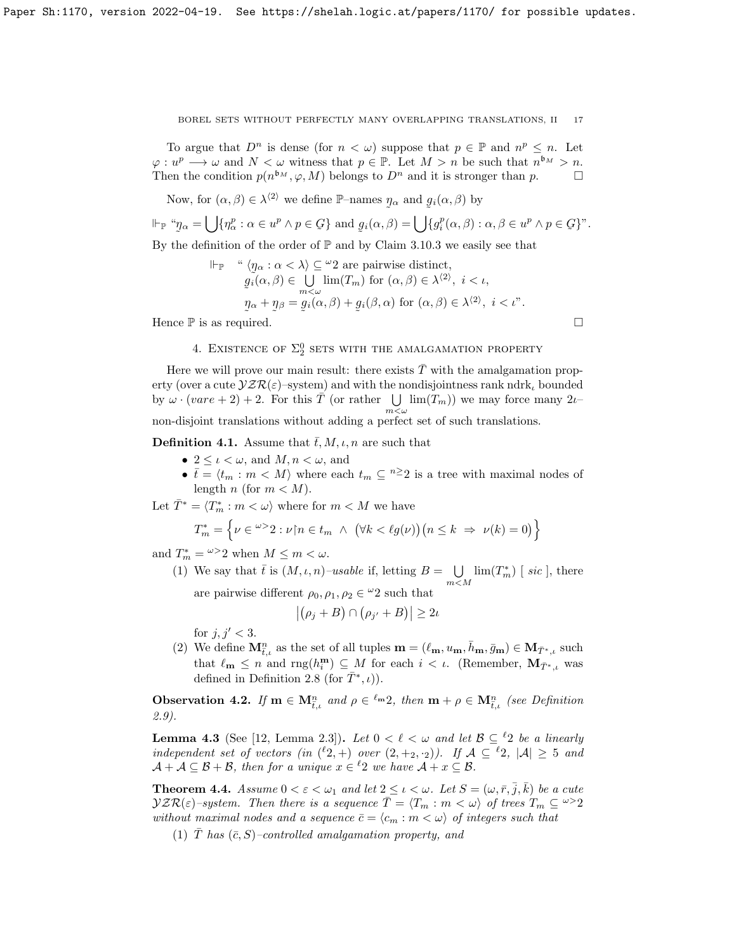To argue that  $D^n$  is dense (for  $n < \omega$ ) suppose that  $p \in \mathbb{P}$  and  $n^p \leq n$ . Let  $\varphi: u^p \longrightarrow \omega$  and  $N < \omega$  witness that  $p \in \mathbb{P}$ . Let  $M > n$  be such that  $n^{b_M} > n$ . Then the condition  $p(n^{b_M}, \varphi, M)$  belongs to  $D^n$  and it is stronger than  $p$ .

Now, for  $(\alpha, \beta) \in \lambda^{\langle 2 \rangle}$  we define P-names  $\eta_{\alpha}$  and  $g_i(\alpha, \beta)$  by

$$
\Vdash_{\mathbb{P}} \text{``}\eta_{\alpha} = \bigcup \{\eta_{\alpha}^{p} : \alpha \in u^{p} \land p \in \mathcal{G}\} \text{ and } g_{i}(\alpha, \beta) = \bigcup \{g_{i}^{p}(\alpha, \beta) : \alpha, \beta \in u^{p} \land p \in \mathcal{G}\}^{n}.
$$

By the definition of the order of  $\mathbb P$  and by Claim 3.10.3 we easily see that

$$
\Vdash_{\mathbb{P}} \quad \text{`` } \langle \eta_{\alpha} : \alpha < \lambda \rangle \subseteq \text{``2 are pairwise distinct, } \\ \quad g_i(\alpha, \beta) \in \bigcup_{m < \omega} \lim(T_m) \text{ for } (\alpha, \beta) \in \lambda^{\langle 2 \rangle}, i < \iota, \\ \quad g_{\alpha} + g_{\beta} = g_i(\alpha, \beta) + g_i(\beta, \alpha) \text{ for } (\alpha, \beta) \in \lambda^{\langle 2 \rangle}, i < \iota".
$$
\nHence  $\mathbb{P}$  is as required.

# 4. EXISTENCE OF  $\Sigma^0_2$  SETS WITH THE AMALGAMATION PROPERTY

Here we will prove our main result: there exists  $\overline{T}$  with the amalgamation property (over a cute  $\mathcal{VZR}(\varepsilon)$ –system) and with the nondisjointness rank ndrk<sub>l</sub> bounded by  $\omega \cdot (vare + 2) + 2$ . For this  $\overline{T}$  (or rather  $\bigcup \ \lim(T_m)$ ) we may force many  $2\iota$  $m<sub>W</sub>$ non-disjoint translations without adding a perfect set of such translations.

**Definition 4.1.** Assume that  $\bar{t}$ , M,  $\iota$ , n are such that

- $2 \leq \iota < \omega$ , and  $M, n < \omega$ , and
- $\bar{t} = \langle t_m : m \langle M \rangle$  where each  $t_m \subseteq \sqrt[n]{2}$  is a tree with maximal nodes of length n (for  $m < M$ ).

Let  $\bar{T}^* = \langle T_m^* : m \langle \omega \rangle$  where for  $m \langle M \rangle$  we have

$$
T_m^* = \left\{ \nu \in {}^{\omega >} 2 : \nu \upharpoonright n \in t_m \ \land \ \left( \forall k < \ell g(\nu) \right) \left( n \leq k \ \Rightarrow \ \nu(k) = 0 \right) \right\}
$$

and  $T_m^* = \frac{\omega}{2}$  when  $M \leq m < \omega$ .

(1) We say that 
$$
\bar{t}
$$
 is  $(M, \iota, n)$ -*usable* if, letting  $B = \bigcup_{m \le M} \lim(T_m^*)$  [*sic*], there are pairwise different  $\rho_0, \rho_1, \rho_2 \in {}^{\omega}2$  such that

 $|(\rho_j + B) \cap (\rho_{j'} + B)| \geq 2\nu$ 

for  $j, j' < 3$ .

(2) We define  $M_{\bar{t},\iota}^n$  as the set of all tuples  $\mathbf{m} = (\ell_{\mathbf{m}}, u_{\mathbf{m}}, \bar{h}_{\mathbf{m}}, \bar{g}_{\mathbf{m}}) \in \mathbf{M}_{\bar{T}^*,\iota}$  such that  $\ell_{\mathbf{m}} \leq n$  and  $\text{rng}(h_i^{\mathbf{m}}) \subseteq M$  for each  $i < \iota$ . (Remember,  $\mathbf{M}_{\bar{T}^*,\iota}$  was defined in Definition 2.8 (for  $\bar{T}^*, i$ )).

**Observation 4.2.** If  $\mathbf{m} \in \mathbf{M}_{\bar{t},\iota}^n$  and  $\rho \in \ell^m 2$ , then  $\mathbf{m} + \rho \in \mathbf{M}_{\bar{t},\iota}^n$  (see Definition 2.9).

**Lemma 4.3** (See [12, Lemma 2.3]). Let  $0 < \ell < \omega$  and let  $\mathcal{B} \subseteq {}^{\ell}2$  be a linearly independent set of vectors (in  $({}^{\ell}2, +)$  over  $(2, +_2, \cdot_2)$ ). If  $\mathcal{A} \subseteq {}^{\ell}2$ ,  $|\mathcal{A}| \geq 5$  and  $\mathcal{A} + \mathcal{A} \subseteq \mathcal{B} + \mathcal{B}$ , then for a unique  $x \in {}^{\ell}2$  we have  $\mathcal{A} + x \subseteq \mathcal{B}$ .

**Theorem 4.4.** Assume  $0 < \varepsilon < \omega_1$  and let  $2 \leq \iota < \omega$ . Let  $S = (\omega, \bar{r}, \bar{j}, \bar{k})$  be a cute  $\mathcal{YZR}(\varepsilon)$ -system. Then there is a sequence  $\overline{T} = \langle T_m : m \langle \omega \rangle$  of trees  $T_m \subseteq \omega > 2$ without maximal nodes and a sequence  $\bar{c} = \langle c_m : m \langle \omega \rangle$  of integers such that

(1)  $\overline{T}$  has  $(\overline{c}, S)$ -controlled amalgamation property, and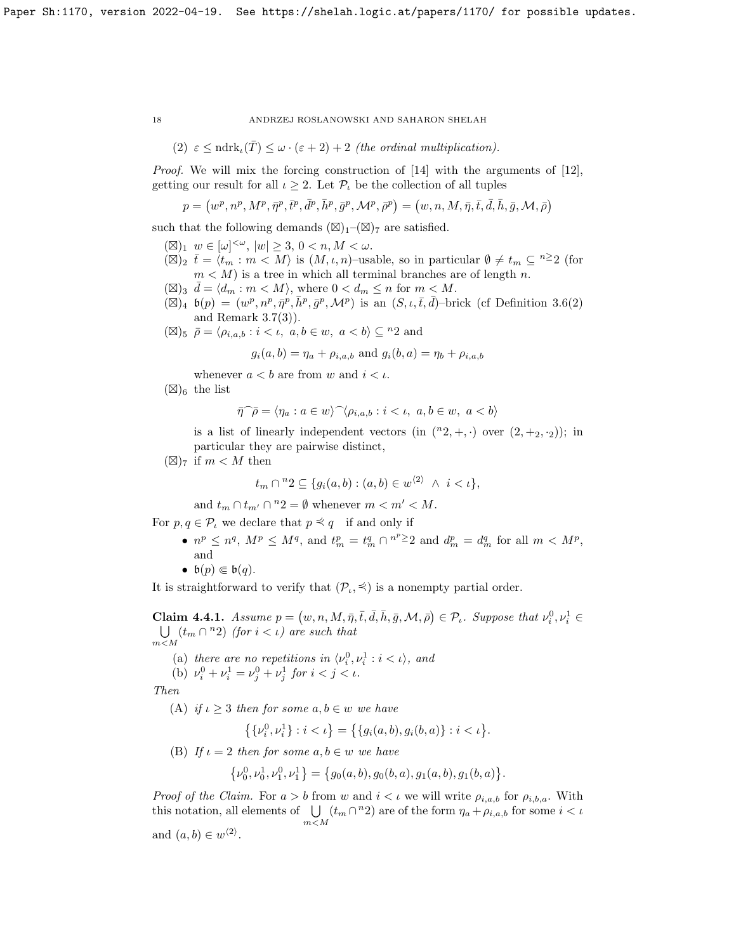(2) 
$$
\varepsilon \leq \text{ndrk}_{\iota}(\overline{T}) \leq \omega \cdot (\varepsilon + 2) + 2
$$
 (the ordinal multiplication).

Proof. We will mix the forcing construction of [14] with the arguments of [12], getting our result for all  $\iota \geq 2$ . Let  $\mathcal{P}_{\iota}$  be the collection of all tuples

$$
p = (w^p, n^p, M^p, \bar{\eta}^p, \bar{t}^p, \bar{d}^p, \bar{h}^p, \bar{g}^p, \mathcal{M}^p, \bar{\rho}^p) = (w, n, M, \bar{\eta}, \bar{t}, \bar{d}, \bar{h}, \bar{g}, \mathcal{M}, \bar{\rho})
$$

such that the following demands  $(\boxtimes)_1$ – $(\boxtimes)_7$  are satisfied.

- $(\boxtimes)_1 \, w \in [\omega]^{<\omega}, \, |w| \geq 3, \, 0 < n, M < \omega.$
- $(\boxtimes)_2$   $\overline{t} = \langle t_m : m \langle M \rangle$  is  $(M, \iota, n)$ -usable, so in particular  $\emptyset \neq t_m \subseteq \mathbb{R}^2$  (for  $m < M$ ) is a tree in which all terminal branches are of length n.
- $(\boxtimes)_3 \, \bar{d} = \langle d_m : m \langle M \rangle$ , where  $0 < d_m \leq n$  for  $m < M$ .
- $(\boxtimes)_4$   $\mathfrak{b}(p) = (w^p, n^p, \bar{\eta}^p, \bar{h}^p, \bar{g}^p, \mathcal{M}^p)$  is an  $(S, \iota, \bar{t}, \bar{d})$ -brick (cf Definition 3.6(2) and Remark 3.7(3)).
- $(\boxtimes)_{5}$   $\bar{\rho} = \langle \rho_{i,a,b} : i < i, a, b \in w, a < b \rangle \subseteq {}^{n}2$  and

 $g_i(a, b) = \eta_a + \rho_{i, a, b}$  and  $g_i(b, a) = \eta_b + \rho_{i, a, b}$ 

whenever  $a < b$  are from w and  $i < \iota$ .

 $(\boxtimes)_6$  the list

$$
\bar{\eta}^{\frown}\bar{\rho} = \langle \eta_a : a \in w \rangle^{\frown} \langle \rho_{i,a,b} : i < \iota, \ a, b \in w, \ a < b \rangle
$$

is a list of linearly independent vectors (in  $({}^{n}2, +, \cdot)$ ) over  $(2, +_2, \cdot_2)$ ); in particular they are pairwise distinct,

 $(\boxtimes)_{7}$  if  $m < M$  then

$$
t_m \cap {}^n2 \subseteq \{g_i(a,b) : (a,b) \in w^{\langle 2 \rangle} \land i < \iota\},
$$

and  $t_m \cap t_{m'} \cap {}^n2 = \emptyset$  whenever  $m < m' < M$ .

For  $p, q \in \mathcal{P}_\iota$  we declare that  $p \preceq q$  if and only if

- $n^p \leq n^q$ ,  $M^p \leq M^q$ , and  $t_m^p = t_m^q \cap n^{p \geq 2}$  and  $d_m^p = d_m^q$  for all  $m \lt M^p$ , and
- $\mathfrak{b}(p) \Subset \mathfrak{b}(q)$ .

It is straightforward to verify that  $(\mathcal{P}_t, \preceq)$  is a nonempty partial order.

**Claim 4.4.1.** Assume  $p = (w, n, M, \overline{\eta}, \overline{t}, \overline{d}, \overline{h}, \overline{g}, \mathcal{M}, \overline{\rho}) \in \mathcal{P}_\iota$ . Suppose that  $\nu_i^0, \nu_i^1 \in$ U  $\bigcup_{m < M} (t_m \cap {}^n2)$  (for  $i < \iota$ ) are such that

- (a) there are no repetitions in  $\langle v_i^0, v_i^1 : i < \iota \rangle$ , and
- (b)  $\nu_i^0 + \nu_i^1 = \nu_j^0 + \nu_j^1$  for  $i < j < \iota$ .

Then

(A) if  $\iota \geq 3$  then for some  $a, b \in w$  we have

$$
\left\{\{\nu_i^0, \nu_i^1\} : i < \iota\right\} = \left\{\{g_i(a, b), g_i(b, a)\} : i < \iota\right\}.
$$

(B) If  $\iota = 2$  then for some  $a, b \in w$  we have

$$
\{\nu_0^0, \nu_0^1, \nu_1^0, \nu_1^1\} = \{g_0(a, b), g_0(b, a), g_1(a, b), g_1(b, a)\}.
$$

*Proof of the Claim.* For  $a > b$  from w and  $i < \iota$  we will write  $\rho_{i,a,b}$  for  $\rho_{i,b,a}$ . With this notation, all elements of  $\bigcup (t_m \cap {^n}2)$  are of the form  $\eta_a + \rho_{i,a,b}$  for some  $i < \iota$  $m < M$ and  $(a, b) \in w^{\langle 2 \rangle}$ .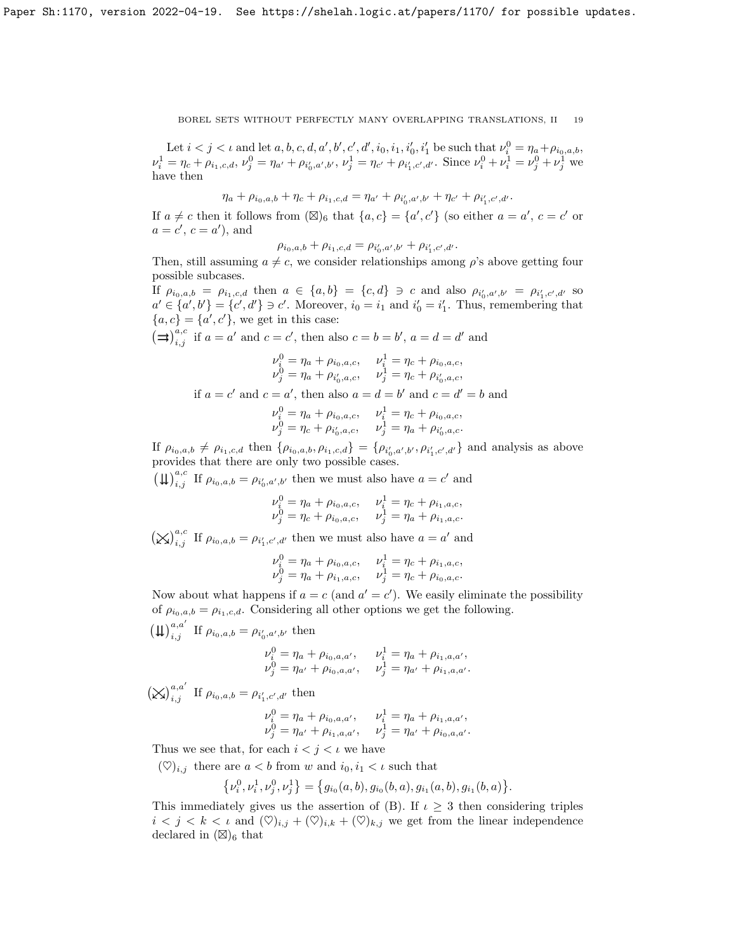Let  $i < j < \iota$  and let  $a, b, c, d, a', b', c', d', i_0, i_1, i'_0, i'_1$  be such that  $\nu_i^0 = \eta_a + \rho_{i_0, a, b}$ ,  $\nu_i^1 = \eta_c + \rho_{i_1,c,d}, \nu_j^0 = \eta_{a'} + \rho_{i'_0,a',b'}, \nu_j^1 = \eta_{c'} + \rho_{i'_1,c',d'}.$  Since  $\nu_i^0 + \nu_i^1 = \nu_j^0 + \nu_j^1$  we have then

$$
\eta_a + \rho_{i_0,a,b} + \eta_c + \rho_{i_1,c,d} = \eta_{a'} + \rho_{i'_0,a',b'} + \eta_{c'} + \rho_{i'_1,c',d'}.
$$

If  $a \neq c$  then it follows from  $(\boxtimes)_6$  that  $\{a, c\} = \{a', c'\}$  (so either  $a = a', c = c'$  or  $a = c', c = a'$ , and

$$
\rho_{i_0,a,b} + \rho_{i_1,c,d} = \rho_{i'_0,a',b'} + \rho_{i'_1,c',d'}.
$$

Then, still assuming  $a \neq c$ , we consider relationships among  $\rho$ 's above getting four possible subcases.

If  $\rho_{i_0,a,b} = \rho_{i_1,c,d}$  then  $a \in \{a,b\} = \{c,d\} \ni c$  and also  $\rho_{i'_0,a',b'} = \rho_{i'_1,c',d'}$  so  $a' \in \{a', b'\} = \{c', d'\} \ni c'$ . Moreover,  $i_0 = i_1$  and  $i'_0 = i'_1$ . Thus, remembering that  ${a, c} = {a', c'}$ , we get in this case:

(⇒)<sup>*a,c*</sup> if  $a = a'$  and  $c = c'$ , then also  $c = b = b'$ ,  $a = d = d'$  and

$$
\nu_i^0 = \eta_a + \rho_{i_0, a, c}, \qquad \nu_i^1 = \eta_c + \rho_{i_0, a, c},
$$

$$
\nu_j^0 = \eta_a + \rho_{i'_0, a, c}, \qquad \nu_j^1 = \eta_c + \rho_{i'_0, a, c},
$$
if  $a = c'$  and  $c = a'$ , then also  $a = d = b'$  and  $c = d' = b$  and

$$
\nu_i^0 = \eta_a + \rho_{i_0, a, c}, \quad \nu_i^1 = \eta_c + \rho_{i_0, a, c}, \n\nu_j^0 = \eta_c + \rho_{i'_0, a, c}, \quad \nu_j^1 = \eta_a + \rho_{i'_0, a, c}.
$$

If  $\rho_{i_0,a,b} \neq \rho_{i_1,c,d}$  then  $\{\rho_{i_0,a,b}, \rho_{i_1,c,d}\} = \{\rho_{i'_0,a',b'}, \rho_{i'_1,c',d'}\}$  and analysis as above provides that there are only two possible cases.

 $\left(\bigcup_{i,j} a_i^a$  If  $\rho_{i_0,a,b} = \rho_{i'_0,a',b'}$  then we must also have  $a = c'$  and

$$
\nu_i^0 = \eta_a + \rho_{i_0, a, c}, \quad \nu_i^1 = \eta_c + \rho_{i_1, a, c}, \n\nu_j^0 = \eta_c + \rho_{i_0, a, c}, \quad \nu_j^1 = \eta_a + \rho_{i_1, a, c}.
$$

 $(\times)_{i,j}^{a,c}$  If  $\rho_{i_0,a,b} = \rho_{i'_1,c',d'}$  then we must also have  $a = a'$  and

$$
\nu_i^0 = \eta_a + \rho_{i_0, a, c}, \quad \nu_i^1 = \eta_c + \rho_{i_1, a, c}, \n\nu_j^0 = \eta_a + \rho_{i_1, a, c}, \quad \nu_j^1 = \eta_c + \rho_{i_0, a, c}.
$$

Now about what happens if  $a = c$  (and  $a' = c'$ ). We easily eliminate the possibility of  $\rho_{i_0,a,b} = \rho_{i_1,c,d}$ . Considering all other options we get the following.

 $\left(\mathfrak{U}\right)_{i,j}^{a,a'}$  If  $\rho_{i_0,a,b} = \rho_{i'_0,a',b'}$  then

$$
\nu_i^0 = \eta_a + \rho_{i_0, a, a'}, \qquad \nu_i^1 = \eta_a + \rho_{i_1, a, a'}, \n\nu_j^0 = \eta_{a'} + \rho_{i_0, a, a'}, \qquad \nu_j^1 = \eta_{a'} + \rho_{i_1, a, a'}.
$$

 $\left(\bigtimes\right)_{i,j}^{a,a'}$  If  $\rho_{i_0,a,b} = \rho_{i'_1,c',d'}$  then

$$
\nu_i^0 = \eta_a + \rho_{i_0, a, a'}, \qquad \nu_i^1 = \eta_a + \rho_{i_1, a, a'}, \n\nu_j^0 = \eta_{a'} + \rho_{i_1, a, a'}, \qquad \nu_j^1 = \eta_{a'} + \rho_{i_0, a, a'}.
$$

Thus we see that, for each  $i < j < \iota$  we have

 $(\heartsuit)_{i,j}$  there are  $a < b$  from w and  $i_0, i_1 < \iota$  such that

$$
\{\nu^0_i, \nu^1_i, \nu^0_j, \nu^1_j\} = \{g_{i_0}(a, b), g_{i_0}(b, a), g_{i_1}(a, b), g_{i_1}(b, a)\}.
$$

This immediately gives us the assertion of (B). If  $\iota \geq 3$  then considering triples  $i < j < k < \iota$  and  $(\heartsuit)_{i,j} + (\heartsuit)_{i,k} + (\heartsuit)_{k,j}$  we get from the linear independence declared in  $(\boxtimes)_6$  that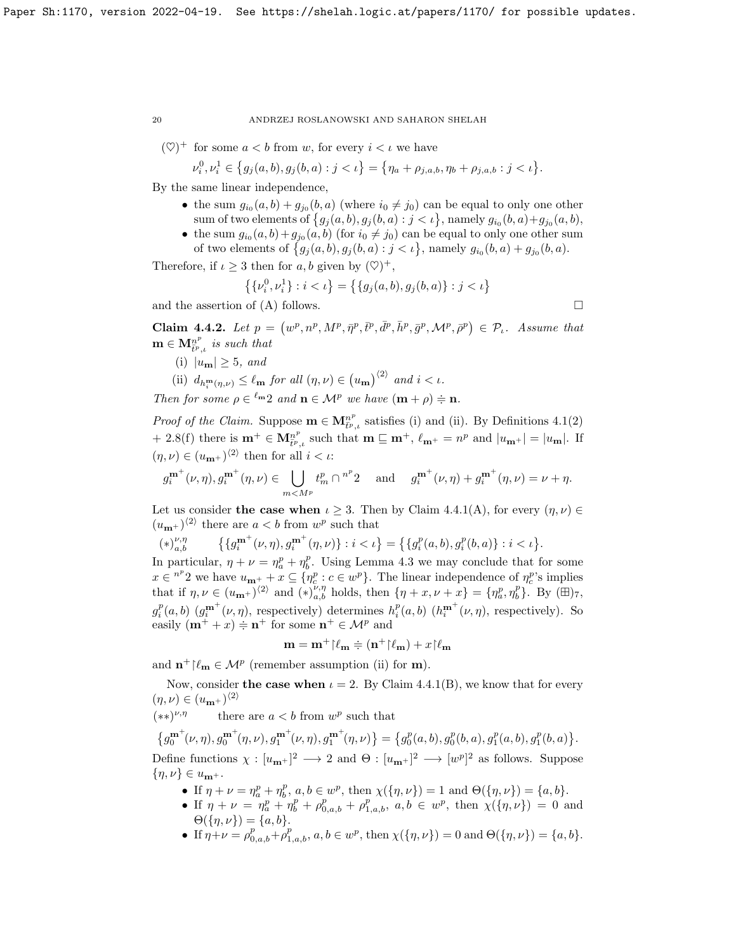$(\heartsuit)^+$  for some  $a < b$  from w, for every  $i < \iota$  we have

$$
\nu_i^0, \nu_i^1 \in \left\{ g_j(a, b), g_j(b, a) : j < \iota \right\} = \left\{ \eta_a + \rho_{j, a, b}, \eta_b + \rho_{j, a, b} : j < \iota \right\}.
$$

By the same linear independence,

- the sum  $g_{i_0}(a, b) + g_{j_0}(b, a)$  (where  $i_0 \neq j_0$ ) can be equal to only one other sum of two elements of  $\{g_j(a,b), g_j(b,a) : j < \iota\}$ , namely  $g_{i_0}(b,a)+g_{j_0}(a,b)$ ,
- the sum  $g_{i_0}(a, b) + g_{j_0}(a, b)$  (for  $i_0 \neq j_0$ ) can be equal to only one other sum of two elements of  $\{g_j(a,b), g_j(b,a) : j < \iota\}$ , namely  $g_{i_0}(b,a) + g_{j_0}(b,a)$ .

Therefore, if  $\iota \geq 3$  then for  $a, b$  given by  $(\heartsuit)^+$ ,

$$
\left\{\{v_i^0, v_i^1\} : i < \iota\right\} = \left\{\{g_j(a, b), g_j(b, a)\} : j < \iota\right\}
$$

and the assertion of  $(A)$  follows.

Claim 4.4.2. Let  $p = (w^p, n^p, M^p, \bar{\eta}^p, \bar{t}^p, \bar{d}^p, \bar{h}^p, \bar{g}^p, \mathcal{M}^p, \bar{\rho}^p) \in \mathcal{P}_t$ . Assume that  $\mathbf{m} \in \mathbf{M}_{\bar{t}^p,\iota}^{n^p}$  is such that

(i)  $|u_{\mathbf{m}}| \geq 5$ , and

(ii) 
$$
d_{h_i^m(\eta,\nu)} \leq \ell_m
$$
 for all  $(\eta,\nu) \in (u_m)^{\langle 2 \rangle}$  and  $i < \iota$ .

Then for some  $\rho \in {}^{\ell m}2$  and  $\mathbf{n} \in \mathcal{M}^p$  we have  $(\mathbf{m} + \rho) \doteqdot \mathbf{n}$ .

*Proof of the Claim.* Suppose  $\mathbf{m} \in \mathbf{M}_{t^p,\iota}^{n^p}$  satisfies (i) and (ii). By Definitions 4.1(2) + 2.8(f) there is  $\mathbf{m}^+ \in \mathbf{M}_{\tilde{t}^p,\iota}^{n^p}$  such that  $\mathbf{m} \sqsubseteq \mathbf{m}^+$ ,  $\ell_{\mathbf{m}^+} = n^p$  and  $|u_{\mathbf{m}^+}| = |u_{\mathbf{m}}|$ . If  $(\eta, \nu) \in (u_{\mathbf{m}^+})^{\langle 2 \rangle}$  then for all  $i < \iota$ :

$$
g_i^{\mathbf{m}^+}(\nu, \eta), g_i^{\mathbf{m}^+}(\eta, \nu) \in \bigcup_{m < M^p} t_m^p \cap {}^{n^p}2 \quad \text{ and } \quad g_i^{\mathbf{m}^+}(\nu, \eta) + g_i^{\mathbf{m}^+}(\eta, \nu) = \nu + \eta.
$$

Let us consider the case when  $\iota \geq 3$ . Then by Claim 4.4.1(A), for every  $(\eta, \nu) \in$  $(u_{\mathbf{m}^+})^{\langle 2 \rangle}$  there are  $a < b$  from  $w^p$  such that

$$
(*)_{a,b}^{\nu,\eta} \qquad \big\{ \{ g_i^{\mathbf{m}^+}(\nu,\eta), g_i^{\mathbf{m}^+}(\eta,\nu) \} : i < \iota \big\} = \big\{ \{ g_i^p(a,b), g_i^p(b,a) \} : i < \iota \big\}.
$$

In particular,  $\eta + \nu = \eta_a^p + \eta_b^p$ . Using Lemma 4.3 we may conclude that for some  $x \in {}^{n^p}2$  we have  $u_{m^+} + x \subseteq \{\eta_c^p : c \in w^p\}$ . The linear independence of  $\eta_c^p$ 's implies that if  $\eta, \nu \in (u_{\mathbf{m}^+})^{\langle 2 \rangle}$  and  $(*)_{a,b}^{\nu, \eta}$  holds, then  $\{\eta + x, \nu + x\} = \{\eta_a^p, \eta_b^p\}$ . By  $(\boxplus)_{7}$ ,  $g_i^p(a,b)$   $(g_i^{\mathbf{m}^+}(\nu,\eta),$  respectively) determines  $h_i^p(a,b)$   $(h_i^{\mathbf{m}^+}(\nu,\eta),$  respectively). So easily  $(\mathbf{m}^+ + x) \doteq \mathbf{n}^+$  for some  $\mathbf{n}^+ \in \mathcal{M}^p$  and

$$
\mathbf{m} = \mathbf{m}^+{\upharpoonright}\ell_\mathbf{m} \doteqdot (\mathbf{n}^+{\upharpoonright}\ell_\mathbf{m}) + x{\upharpoonright}\ell_\mathbf{m}
$$

and  $\mathbf{n}^+ \upharpoonright \ell_\mathbf{m} \in \mathcal{M}^p$  (remember assumption (ii) for  $\mathbf{m}$ ).

Now, consider the case when  $\iota = 2$ . By Claim 4.4.1(B), we know that for every  $(\eta, \nu) \in (u_{\mathbf{m}^+})^{\langle 2 \rangle}$ 

 $(**)^{\nu,\eta}$  $\nu, \eta$  there are  $a < b$  from  $w^p$  such that

 $\left\{g_{0}^{\mathbf{m}^+}\!(\nu, \eta), g_{0}^{\mathbf{m}^+}(\eta, \nu), g_{1}^{\mathbf{m}^+} \!(\nu, \eta), g_{1}^{\mathbf{m}^+} \!(\eta, \nu)\right\} = \left\{g_{0}^{p}(a, b), g_{0}^{p}(b, a), g_{1}^{p}(a, b), g_{1}^{p}(b, a)\right\}.$ 

Define functions  $\chi : [u_{m+}]^2 \longrightarrow 2$  and  $\Theta : [u_{m+}]^2 \longrightarrow [w^p]^2$  as follows. Suppose  $\{\eta,\nu\}\in u_{\mathbf{m}^+}.$ 

- If  $\eta + \nu = \eta_a^p + \eta_b^p$ ,  $a, b \in w^p$ , then  $\chi(\{\eta, \nu\}) = 1$  and  $\Theta(\{\eta, \nu\}) = \{a, b\}.$
- If  $\eta + \nu = \eta_a^p + \eta_b^p + \rho_{0,a,b}^p + \rho_{1,a,b}^p$ ,  $a, b \in w^p$ , then  $\chi(\{\eta, \nu\}) = 0$  and  $\Theta({\lbrace \eta, \nu \rbrace}) = {\lbrace a, b \rbrace}.$
- If  $\eta + \nu = \rho_{0,a,b}^p + \rho_{1,a,b}^p, a, b \in w^p$ , then  $\chi(\{\eta, \nu\}) = 0$  and  $\Theta(\{\eta, \nu\}) = \{a, b\}.$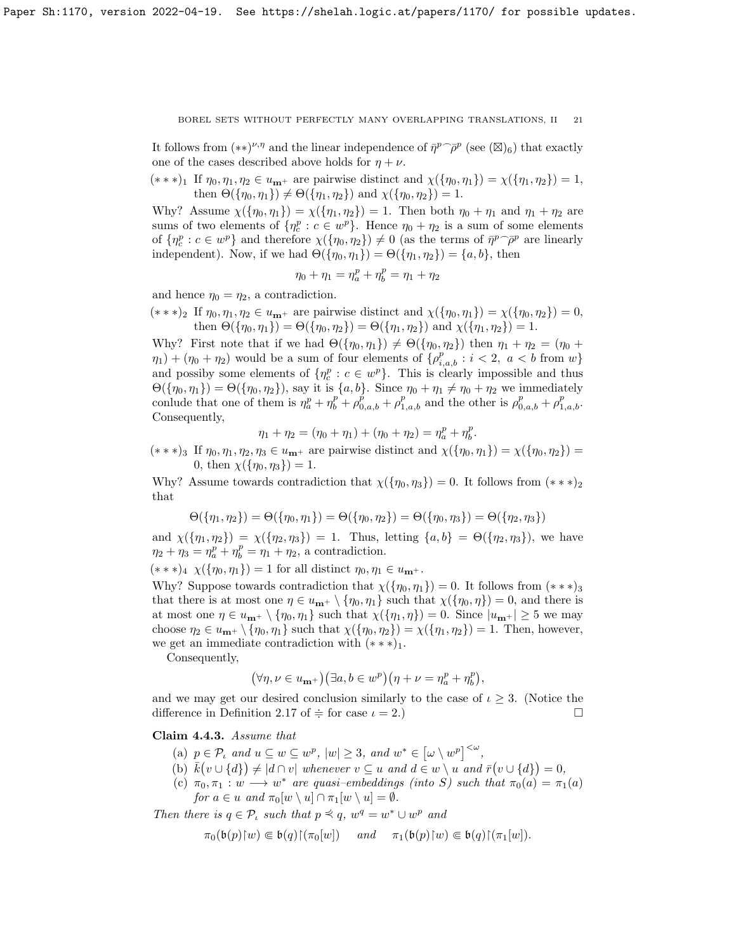It follows from  $(**)^{\nu,\eta}$  and the linear independence of  $\bar{\eta}^p \tilde{\rho}^p$  (see  $(\boxtimes)_6$ ) that exactly one of the cases described above holds for  $\eta + \nu$ .

 $(* **)_1$  If  $\eta_0, \eta_1, \eta_2 \in u_{m+}$  are pairwise distinct and  $\chi(\{\eta_0, \eta_1\}) = \chi(\{\eta_1, \eta_2\}) = 1$ , then  $\Theta({\{\eta_0, \eta_1\}}) \neq \Theta({\{\eta_1, \eta_2\}})$  and  $\chi({\{\eta_0, \eta_2\}}) = 1$ .

Why? Assume  $\chi(\{\eta_0, \eta_1\}) = \chi(\{\eta_1, \eta_2\}) = 1$ . Then both  $\eta_0 + \eta_1$  and  $\eta_1 + \eta_2$  are sums of two elements of  $\{\eta_c^p : c \in w^p\}$ . Hence  $\eta_0 + \eta_2$  is a sum of some elements of  $\{\eta_c^p : c \in w^p\}$  and therefore  $\chi(\{\eta_0, \eta_2\}) \neq 0$  (as the terms of  $\bar{\eta}^p \tilde{\rho}^p$  are linearly independent). Now, if we had  $\Theta({\{\eta_0, \eta_1\}}) = \Theta({\{\eta_1, \eta_2\}}) = {a, b\}$ , then

$$
\eta_0 + \eta_1 = \eta_a^p + \eta_b^p = \eta_1 + \eta_2
$$

and hence  $\eta_0 = \eta_2$ , a contradiction.

 $(* * *)_2$  If  $\eta_0, \eta_1, \eta_2 \in u_{m+}$  are pairwise distinct and  $\chi(\{\eta_0, \eta_1\}) = \chi(\{\eta_0, \eta_2\}) = 0$ , then  $\Theta({\{\eta_0, \eta_1\}}) = \Theta({\{\eta_0, \eta_2\}}) = \Theta({\{\eta_1, \eta_2\}})$  and  $\chi({\{\eta_1, \eta_2\}}) = 1$ .

Why? First note that if we had  $\Theta({\{\eta_0, \eta_1\}) \neq \Theta({\{\eta_0, \eta_2\})}$  then  $\eta_1 + \eta_2 = (\eta_0 +$  $(\eta_1) + (\eta_0 + \eta_2)$  would be a sum of four elements of  $\{\rho_{i,a,b}^p : i < 2, a < b \text{ from } w\}$ and possiby some elements of  $\{\eta_c^p : c \in w^p\}$ . This is clearly impossible and thus  $\Theta({\lbrace \eta_0, \eta_1 \rbrace}) = \Theta({\lbrace \eta_0, \eta_2 \rbrace})$ , say it is  ${a, b}$ . Since  $\eta_0 + \eta_1 \neq \eta_0 + \eta_2$  we immediately conlude that one of them is  $\eta^p_a + \eta^p_b + \rho^p_{0,a,b} + \rho^p_{1,a,b}$  and the other is  $\rho^p_{0,a,b} + \rho^p_{1,a,b}$ . Consequently,

$$
\eta_1 + \eta_2 = (\eta_0 + \eta_1) + (\eta_0 + \eta_2) = \eta_a^p + \eta_b^p.
$$

 $(* * *)_3$  If  $\eta_0, \eta_1, \eta_2, \eta_3 \in u_{m^+}$  are pairwise distinct and  $\chi(\{\eta_0, \eta_1\}) = \chi(\{\eta_0, \eta_2\}) =$ 0, then  $\chi(\{\eta_0, \eta_3\}) = 1$ .

Why? Assume towards contradiction that  $\chi({\{\eta_0,\eta_3\}})=0$ . It follows from  $(**)_2$ that

$$
\Theta(\{\eta_1, \eta_2\}) = \Theta(\{\eta_0, \eta_1\}) = \Theta(\{\eta_0, \eta_2\}) = \Theta(\{\eta_0, \eta_3\}) = \Theta(\{\eta_2, \eta_3\})
$$

and  $\chi(\{\eta_1,\eta_2\}) = \chi(\{\eta_2,\eta_3\}) = 1$ . Thus, letting  $\{a,b\} = \Theta(\{\eta_2,\eta_3\})$ , we have  $\eta_2 + \eta_3 = \eta_a^p + \eta_b^p = \eta_1 + \eta_2$ , a contradiction.

 $(* * *)_4 \ \chi(\{\eta_0, \eta_1\}) = 1$  for all distinct  $\eta_0, \eta_1 \in u_{m^+}$ .

Why? Suppose towards contradiction that  $\chi(\{\eta_0, \eta_1\}) = 0$ . It follows from  $(**)_3$ that there is at most one  $\eta \in u_{m+} \setminus {\eta_0, \eta_1}$  such that  $\chi({\eta_0, \eta}) = 0$ , and there is at most one  $\eta \in u_{m^+} \setminus {\eta_0, \eta_1}$  such that  $\chi({\eta_1, \eta}) = 0$ . Since  $|u_{m^+}| \ge 5$  we may choose  $\eta_2 \in u_{\mathbf{m}^+} \setminus {\eta_0, \eta_1}$  such that  $\chi({\eta_0, \eta_2}) = \chi({\eta_1, \eta_2}) = 1$ . Then, however, we get an immediate contradiction with  $(***)_1$ .

Consequently,

$$
\left(\forall \eta, \nu \in u_{\mathbf{m}^+}\right)\left(\exists a,b \in w^p\right)\left(\eta+\nu = \eta^p_a + \eta^p_b\right),
$$

and we may get our desired conclusion similarly to the case of  $\iota \geq 3$ . (Notice the difference in Definition 2.17 of  $\div$  for case  $\iota = 2$ .)

#### Claim 4.4.3. Assume that

- (a)  $p \in \mathcal{P}_\iota$  and  $u \subseteq w \subseteq w^p$ ,  $|w| \geq 3$ , and  $w^* \in [\omega \setminus w^p]^{<\omega}$ ,
- (b)  $\bar{k}(v \cup \{d\}) \neq |d \cap v|$  whenever  $v \subseteq u$  and  $d \in w \setminus u$  and  $\bar{r}(v \cup \{d\}) = 0$ ,
- (c)  $\pi_0, \pi_1 : w \longrightarrow w^*$  are quasi-embeddings (into S) such that  $\pi_0(a) = \pi_1(a)$ for  $a \in u$  and  $\pi_0[w \setminus u] \cap \pi_1[w \setminus u] = \emptyset$ .

Then there is  $q \in \mathcal{P}_\iota$  such that  $p \preceq q$ ,  $w^q = w^* \cup w^p$  and

$$
\pi_0(\mathfrak{b}(p){\upharpoonright} w)\Subset \mathfrak{b}(q){\upharpoonright} (\pi_0[w])\quad\text{ and }\quad \pi_1(\mathfrak{b}(p){\upharpoonright} w)\Subset \mathfrak{b}(q){\upharpoonright} (\pi_1[w]).
$$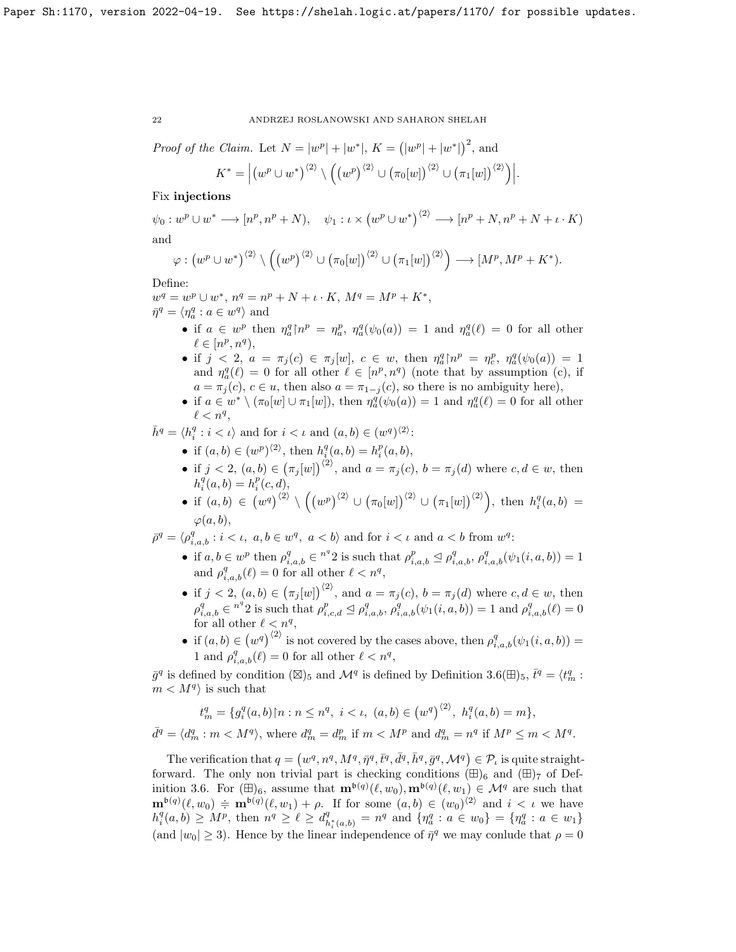*Proof of the Claim.* Let 
$$
N = |w^p| + |w^*|
$$
,  $K = (|w^p| + |w^*|)^2$ , and

$$
K^* = \Big| \big( w^p \cup w^* \big)^{\langle 2 \rangle} \setminus \Big( \big( w^p \big)^{\langle 2 \rangle} \cup \big( \pi_0[w] \big)^{\langle 2 \rangle} \cup \big( \pi_1[w] \big)^{\langle 2 \rangle} \Big) \Big|.
$$

## Fix injections

 $\psi_0: w^p\cup w^*\longrightarrow [n^p, n^p+N), \quad \psi_1: \iota\times \left(w^p\cup w^*\right)^{\langle 2\rangle}\longrightarrow [n^p+N, n^p+N+\iota\cdot K)$ 

and

$$
\varphi: (w^p \cup w^*)^{\langle 2 \rangle} \setminus ((w^p)^{\langle 2 \rangle} \cup (\pi_0[w])^{\langle 2 \rangle} \cup (\pi_1[w])^{\langle 2 \rangle}) \longrightarrow [M^p, M^p + K^*).
$$

Define:

$$
w^{q} = w^{p} \cup w^{*}, n^{q} = n^{p} + N + \iota \cdot K, M^{q} = M^{p} + K^{*},
$$
  

$$
\bar{\eta}^{q} = \langle \eta_{a}^{q} : a \in w^{q} \rangle \text{ and}
$$

- if  $a \in w^p$  then  $\eta_a^q \upharpoonright n^p = \eta_a^p$ ,  $\eta_a^q(\psi_0(a)) = 1$  and  $\eta_a^q(\ell) = 0$  for all other  $\ell \in [n^p, n^q),$
- if  $j < 2$ ,  $a = \pi_j(c) \in \pi_j[w]$ ,  $c \in w$ , then  $\eta_a^q \upharpoonright n^p = \eta_c^p$ ,  $\eta_a^q(\psi_0(a)) = 1$ and  $\eta_a^q(\ell) = 0$  for all other  $\ell \in [n^p, n^q)$  (note that by assumption (c), if  $a = \pi_j(c)$ ,  $c \in u$ , then also  $a = \pi_{1-j}(c)$ , so there is no ambiguity here),
- if  $a \in w^* \setminus (\pi_0[w] \cup \pi_1[w])$ , then  $\eta_a^q(\psi_0(a)) = 1$  and  $\eta_a^q(\ell) = 0$  for all other  $\ell < n^q$ ,

 $\bar{h}^q = \langle h_i^q : i < \iota \rangle$  and for  $i < \iota$  and  $(a, b) \in (w^q)^{\langle 2 \rangle}$ :

- if  $(a, b) \in (w^p)^{\langle 2 \rangle}$ , then  $h_i^q(a, b) = h_i^p(a, b)$ ,
- if  $j < 2$ ,  $(a, b) \in (\pi_j[w])^{2}$ , and  $a = \pi_j(c)$ ,  $b = \pi_j(d)$  where  $c, d \in w$ , then  $h_i^q(a,b) = h_i^p(c,d),$

• if 
$$
(a, b) \in (w^q)^{\langle 2 \rangle} \setminus ((w^p)^{\langle 2 \rangle} \cup (\pi_0[w])^{\langle 2 \rangle} \cup (\pi_1[w])^{\langle 2 \rangle}),
$$
 then  $h_i^q(a, b) = \varphi(a, b),$ 

 $\bar{\rho}^q = \langle \rho_{i,a,b}^q : i < \iota, a, b \in w^q, a < b \rangle$  and for  $i < \iota$  and  $a < b$  from  $w^q$ :

- if  $a, b \in w^p$  then  $\rho_{i,a,b}^q \in {\pi}^q 2$  is such that  $\rho_{i,a,b}^p \leq \rho_{i,a,b}^q$ ,  $\rho_{i,a,b}^q(\psi_1(i,a,b)) = 1$ and  $\rho_{i,a,b}^q(\ell) = 0$  for all other  $\ell < n^q$ ,
- if  $j < 2$ ,  $(a, b) \in (\pi_j[w])^{2}$ , and  $a = \pi_j(c)$ ,  $b = \pi_j(d)$  where  $c, d \in w$ , then  $\rho_{i,a,b}^q \in {\pi^q 2}$  is such that  $\rho_{i,c,d}^p \leq \rho_{i,a,b}^q$ ,  $\rho_{i,a,b}^q(\psi_1(i,a,b)) = 1$  and  $\rho_{i,a,b}^q(\ell) = 0$ for all other  $\ell < n^q$ ,
- if  $(a, b) \in (w^q)^{\langle 2 \rangle}$  is not covered by the cases above, then  $\rho_{i,a,b}^q(\psi_1(i, a, b)) =$ 1 and  $\rho_{i,a,b}^q(\ell) = 0$  for all other  $\ell < n^q$ ,

 $\bar{g}^q$  is defined by condition ( $\boxtimes$ )<sub>5</sub> and  $\mathcal{M}^q$  is defined by Definition 3.6( $\boxplus$ )<sub>5</sub>,  $\bar{t}^q = \langle t_m^q :$  $m < M<sup>q</sup>$  is such that

$$
t_m^q = \{ g_i^q(a,b) \, | \, n : n \le n^q, \ i < \iota, \ (a,b) \in \left( w^q \right)^{\langle 2 \rangle}, \ h_i^q(a,b) = m \},
$$

 $\bar{d}^q = \langle d_m^q : m < M^q \rangle$ , where  $d_m^q = d_m^p$  if  $m < M^p$  and  $d_m^q = n^q$  if  $M^p \le m < M^q$ .

The verification that  $q = (w^q, n^q, M^q, \bar{\eta}^q, \bar{t}^q, \bar{d}^q, \bar{h}^q, \bar{g}^q, \mathcal{M}^q) \in \mathcal{P}_t$  is quite straightforward. The only non trivial part is checking conditions  $(\boxplus)_6$  and  $(\boxplus)_7$  of Definition 3.6. For  $(\mathbb{H})_6$ , assume that  $\mathbf{m}^{b(q)}(\ell,w_0), \mathbf{m}^{b(q)}(\ell,w_1) \in \mathcal{M}^q$  are such that  $\mathbf{m}^{b(q)}(\ell,w_0) \doteqdot \mathbf{m}^{b(q)}(\ell,w_1) + \rho$ . If for some  $(a,b) \in (w_0)^{\langle 2 \rangle}$  and  $i < \iota$  we have  $h_i^q(a, b) \geq M^p$ , then  $n^q \geq \ell \geq d_h^q$  $\mathcal{L}_{h_i^*(a,b)}^q = n^q$  and  $\{\eta_a^q : a \in w_0\} = \{\eta_a^q : a \in w_1\}$ (and  $|w_0| \ge 3$ ). Hence by the linear independence of  $\bar{\eta}^q$  we may conlude that  $\rho = 0$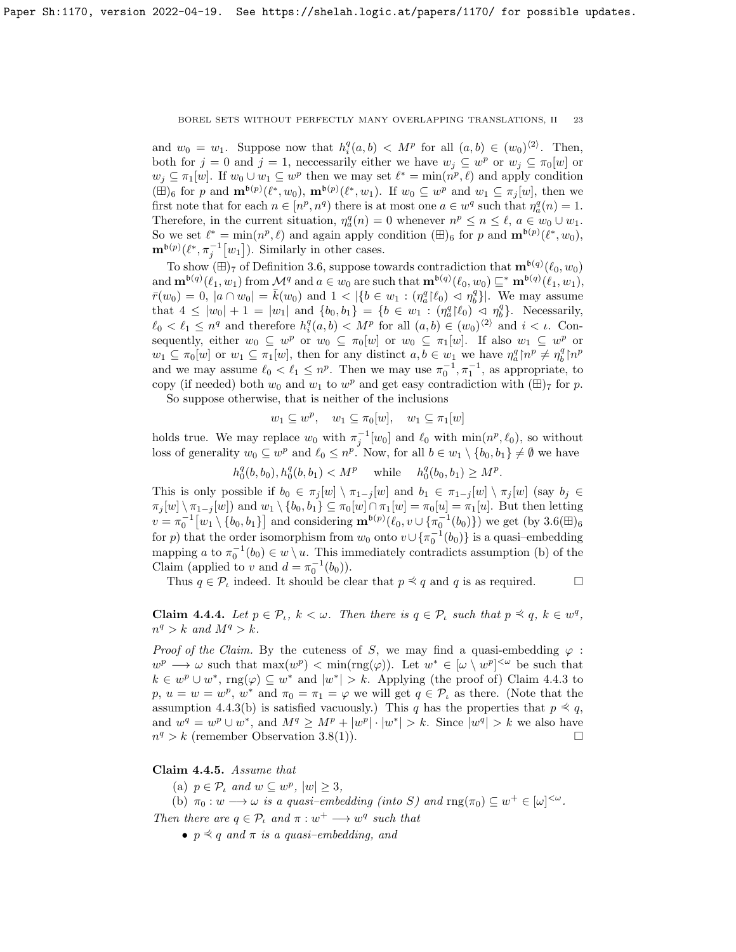and  $w_0 = w_1$ . Suppose now that  $h_i^q(a,b) < M^p$  for all  $(a,b) \in (w_0)^{\langle 2 \rangle}$ . Then, both for  $j = 0$  and  $j = 1$ , necessarily either we have  $w_j \subseteq w^p$  or  $w_j \subseteq \pi_0[w]$  or  $w_j \subseteq \pi_1[w]$ . If  $w_0 \cup w_1 \subseteq w^p$  then we may set  $\ell^* = \min(n^p, \ell)$  and apply condition  $(\boxplus)_6$  for p and  $\mathbf{m}^{b(p)}(\ell^*, w_0)$ ,  $\mathbf{m}^{b(p)}(\ell^*, w_1)$ . If  $w_0 \subseteq w^p$  and  $w_1 \subseteq \pi_j[w]$ , then we first note that for each  $n \in [n^p, n^q)$  there is at most one  $a \in w^q$  such that  $\eta_a^q(n) = 1$ . Therefore, in the current situation,  $\eta_a^q(n) = 0$  whenever  $n^p \le n \le \ell$ ,  $a \in w_0 \cup w_1$ . So we set  $\ell^* = \min(n^p, \ell)$  and again apply condition  $(\boxplus)_6$  for p and  $\mathbf{m}^{b(p)}(\ell^*, w_0)$ ,  $\mathbf{m}^{b(p)}(\ell^*, \pi_j^{-1}[w_1])$ . Similarly in other cases.

To show  $(\boxplus)_{7}$  of Definition 3.6, suppose towards contradiction that  $\mathbf{m}^{b(q)}(\ell_0, w_0)$ and  $\mathbf{m}^{b(q)}(\ell_1, w_1)$  from  $\mathcal{M}^q$  and  $a \in w_0$  are such that  $\mathbf{m}^{b(q)}(\ell_0, w_0) \sqsubseteq^* \mathbf{m}^{b(q)}(\ell_1, w_1)$ ,  $\bar{r}(w_0) = 0$ ,  $|a \cap w_0| = \bar{k}(w_0)$  and  $1 < |\{b \in w_1 : (\eta_a^q | \ell_0) < \eta_b^q\}|$ . We may assume that  $4 \le |w_0| + 1 = |w_1|$  and  $\{b_0, b_1\} = \{b \in w_1 : (\eta_a^q | \ell_0) \le \eta_b^q\}$ . Necessarily,  $\ell_0 < \ell_1 \leq n^q$  and therefore  $h_i^q(a, b) < M^p$  for all  $(a, b) \in (w_0)^{\langle 2 \rangle}$  and  $i < \iota$ . Consequently, either  $w_0 \subseteq w^p$  or  $w_0 \subseteq \pi_0[w]$  or  $w_0 \subseteq \pi_1[w]$ . If also  $w_1 \subseteq w^p$  or  $w_1 \subseteq \pi_0[w]$  or  $w_1 \subseteq \pi_1[w]$ , then for any distinct  $a, b \in w_1$  we have  $\eta_a^q \upharpoonright n^p \neq \eta_b^q \upharpoonright n^p$ and we may assume  $\ell_0 < \ell_1 \leq n^p$ . Then we may use  $\pi_0^{-1}, \pi_1^{-1}$ , as appropriate, to copy (if needed) both  $w_0$  and  $w_1$  to  $w^p$  and get easy contradiction with  $(\boxplus)_7$  for p.

So suppose otherwise, that is neither of the inclusions

$$
w_1 \subseteq w^p, \quad w_1 \subseteq \pi_0[w], \quad w_1 \subseteq \pi_1[w]
$$

holds true. We may replace  $w_0$  with  $\pi_j^{-1}[w_0]$  and  $\ell_0$  with  $\min(n^p, \ell_0)$ , so without loss of generality  $w_0 \subseteq w^p$  and  $\ell_0 \subseteq n^p$ . Now, for all  $b \in w_1 \setminus \{b_0, b_1\} \neq \emptyset$  we have

 $h_0^q(b, b_0), h_0^q(b, b_1) < M^p$  while  $h_0^q(b_0, b_1) \ge M^p$ .

This is only possible if  $b_0 \in \pi_j[w] \setminus \pi_{1-j}[w]$  and  $b_1 \in \pi_{1-j}[w] \setminus \pi_j[w]$  (say  $b_j \in$  $\pi_j[w] \setminus \pi_{1-j}[w]$  and  $w_1 \setminus \{b_0, b_1\} \subseteq \pi_0[w] \cap \pi_1[w] = \pi_0[u] = \pi_1[u]$ . But then letting  $v = \pi_0^{-1} [w_1 \setminus \{b_0, b_1\}]$  and considering  $\mathbf{m}^{b(p)}(\ell_0, v \cup \{\pi_0^{-1}(b_0)\})$  we get  $(\text{by } 3.6(\text{H})_6$ for p) that the order isomorphism from  $w_0$  onto  $v \cup {\pi_0^{-1}(b_0)}$  is a quasi-embedding mapping a to  $\pi_0^{-1}(b_0) \in w \setminus u$ . This immediately contradicts assumption (b) of the Claim (applied to v and  $d = \pi_0^{-1}(b_0)$ ).

Thus  $q \in \mathcal{P}_t$  indeed. It should be clear that  $p \preceq q$  and q is as required.  $\Box$ 

**Claim 4.4.4.** Let  $p \in \mathcal{P}_t$ ,  $k < \omega$ . Then there is  $q \in \mathcal{P}_t$  such that  $p \preceq q$ ,  $k \in \omega^q$ ,  $n^q > k$  and  $M^q > k$ .

*Proof of the Claim.* By the cuteness of S, we may find a quasi-embedding  $\varphi$ :  $w^p \longrightarrow \omega$  such that  $\max(w^p) < \min(\text{rng}(\varphi))$ . Let  $w^* \in [\omega \setminus w^p]^{<\omega}$  be such that  $k \in w^p \cup w^*$ , rng $(\varphi) \subseteq w^*$  and  $|w^*| > k$ . Applying (the proof of) Claim 4.4.3 to p,  $u = w = w^p$ ,  $w^*$  and  $\pi_0 = \pi_1 = \varphi$  we will get  $q \in \mathcal{P}_\iota$  as there. (Note that the assumption 4.4.3(b) is satisfied vacuously.) This q has the properties that  $p \preceq q$ , and  $w^q = w^p \cup w^*$ , and  $M^q \ge M^p + |w^p| \cdot |w^*| > k$ . Since  $|w^q| > k$  we also have  $n^q > k$  (remember Observation 3.8(1)).

Claim 4.4.5. Assume that

(a)  $p \in \mathcal{P}_\iota$  and  $w \subseteq w^p$ ,  $|w| \geq 3$ ,

(b)  $\pi_0: w \longrightarrow \omega$  is a quasi-embedding (into S) and  $\text{rng}(\pi_0) \subseteq w^+ \in [\omega]^{<\omega}$ . Then there are  $q \in \mathcal{P}_\iota$  and  $\pi : w^+ \longrightarrow w^q$  such that

•  $p \preceq q$  and  $\pi$  is a quasi-embedding, and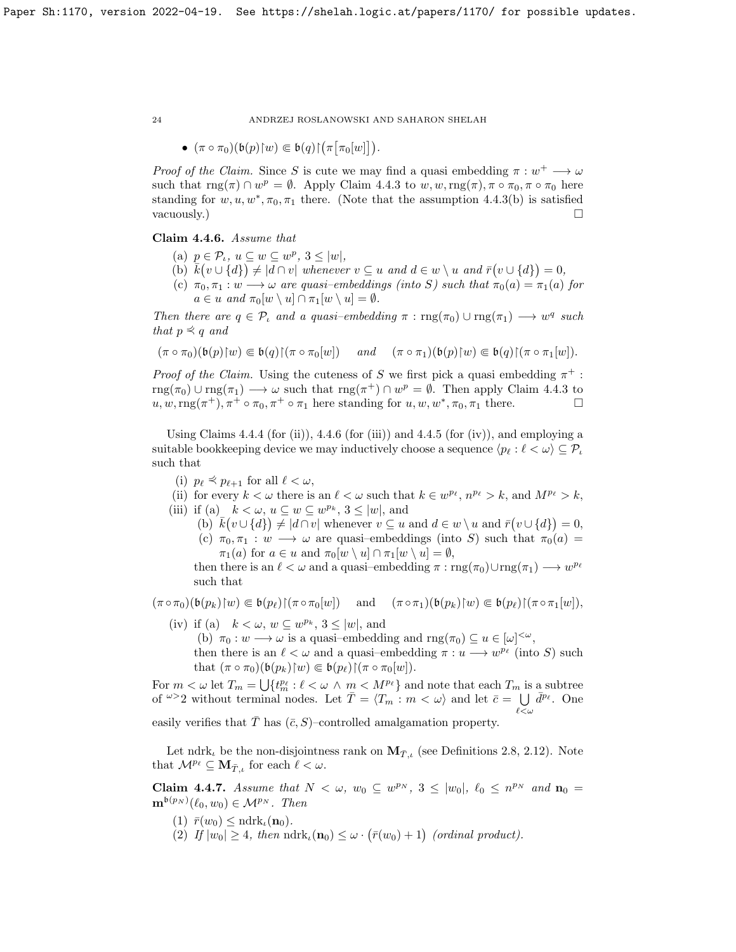$\bullet$   $(\pi \circ \pi_0)(\mathfrak{b}(p)\upharpoonright w) \Subset \mathfrak{b}(q)\upharpoonright (\pi \big[\pi_0[w]\big]).$ 

*Proof of the Claim.* Since S is cute we may find a quasi embedding  $\pi : w^+ \longrightarrow \omega$ such that  $\text{rng}(\pi) \cap w^p = \emptyset$ . Apply Claim 4.4.3 to  $w, w, \text{rng}(\pi), \pi \circ \pi_0, \pi \circ \pi_0$  here standing for  $w, u, w^*, \pi_0, \pi_1$  there. (Note that the assumption 4.4.3(b) is satisfied vacuously.)  $\Box$ 

## Claim 4.4.6. Assume that

- (a)  $p \in \mathcal{P}_t$ ,  $u \subseteq w \subseteq w^p$ ,  $3 \leq |w|$ ,
- (b)  $\bar{k}(v \cup \{d\}) \neq |d \cap v|$  whenever  $v \subseteq u$  and  $d \in w \setminus u$  and  $\bar{r}(v \cup \{d\}) = 0$ ,
- (c)  $\pi_0, \pi_1 : w \longrightarrow \omega$  are quasi-embeddings (into S) such that  $\pi_0(a) = \pi_1(a)$  for  $a \in u$  and  $\pi_0[w \setminus u] \cap \pi_1[w \setminus u] = \emptyset$ .

Then there are  $q \in \mathcal{P}_\iota$  and a quasi-embedding  $\pi : \text{rng}(\pi_0) \cup \text{rng}(\pi_1) \longrightarrow w^q$  such that  $p \preceq q$  and

$$
(\pi \circ \pi_0)(\mathfrak{b}(p){\upharpoonright} w) \in \mathfrak{b}(q){\upharpoonright} (\pi \circ \pi_0[w]) \quad \text{and} \quad (\pi \circ \pi_1)(\mathfrak{b}(p){\upharpoonright} w) \in \mathfrak{b}(q){\upharpoonright} (\pi \circ \pi_1[w]).
$$

*Proof of the Claim.* Using the cuteness of S we first pick a quasi embedding  $\pi^+$ :  $\text{rng}(\pi_0) \cup \text{rng}(\pi_1) \longrightarrow \omega$  such that  $\text{rng}(\pi^+) \cap w^p = \emptyset$ . Then apply Claim 4.4.3 to  $u, w, \text{rng}(\pi^+), \pi^+ \circ \pi_0, \pi^+ \circ \pi_1$  here standing for  $u, w, w^*, \pi_0, \pi_1$  there.

Using Claims  $4.4.4$  (for (ii)),  $4.4.6$  (for (iii)) and  $4.4.5$  (for (iv)), and employing a suitable bookkeeping device we may inductively choose a sequence  $\langle p_\ell : \ell < \omega \rangle \subseteq \mathcal{P}_\iota$ such that

(i)  $p_{\ell} \preceq p_{\ell+1}$  for all  $\ell < \omega$ ,

(ii) for every  $k < \omega$  there is an  $\ell < \omega$  such that  $k \in w^{p_\ell}, n^{p_\ell} > k$ , and  $M^{p_\ell} > k$ ,

- (iii) if (a)  $k < \omega, u \subseteq w \subseteq w^{p_k}, 3 \leq |w|$ , and
	- (b)  $\overline{k}(v \cup \{d\}) \neq |d \cap v|$  whenever  $v \subseteq u$  and  $d \in w \setminus u$  and  $\overline{r}(v \cup \{d\}) = 0$ , (c)  $\pi_0, \pi_1 : w \longrightarrow \omega$  are quasi-embeddings (into S) such that  $\pi_0(a) =$  $\pi_1(a)$  for  $a \in u$  and  $\pi_0[w \setminus u] \cap \pi_1[w \setminus u] = \emptyset$ ,

then there is an  $\ell < \omega$  and a quasi-embedding  $\pi : \text{rng}(\pi_0) \cup \text{rng}(\pi_1) \longrightarrow w^{p_\ell}$ such that

$$
(\pi \circ \pi_0)(\mathfrak{b}(p_k){\upharpoonright} w) \subseteq \mathfrak{b}(p_\ell){\upharpoonright} (\pi \circ \pi_0[w]) \quad \text{ and } \quad (\pi \circ \pi_1)(\mathfrak{b}(p_k){\upharpoonright} w) \in \mathfrak{b}(p_\ell){\upharpoonright} (\pi \circ \pi_1[w]),
$$

- (iv) if (a)  $k < \omega, w \subseteq w^{p_k}, 3 \leq |w|$ , and (b)  $\pi_0 : w \longrightarrow \omega$  is a quasi-embedding and  $\text{rng}(\pi_0) \subseteq u \in [\omega]^{<\omega}$ ,
	- then there is an  $\ell < \omega$  and a quasi-embedding  $\pi : u \longrightarrow w^{p_{\ell}}$  (into S) such that  $(\pi \circ \pi_0)(\mathfrak{b}(p_k)|w) \in \mathfrak{b}(p_\ell)[(\pi \circ \pi_0[w]).$

For  $m < \omega$  let  $T_m = \bigcup \{t_m^{p_\ell} : \ell < \omega \wedge m \leq M^{p_\ell}\}\$  and note that each  $T_m$  is a subtree of  $\omega > 2$  without terminal nodes. Let  $\overline{T} = \langle T_m : m < \omega \rangle$  and let  $\overline{c} = \bigcup \overline{d}^{p_\ell}$ . One  $\ell<\omega$ 

easily verifies that  $\overline{T}$  has  $(\overline{c}, S)$ –controlled amalgamation property.

Let ndrk<sub>l</sub> be the non-disjointness rank on  $M_{\bar{T},i}$  (see Definitions 2.8, 2.12). Note that  $\mathcal{M}^{p_\ell} \subseteq \mathbf{M}_{\bar{T},\iota}$  for each  $\ell < \omega$ .

**Claim 4.4.7.** Assume that  $N < \omega$ ,  $w_0 \subseteq w^{p_N}$ ,  $3 \le |w_0|$ ,  $\ell_0 \le n^{p_N}$  and  $n_0 =$  $\mathbf{m}^{\mathfrak{b}(p_N)}(\ell_0,w_0) \in \mathcal{M}^{p_N}$ . Then

- (1)  $\bar{r}(w_0) \leq \text{ndrk}_t(\mathbf{n}_0)$ .
- (2) If  $|w_0| \geq 4$ , then  $\mathrm{ndrk}_t(\mathbf{n}_0) \leq \omega \cdot (\bar{r}(w_0) + 1)$  (ordinal product).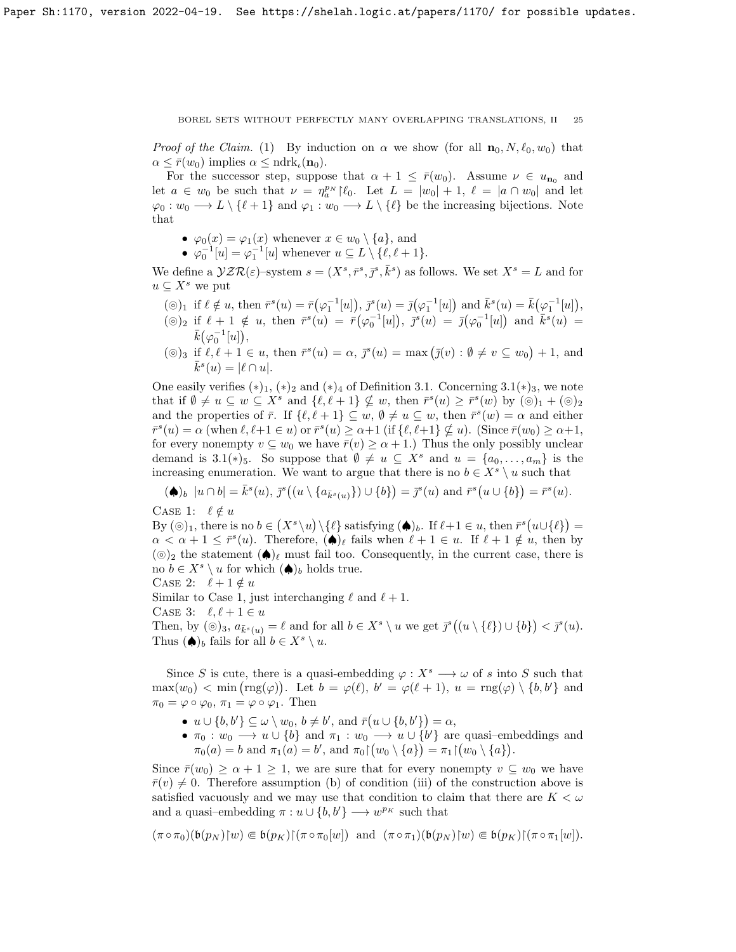*Proof of the Claim.* (1) By induction on  $\alpha$  we show (for all  $\mathbf{n}_0, N, \ell_0, w_0$ ) that  $\alpha \leq \bar{r}(w_0)$  implies  $\alpha \leq \text{ndrk}_t(\mathbf{n}_0)$ .

For the successor step, suppose that  $\alpha + 1 \leq \bar{r}(w_0)$ . Assume  $\nu \in u_{n_0}$  and let  $a \in w_0$  be such that  $\nu = \eta_a^{p_N} \upharpoonright \ell_0$ . Let  $L = |w_0| + 1$ ,  $\ell = |a \cap w_0|$  and let  $\varphi_0 : w_0 \longrightarrow L \setminus \{ \ell + 1 \}$  and  $\varphi_1 : w_0 \longrightarrow L \setminus \{ \ell \}$  be the increasing bijections. Note that

- $\varphi_0(x) = \varphi_1(x)$  whenever  $x \in w_0 \setminus \{a\}$ , and
- $\varphi_0^{-1}[u] = \varphi_1^{-1}[u]$  whenever  $u \subseteq L \setminus \{\ell, \ell + 1\}.$

We define a  $\mathcal{YZR}(\varepsilon)$ -system  $s = (X^s, \bar{r}^s, \bar{j}^s, \bar{k}^s)$  as follows. We set  $X^s = L$  and for  $u \subseteq X^s$  we put

- $(\circledcirc)_1$  if  $\ell \notin u$ , then  $\bar{r}^s(u) = \bar{r}(\varphi_1^{-1}[u]),$   $\bar{j}^s(u) = \bar{j}(\varphi_1^{-1}[u])$  and  $\bar{k}^s(u) = \bar{k}(\varphi_1^{-1}[u]),$
- $(\circledcirc)_2$  if  $\ell + 1 \notin u$ , then  $\bar{r}^s(u) = \bar{r}(\varphi_0^{-1}[u])$ ,  $\bar{r}^s(u) = \bar{j}(\varphi_0^{-1}[u])$  and  $\bar{k}^s(u) =$  $\bar{k}(\varphi_0^{-1}[u]),$
- ( $\circledcirc$ )<sub>3</sub> if  $\ell, \ell + 1 \in u$ , then  $\bar{r}^s(u) = \alpha$ ,  $\bar{j}^s(u) = \max(\bar{j}(v) : \emptyset \neq v \subseteq w_0) + 1$ , and  $\bar{k}^s(u) = |\ell \cap u|.$

One easily verifies  $(*)_1$ ,  $(*)_2$  and  $(*)_4$  of Definition 3.1. Concerning 3.1 $(*)_3$ , we note that if  $\emptyset \neq u \subseteq w \subseteq X^s$  and  $\{\ell, \ell + 1\} \nsubseteq w$ , then  $\bar{r}^s(u) \geq \bar{r}^s(w)$  by  $(\circledcirc)_1 + (\circledcirc)_2$ and the properties of  $\bar{r}$ . If  $\{\ell, \ell + 1\} \subseteq w$ ,  $\emptyset \neq u \subseteq w$ , then  $\bar{r}^s(w) = \alpha$  and either  $\overline{r}^s(u) = \alpha$  (when  $\ell, \ell+1 \in u$ ) or  $\overline{r}^s(u) \ge \alpha+1$  (if  $\{\ell, \ell+1\} \nsubseteq u$ ). (Since  $\overline{r}(w_0) \ge \alpha+1$ , for every nonempty  $v \subseteq w_0$  we have  $\overline{r}(v) \ge \alpha + 1$ .) Thus the only possibly unclear demand is 3.1(\*)<sub>5</sub>. So suppose that  $\emptyset \neq u \subseteq X^s$  and  $u = \{a_0, \ldots, a_m\}$  is the increasing enumeration. We want to argue that there is no  $b \in X^s \setminus u$  such that

 $(\spadesuit)_b \; |u \cap b| = \bar{k}^s(u), \bar{j}^s((u \setminus \{a_{\bar{k}^s(u)}\}) \cup \{b\}) = \bar{j}^s(u) \text{ and } \bar{r}^s(u \cup \{b\}) = \bar{r}^s(u).$ CASE 1:  $\ell \notin u$ 

By  $(\circledcirc)_1$ , there is no  $b \in (X^s \setminus u) \setminus \{\ell\}$  satisfying  $(\spadesuit)_b$ . If  $\ell+1 \in u$ , then  $\bar{r}^s(u \cup \{\ell\}) =$  $\alpha < \alpha + 1 \leq \bar{r}^s(u)$ . Therefore,  $(\spadesuit)_\ell$  fails when  $\ell + 1 \in u$ . If  $\ell + 1 \notin u$ , then by  $(\circledcirc)_2$  the statement  $(\spadesuit)_\ell$  must fail too. Consequently, in the current case, there is no  $b \in X^s \setminus u$  for which  $(\spadesuit)_b$  holds true.

CASE 2:  $\ell + 1 \notin u$ 

Similar to Case 1, just interchanging  $\ell$  and  $\ell + 1$ .

CASE 3:  $\ell, \ell + 1 \in u$ 

Then, by  $(\circledcirc)_3$ ,  $a_{\bar{k}^s(u)} = \ell$  and for all  $b \in X^s \setminus u$  we get  $\bar{\jmath}^s((u \setminus {\ell}) \cup \{b\}) < \bar{\jmath}^s(u)$ . Thus  $(\spadesuit)_b$  fails for all  $b \in X^s \setminus u$ .

Since S is cute, there is a quasi-embedding  $\varphi: X^s \longrightarrow \omega$  of s into S such that  $\max(w_0) < \min(\text{rng}(\varphi))$ . Let  $b = \varphi(\ell), b' = \varphi(\ell+1), u = \text{rng}(\varphi) \setminus \{b, b'\}$  and  $\pi_0 = \varphi \circ \varphi_0, \, \pi_1 = \varphi \circ \varphi_1.$  Then

- $u \cup \{b, b'\} \subseteq \omega \setminus w_0, b \neq b'$ , and  $\overline{r}(u \cup \{b, b'\}) = \alpha$ ,
- $\pi_0: w_0 \longrightarrow u \cup \{b\}$  and  $\pi_1: w_0 \longrightarrow u \cup \{b'\}$  are quasi-embeddings and  $\pi_0(a)=b \text{ and } \pi_1(a)=b', \text{ and } \pi_0{\restriction}(w_0 \setminus \{a\})=\pi_1{\restriction}(w_0 \setminus \{a\}).$

Since  $\bar{r}(w_0) \ge \alpha + 1 \ge 1$ , we are sure that for every nonempty  $v \subseteq w_0$  we have  $\bar{r}(v) \neq 0$ . Therefore assumption (b) of condition (iii) of the construction above is satisfied vacuously and we may use that condition to claim that there are  $K < \omega$ and a quasi–embedding  $\pi: u \cup \{b, b'\} \longrightarrow w^{p_K}$  such that

$$
(\pi \circ \pi_0)(\mathfrak{b}(p_N){\upharpoonright} w) \in \mathfrak{b}(p_K){\upharpoonright} (\pi \circ \pi_0[w]) \text{ and } (\pi \circ \pi_1)(\mathfrak{b}(p_N){\upharpoonright} w) \in \mathfrak{b}(p_K){\upharpoonright} (\pi \circ \pi_1[w]).
$$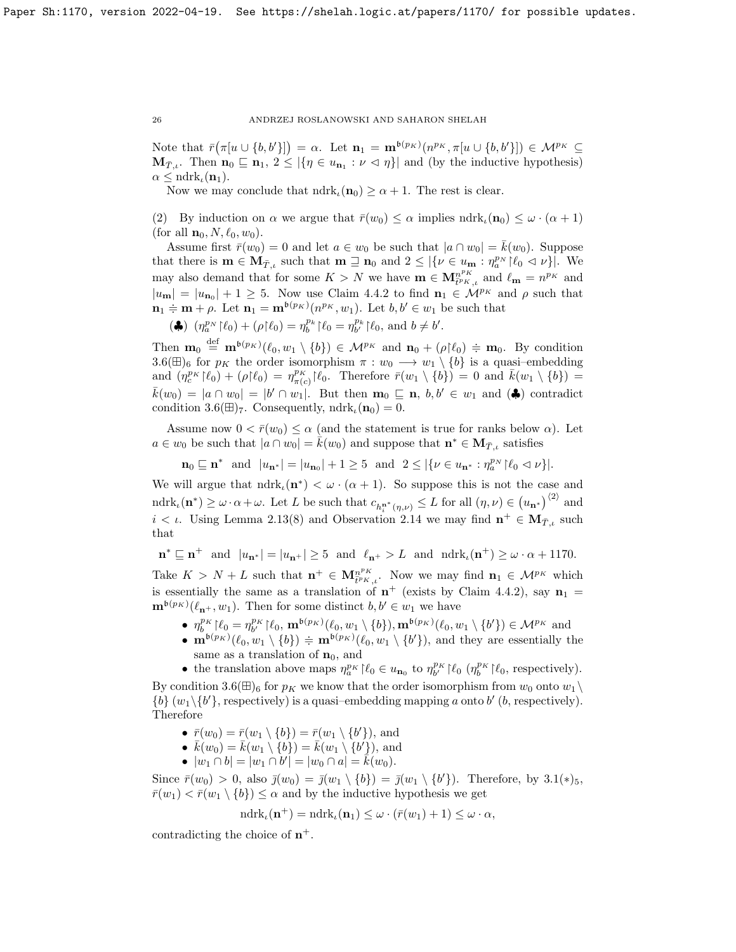Note that  $\bar{r}(\pi[u \cup \{b, b'\}]) = \alpha$ . Let  $\mathbf{n}_1 = \mathbf{m}^{b(p_K)}(n^{p_K}, \pi[u \cup \{b, b'\}]) \in \mathcal{M}^{p_K} \subseteq$  $\mathbf{M}_{\bar{T},\iota}$ . Then  $\mathbf{n}_0 \sqsubseteq \mathbf{n}_1, 2 \leq |\{\eta \in u_{\mathbf{n}_1} : \nu \vartriangleleft \eta\}|$  and (by the inductive hypothesis)  $\alpha \leq \text{ndrk}_{\iota}(\mathbf{n}_1).$ 

Now we may conclude that  $ndrk<sub>\iota</sub>(n<sub>0</sub>) \ge \alpha + 1$ . The rest is clear.

(2) By induction on  $\alpha$  we argue that  $\bar{r}(w_0) \leq \alpha$  implies  $\mathrm{ndrk}_\iota(\mathbf{n}_0) \leq \omega \cdot (\alpha + 1)$ (for all  $\mathbf{n}_0, N, \ell_0, w_0$ ).

Assume first  $\bar{r}(w_0) = 0$  and let  $a \in w_0$  be such that  $|a \cap w_0| = k(w_0)$ . Suppose that there is  $\mathbf{m} \in \mathbf{M}_{\bar{T},\iota}$  such that  $\mathbf{m} \supseteq \mathbf{n}_0$  and  $2 \leq |\{\nu \in u_{\mathbf{m}} : \eta_a^{p_N} | \ell_0 \leq \nu\}|$ . We may also demand that for some  $K > N$  we have  $\mathbf{m} \in \mathbf{M}_{\bar{t}^p K, \mu}^{n^p K}$  and  $\ell_{\mathbf{m}} = n^{p_K}$  and  $|u_{\mathbf{m}}| = |u_{\mathbf{n}_0}| + 1 \geq 5$ . Now use Claim 4.4.2 to find  $\mathbf{n}_1 \in \mathcal{M}^{p_K}$  and  $\rho$  such that  $\mathbf{n}_1 \doteq \mathbf{m} + \rho$ . Let  $\mathbf{n}_1 = \mathbf{m}^{b(p_K)}(n^{p_K}, w_1)$ . Let  $b, b' \in w_1$  be such that

(4)  $(\eta_a^{p_N} | \ell_0) + (\rho | \ell_0) = \eta_b^{p_k} | \ell_0 = \eta_{b'}^{p_k} | \ell_0$ , and  $b \neq b'.$ 

Then  $\mathbf{m}_0 \stackrel{\text{def}}{=} \mathbf{m}^{b(p_K)}(\ell_0, w_1 \setminus \{b\}) \in \mathcal{M}^{p_K}$  and  $\mathbf{n}_0 + (\rho \upharpoonright \ell_0) \doteqdot \mathbf{m}_0$ . By condition 3.6( $\boxplus$ )<sub>6</sub> for  $p_K$  the order isomorphism  $\pi : w_0 \longrightarrow w_1 \setminus \{b\}$  is a quasi-embedding and  $(\eta_c^{p_K}|\ell_0) + (\rho|\ell_0) = \eta_{\pi(c)}^{p_K}|\ell_0$ . Therefore  $\bar{r}(w_1 \setminus \{b\}) = 0$  and  $\bar{k}(w_1 \setminus \{b\}) =$  $\bar{k}(w_0) = |a \cap w_0| = |b' \cap w_1|$ . But then  $\mathbf{m}_0 \sqsubseteq \mathbf{n}, b, b' \in w_1$  and  $(\clubsuit)$  contradict condition 3.6( $\boxplus$ )<sub>7</sub>. Consequently, ndrk<sub>*t*</sub>( $\mathbf{n}_0$ ) = 0.

Assume now  $0 < \bar{r}(w_0) \leq \alpha$  (and the statement is true for ranks below  $\alpha$ ). Let  $a \in w_0$  be such that  $|a \cap w_0| = \hat{k}(w_0)$  and suppose that  $\mathbf{n}^* \in \mathbf{M}_{\bar{T},\iota}$  satisfies

 $\mathbf{n}_0 \sqsubseteq \mathbf{n}^*$  and  $|u_{\mathbf{n}^*}| = |u_{\mathbf{n}_0}| + 1 \geq 5$  and  $2 \leq |\{ \nu \in u_{\mathbf{n}^*} : \eta_a^{p_N} | \ell_0 \lhd \nu \}|.$ 

We will argue that  $ndrk_{\iota}(\mathbf{n}^*) < \omega \cdot (\alpha+1)$ . So suppose this is not the case and ndrk<sub> $\iota(\mathbf{n}^*) \geq \omega \cdot \alpha + \omega$ . Let L be such that  $c_{h_i^{\mathbf{n}^*}(\eta,\nu)} \leq L$  for all  $(\eta,\nu) \in (u_{\mathbf{n}^*})^{(2)}$  and</sub>  $i < \iota$ . Using Lemma 2.13(8) and Observation 2.14 we may find  $\mathbf{n}^+ \in \mathbf{M}_{T,\iota}$  such that

 $\mathbf{n}^* \sqsubseteq \mathbf{n}^+$  and  $|u_{\mathbf{n}^*}| = |u_{\mathbf{n}^+}| \geq 5$  and  $\ell_{\mathbf{n}^+} > L$  and  $\mathrm{ndrk}_\iota(\mathbf{n}^+) \geq \omega \cdot \alpha + 1170$ .

Take  $K > N + L$  such that  $\mathbf{n}^+ \in \mathbf{M}_{\bar{t}^p K, \iota}^{n^p K}$ . Now we may find  $\mathbf{n}_1 \in \mathcal{M}^{p_K}$  which is essentially the same as a translation of  $n^+$  (exists by Claim 4.4.2), say  $n_1 =$  $\mathbf{m}^{b(p_K)}(\ell_{n^+}, w_1)$ . Then for some distinct  $b, b' \in w_1$  we have

- $\eta_b^{p_K}[\ell_0 = \eta_{b'}^{p_K}[\ell_0, \mathbf{m}^{b(p_K)}(\ell_0, w_1 \setminus \{b\}), \mathbf{m}^{b(p_K)}(\ell_0, w_1 \setminus \{b'\}) \in \mathcal{M}^{p_K}$  and
- $\mathbf{m}^{b(p_K)}(\ell_0, w_1 \setminus \{b\}) \doteq \mathbf{m}^{b(p_K)}(\ell_0, w_1 \setminus \{b'\})$ , and they are essentially the same as a translation of  $n_0$ , and
- the translation above maps  $\eta_a^{p_K} | \ell_0 \in u_{\mathbf{n}_0}$  to  $\eta_b^{p_K} | \ell_0 \left( \eta_b^{p_K} | \ell_0 \right)$ , respectively).

By condition 3.6( $\boxplus$ )<sub>6</sub> for  $p_K$  we know that the order isomorphism from  $w_0$  onto  $w_1 \setminus$ {b}  $(w_1 \setminus \{b'\},$  respectively) is a quasi-embedding mapping a onto b' (b, respectively). Therefore

- $\bar{r}(w_0) = \bar{r}(w_1 \setminus \{b\}) = \bar{r}(w_1 \setminus \{b'\})$ , and
- $\overline{k}(w_0) = \overline{k}(w_1 \setminus \{b\}) = \overline{k}(w_1 \setminus \{b'\}),$  and
- $|w_1 \cap b| = |w_1 \cap b'| = |w_0 \cap a| = \tilde{k}(w_0).$

Since  $\bar{r}(w_0) > 0$ , also  $\bar{j}(w_0) = \bar{j}(w_1 \setminus \{b\}) = \bar{j}(w_1 \setminus \{b'\})$ . Therefore, by  $3.1(*)_5$ ,  $\bar{r}(w_1) < \bar{r}(w_1 \setminus \{b\}) \leq \alpha$  and by the inductive hypothesis we get

$$
\mathrm{ndrk}_\iota(\mathbf{n}^+) = \mathrm{ndrk}_\iota(\mathbf{n}_1) \leq \omega \cdot (\bar{r}(w_1) + 1) \leq \omega \cdot \alpha,
$$

contradicting the choice of  $n^+$ .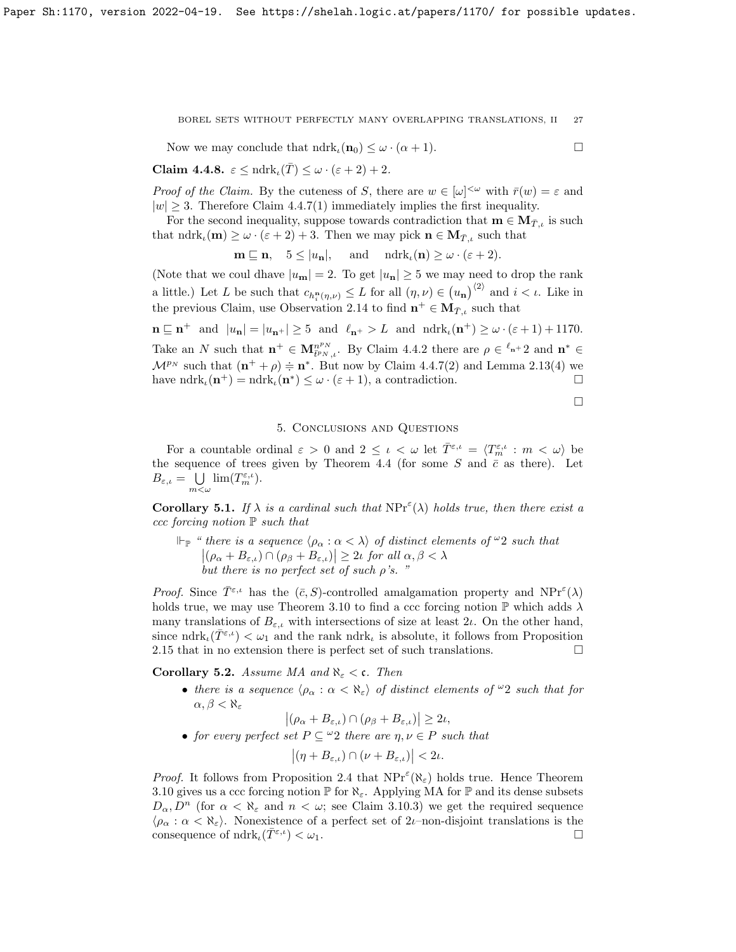Now we may conclude that  $\text{ndrk}_\iota(\mathbf{n}_0) \leq \omega \cdot (\alpha + 1)$ .

$$
\Box
$$

Claim 4.4.8.  $\varepsilon \leq \text{ndrk}_{\iota}(\overline{T}) \leq \omega \cdot (\varepsilon + 2) + 2.$ 

Proof of the Claim. By the cuteness of S, there are  $w \in [\omega]^{<\omega}$  with  $\bar{r}(w) = \varepsilon$  and  $|w| \geq 3$ . Therefore Claim 4.4.7(1) immediately implies the first inequality.

For the second inequality, suppose towards contradiction that  $\mathbf{m} \in \mathbf{M}_{\bar{T},i}$  is such that  $ndrk_{\iota}(\mathbf{m}) \geq \omega \cdot (\varepsilon + 2) + 3$ . Then we may pick  $\mathbf{n} \in \mathbf{M}_{\bar{T},\iota}$  such that

 $\mathbf{m} \sqsubseteq \mathbf{n}, \quad 5 \leq |u_{\mathbf{n}}|, \quad \text{and} \quad \text{ndrk}_{\iota}(\mathbf{n}) \geq \omega \cdot (\varepsilon + 2).$ 

(Note that we coul dhave  $|u_{\mathbf{n}}| = 2$ . To get  $|u_{\mathbf{n}}| \ge 5$  we may need to drop the rank a little.) Let L be such that  $c_{h_i^n(\eta,\nu)} \leq L$  for all  $(\eta,\nu) \in (u_n)^{\langle 2 \rangle}$  and  $i < \iota$ . Like in the previous Claim, use Observation 2.14 to find  $\mathbf{n}^+ \in \mathbf{M}_{\bar{T},\iota}$  such that

 $\mathbf{n} \subseteq \mathbf{n}^+$  and  $|u_{\mathbf{n}}| = |u_{\mathbf{n}^+}| \geq 5$  and  $\ell_{\mathbf{n}^+} > L$  and  $\mathrm{ndrk}_\iota(\mathbf{n}^+) \geq \omega \cdot (\varepsilon + 1) + 1170$ . Take an N such that  $\mathbf{n}^+ \in \mathbf{M}_{\bar{t}^p N,t}^{n^p N}$ . By Claim 4.4.2 there are  $\rho \in \ell_{\mathbf{n}+2}$  and  $\mathbf{n}^* \in$  $\mathcal{M}^{p_N}$  such that  $(\mathbf{n}^+ + \rho) \doteq \mathbf{n}^*$ . But now by Claim 4.4.7(2) and Lemma 2.13(4) we have  $ndrk_{\iota}(\mathbf{n}^+) = ndrk_{\iota}(\mathbf{n}^*) \leq \omega \cdot (\varepsilon + 1)$ , a contradiction.

 $\Box$ 

## 5. Conclusions and Questions

For a countable ordinal  $\varepsilon > 0$  and  $2 \leq \iota < \omega$  let  $\overline{T}^{\varepsilon,\iota} = \langle T_m^{\varepsilon,\iota} : m < \omega \rangle$  be the sequence of trees given by Theorem 4.4 (for some S and  $\bar{c}$  as there). Let  $B_{\varepsilon,\iota} = \cup$  $\bigcup_{m < \omega} \lim (T_m^{\varepsilon,\iota}).$ 

**Corollary 5.1.** If  $\lambda$  is a cardinal such that  $NPr^{\epsilon}(\lambda)$  holds true, then there exist a ccc forcing notion  $\mathbb P$  such that

 $\Vdash_{\mathbb{P}}$  " there is a sequence  $\langle \rho_{\alpha} : \alpha < \lambda \rangle$  of distinct elements of  $\omega_2$  such that  $|(\rho_{\alpha} + B_{\varepsilon,\iota}) \cap (\rho_{\beta} + B_{\varepsilon,\iota})| \geq 2\iota$  for all  $\alpha, \beta < \lambda$ but there is no perfect set of such  $\rho$ 's.

Proof. Since  $\overline{T}^{\varepsilon,\iota}$  has the  $(\overline{c}, S)$ -controlled amalgamation property and  $NPr^{\varepsilon}(\lambda)$ holds true, we may use Theorem 3.10 to find a ccc forcing notion  $\mathbb P$  which adds  $\lambda$ many translations of  $B_{\varepsilon,\iota}$  with intersections of size at least  $2\iota$ . On the other hand, since  $\text{ndrk}_{\iota}(\overline{T}^{\varepsilon,\iota}) < \omega_1$  and the rank  $\text{ndrk}_{\iota}$  is absolute, it follows from Proposition 2.15 that in no extension there is perfect set of such translations.  $\Box$ 

Corollary 5.2. Assume MA and  $\aleph_{\varepsilon} < \mathfrak{c}$ . Then

• there is a sequence  $\langle \rho_\alpha : \alpha < \aleph_\varepsilon \rangle$  of distinct elements of  $\omega_2$  such that for  $\alpha, \beta < \aleph_{\varepsilon}$ 

$$
|(\rho_{\alpha}+B_{\varepsilon,\iota})\cap(\rho_{\beta}+B_{\varepsilon,\iota})|\geq 2\iota,
$$

• for every perfect set  $P \subseteq \omega_2$  there are  $\eta, \nu \in P$  such that

$$
|(\eta + B_{\varepsilon,\iota}) \cap (\nu + B_{\varepsilon,\iota})| < 2\iota.
$$

*Proof.* It follows from Proposition 2.4 that  $NPr^{\epsilon}(\aleph_{\epsilon})$  holds true. Hence Theorem 3.10 gives us a ccc forcing notion  $\mathbb P$  for  $\aleph_{\varepsilon}$ . Applying MA for  $\mathbb P$  and its dense subsets  $D_{\alpha}, D^{n}$  (for  $\alpha < \aleph_{\varepsilon}$  and  $n < \omega$ ; see Claim 3.10.3) we get the required sequence  $\langle \rho_{\alpha} : \alpha < \aleph_{\varepsilon} \rangle$ . Nonexistence of a perfect set of 2*ι*–non-disjoint translations is the consequence of  $\mathrm{ndrk}_\iota(\overline{T^{\varepsilon,\iota}}) < \omega_1$ .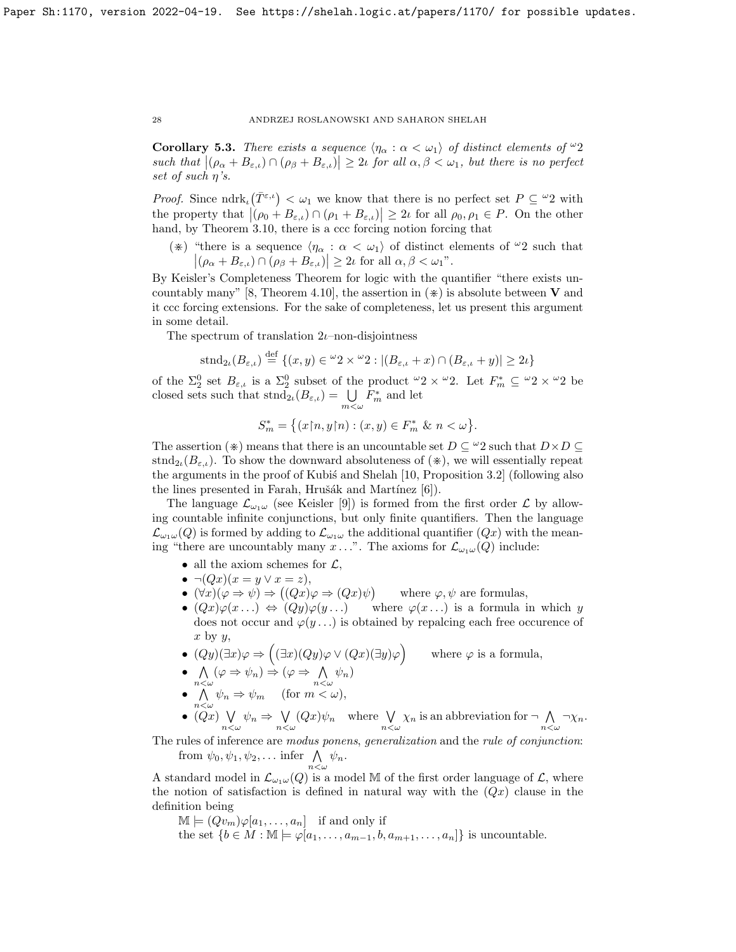**Corollary 5.3.** There exists a sequence  $\langle \eta_{\alpha} : \alpha \langle \omega_1 \rangle$  of distinct elements of  $\omega_2$ such that  $|(\rho_{\alpha} + B_{\varepsilon,\iota}) \cap (\rho_{\beta} + B_{\varepsilon,\iota})| \geq 2\iota$  for all  $\alpha, \beta < \omega_1$ , but there is no perfect set of such  $\eta$ 's.

*Proof.* Since  $ndrk_{\iota}(\overline{T}^{\varepsilon,\iota}) < \omega_1$  we know that there is no perfect set  $P \subseteq {}^{\omega}2$  with the property that  $|( \rho_0 + B_{\varepsilon,\iota}) \cap (\rho_1 + B_{\varepsilon,\iota}) | \geq 2\iota$  for all  $\rho_0, \rho_1 \in P$ . On the other hand, by Theorem 3.10, there is a ccc forcing notion forcing that

(\*) "there is a sequence  $\langle \eta_\alpha : \alpha < \omega_1 \rangle$  of distinct elements of  $\omega_2$  such that  $|(\rho_{\alpha} + B_{\varepsilon,\iota}) \cap (\rho_{\beta} + B_{\varepsilon,\iota})| \geq 2\iota \text{ for all } \alpha, \beta < \omega_1$ ".

By Keisler's Completeness Theorem for logic with the quantifier "there exists uncountably many" [8, Theorem 4.10], the assertion in  $(\ast)$  is absolute between **V** and it ccc forcing extensions. For the sake of completeness, let us present this argument in some detail.

The spectrum of translation  $2\nu$ –non-disjointness

$$
\text{stnd}_{2\iota}(B_{\varepsilon,\iota}) \stackrel{\text{def}}{=} \{(x,y) \in {}^{\omega}2 \times {}^{\omega}2 : |(B_{\varepsilon,\iota} + x) \cap (B_{\varepsilon,\iota} + y)| \ge 2\iota\}
$$

of the  $\Sigma^0_2$  set  $B_{\varepsilon,\iota}$  is a  $\Sigma^0_2$  subset of the product  $\omega_2 \times \omega_2$ . Let  $F_m^* \subseteq \omega_2 \times \omega_2$  be closed sets such that  $\text{strd}_{2\iota}(B_{\varepsilon,\iota}) = \bigcup_{m \leq \omega} F_m^*$  and let

$$
S_m^* = \big\{ (x \upharpoonright n, y \upharpoonright n) : (x, y) \in F_m^* \& n < \omega \big\}.
$$

The assertion ( $\ast$ ) means that there is an uncountable set  $D \subseteq {}^{\omega}2$  such that  $D \times D \subseteq$  $\text{strd}_{2i}(B_{\varepsilon,i})$ . To show the downward absoluteness of  $(\divideontimes)$ , we will essentially repeat the arguments in the proof of Kubis and Shelah [10, Proposition 3.2] (following also the lines presented in Farah, Hrušák and Martínez  $[6]$ .

The language  $\mathcal{L}_{\omega_1\omega}$  (see Keisler [9]) is formed from the first order  $\mathcal{L}$  by allowing countable infinite conjunctions, but only finite quantifiers. Then the language  $\mathcal{L}_{\omega_1\omega}(Q)$  is formed by adding to  $\mathcal{L}_{\omega_1\omega}$  the additional quantifier  $(Qx)$  with the meaning "there are uncountably many x...". The axioms for  $\mathcal{L}_{\omega_1\omega}(Q)$  include:

- all the axiom schemes for  $\mathcal{L}$ ,
- $\bullet \ \neg (Qx)(x=y \lor x=z),$
- $(\forall x)(\varphi \Rightarrow \psi) \Rightarrow ((Qx)\varphi \Rightarrow (Qx)\psi)$ where  $\varphi, \psi$  are formulas,
- $(Qx)\varphi(x...) \Leftrightarrow (Qy)\varphi(y...)$  where  $\varphi(x...)$  is a formula in which y does not occur and  $\varphi(y \dots)$  is obtained by repalcing each free occurence of  $x$  by  $y$ ,
- $(Qy)(\exists x)\varphi \Rightarrow ((\exists x)(Qy)\varphi \vee (Qx)(\exists y)\varphi)$  where  $\varphi$  is a formula,
- $\bullet$   $\land$  $\bigwedge_{n<\omega} (\varphi \Rightarrow \psi_n) \Rightarrow (\varphi \Rightarrow \bigwedge_{n<\omega}$  $\bigwedge_{n<\omega}\psi_n)$
- $\bullet$   $\land$  $\bigwedge_{n<\omega}\psi_n \Rightarrow \psi_m$  (for  $m<\omega$ ),
- $\bullet$   $(Qx) \ \bigvee$  $\bigvee_{n<\omega}\psi_n \Rightarrow \bigvee_{n<\omega}$  $\bigvee_{n<\omega} (Qx)\psi_n$  where  $\bigvee_{n<\omega} \chi_n$  is an abbreviation for  $\neg \bigwedge_{n<\omega}$  $\bigwedge_{n<\omega}\neg\chi_n.$

The rules of inference are modus ponens, generalization and the rule of conjunction: from  $\psi_0, \psi_1, \psi_2, \ldots$  infer  $\bigwedge_{n < \omega} \psi_n$ .

A standard model in  $\mathcal{L}_{\omega_1\omega}(Q)$  is a model M of the first order language of  $\mathcal{L}$ , where the notion of satisfaction is defined in natural way with the  $(Qx)$  clause in the definition being

 $\mathbb{M} \models (Qv_m)\varphi[a_1,\ldots,a_n]$  if and only if

the set  $\{b \in M : \mathbb{M} \models \varphi[a_1, \ldots, a_{m-1}, b, a_{m+1}, \ldots, a_n]\}$  is uncountable.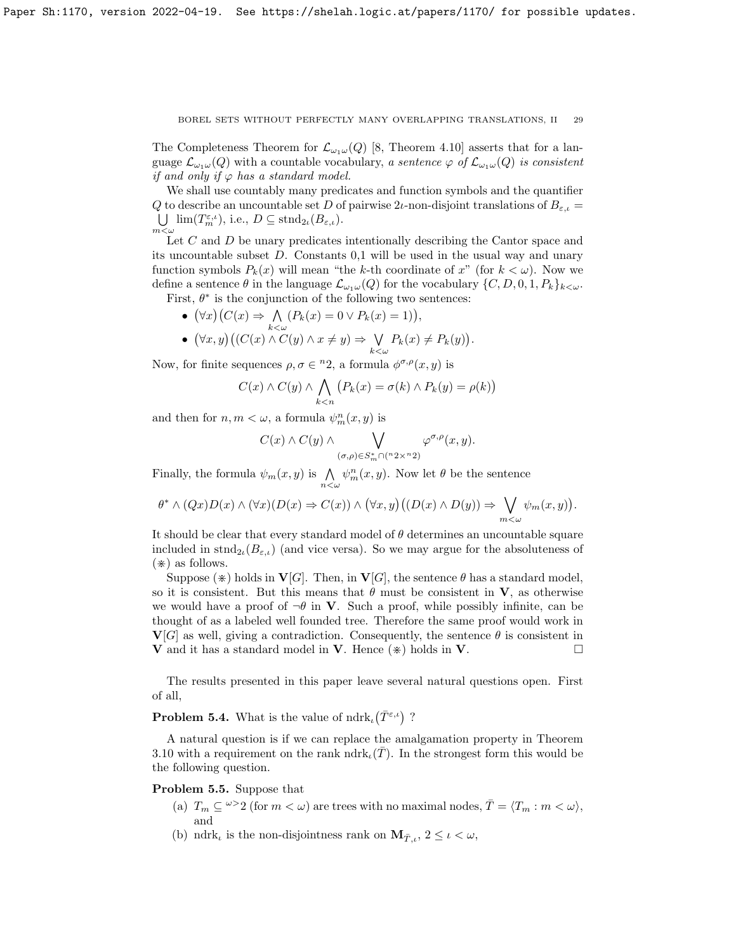The Completeness Theorem for  $\mathcal{L}_{\omega_1\omega}(Q)$  [8, Theorem 4.10] asserts that for a language  $\mathcal{L}_{\omega_1\omega}(Q)$  with a countable vocabulary, a sentence  $\varphi$  of  $\mathcal{L}_{\omega_1\omega}(Q)$  is consistent if and only if  $\varphi$  has a standard model.

We shall use countably many predicates and function symbols and the quantifier Q to describe an uncountable set D of pairwise 2*ι*-non-disjoint translations of  $B_{\varepsilon,\iota} =$  $\bigcup$   $\lim(T_m^{\varepsilon,\iota})$ , i.e.,  $D \subseteq \text{stnd}_{2\iota}(B_{\varepsilon,\iota})$ .  $m<\omega$ 

Let C and D be unary predicates intentionally describing the Cantor space and its uncountable subset D. Constants 0,1 will be used in the usual way and unary function symbols  $P_k(x)$  will mean "the k-th coordinate of x" (for  $k < \omega$ ). Now we define a sentence  $\theta$  in the language  $\mathcal{L}_{\omega_1\omega}(Q)$  for the vocabulary  $\{C, D, 0, 1, P_k\}_{k\lt\omega}$ . First,  $\theta^*$  is the conjunction of the following two sentences:

•  $(\forall x)(C(x) \Rightarrow \wedge)$  $\bigwedge_{k<\omega} (P_k(x) = 0 \vee P_k(x) = 1)\big),$ 

• 
$$
(\forall x, y) ((C(x) \land C(y) \land x \neq y) \Rightarrow \bigvee_{k < \omega} P_k(x) \neq P_k(y)).
$$

Now, for finite sequences  $\rho, \sigma \in {}^n 2$ , a formula  $\phi^{\sigma,\rho}(x, y)$  is

$$
C(x) \wedge C(y) \wedge \bigwedge_{k < n} \big(P_k(x) = \sigma(k) \wedge P_k(y) = \rho(k)\big)
$$

and then for  $n, m < \omega$ , a formula  $\psi_m^n(x, y)$  is

$$
C(x) \wedge C(y) \wedge \bigvee_{(\sigma,\rho) \in S_m^* \cap (n \cdot 2 \times n \cdot 2)} \varphi^{\sigma,\rho}(x,y).
$$

Finally, the formula  $\psi_m(x, y)$  is  $\bigwedge_{n < \omega} \psi_m^n(x, y)$ . Now let  $\theta$  be the sentence

$$
\theta^* \wedge (Qx)D(x) \wedge (\forall x)(D(x) \Rightarrow C(x)) \wedge (\forall x, y)((D(x) \wedge D(y)) \Rightarrow \bigvee_{m < \omega} \psi_m(x, y)).
$$

It should be clear that every standard model of  $\theta$  determines an uncountable square included in  $\text{strd}_{2i}(B_{\varepsilon,i})$  (and vice versa). So we may argue for the absoluteness of  $(\divideontimes)$  as follows.

Suppose ( $\ast$ ) holds in **V**[G]. Then, in **V**[G], the sentence  $\theta$  has a standard model, so it is consistent. But this means that  $\theta$  must be consistent in V, as otherwise we would have a proof of  $\neg \theta$  in **V**. Such a proof, while possibly infinite, can be thought of as a labeled well founded tree. Therefore the same proof would work in  $V[G]$  as well, giving a contradiction. Consequently, the sentence  $\theta$  is consistent in **V** and it has a standard model in **V**. Hence  $(\ast)$  holds in **V**.

The results presented in this paper leave several natural questions open. First of all,

**Problem 5.4.** What is the value of  $\text{ndrk}_{\iota}(\bar{T}^{\varepsilon,\iota})$ ?

A natural question is if we can replace the amalgamation property in Theorem 3.10 with a requirement on the rank ndrk<sub> $\iota(\bar{T})$ </sub>. In the strongest form this would be the following question.

Problem 5.5. Suppose that

- (a)  $T_m \subseteq \omega > 2$  (for  $m < \omega$ ) are trees with no maximal nodes,  $\overline{T} = \langle T_m : m < \omega \rangle$ , and
- (b) ndrk<sub>*i*</sub> is the non-disjointness rank on  $\mathbf{M}_{\bar{T},i}$ ,  $2 \leq i \leq \omega$ ,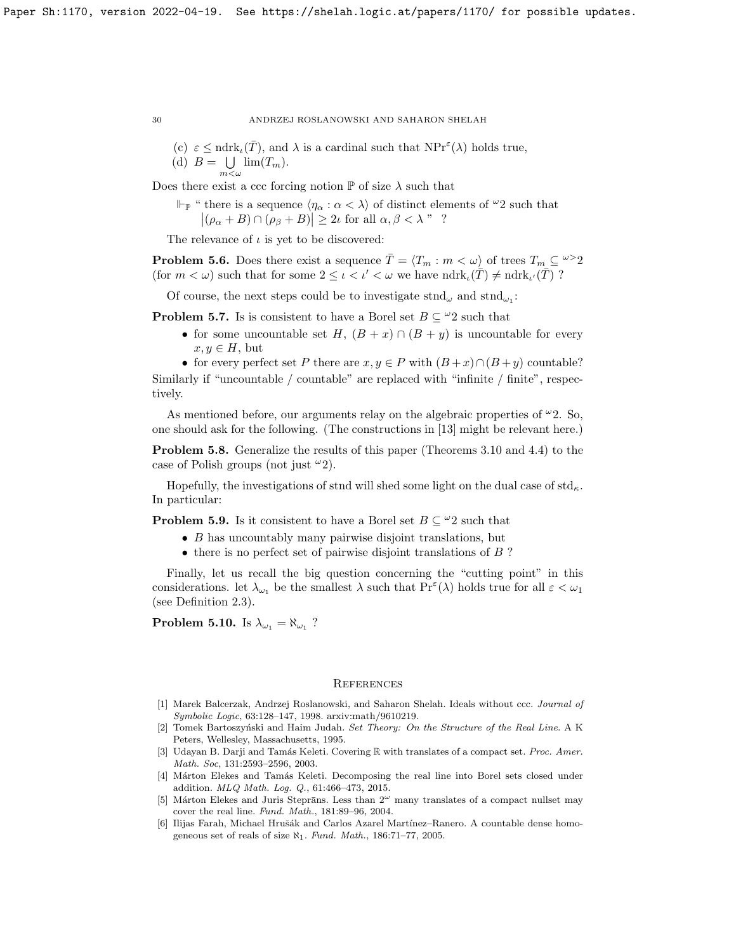(c)  $\varepsilon \leq \text{ndrk}_{\iota}(\overline{T})$ , and  $\lambda$  is a cardinal such that  $\text{NPr}^{\varepsilon}(\lambda)$  holds true, (d)  $B = \bigcup \lim(T_m)$ .  $m<\omega$ 

Does there exist a ccc forcing notion  $\mathbb P$  of size  $\lambda$  such that

 $\Vdash_{\mathbb{P}}$  " there is a sequence  $\langle \eta_{\alpha} : \alpha < \lambda \rangle$  of distinct elements of  $\omega_2$  such that  $|(\rho_{\alpha} + B) \cap (\rho_{\beta} + B)| \ge 2\iota$  for all  $\alpha, \beta < \lambda$ "?

The relevance of  $\iota$  is yet to be discovered:

**Problem 5.6.** Does there exist a sequence  $\overline{T} = \langle T_m : m \langle \omega \rangle$  of trees  $T_m \subseteq \omega > 2$ (for  $m < \omega$ ) such that for some  $2 \leq \iota < \iota' < \omega$  we have  $ndrk_{\iota}(\overline{T}) \neq ndrk_{\iota'}(\overline{T})$ ?

Of course, the next steps could be to investigate  $\text{strd}_{\omega}$  and  $\text{strd}_{\omega_1}$ :

**Problem 5.7.** Is is consistent to have a Borel set  $B \subseteq \mathcal{L}2$  such that

• for some uncountable set H,  $(B + x) \cap (B + y)$  is uncountable for every  $x, y \in H$ , but

• for every perfect set P there are  $x, y \in P$  with  $(B+x) \cap (B+y)$  countable? Similarly if "uncountable / countable" are replaced with "infinite / finite", respectively.

As mentioned before, our arguments relay on the algebraic properties of  $\omega$ 2. So, one should ask for the following. (The constructions in [13] might be relevant here.)

Problem 5.8. Generalize the results of this paper (Theorems 3.10 and 4.4) to the case of Polish groups (not just  $\omega_2$ ).

Hopefully, the investigations of stnd will shed some light on the dual case of  $\text{std}_{\kappa}$ . In particular:

**Problem 5.9.** Is it consistent to have a Borel set  $B \subseteq \mathcal{L}2$  such that

- B has uncountably many pairwise disjoint translations, but
- there is no perfect set of pairwise disjoint translations of B?

Finally, let us recall the big question concerning the "cutting point" in this considerations. let  $\lambda_{\omega_1}$  be the smallest  $\lambda$  such that  $Pr^{\varepsilon}(\lambda)$  holds true for all  $\varepsilon < \omega_1$ (see Definition 2.3).

**Problem 5.10.** Is  $\lambda_{\omega_1} = \aleph_{\omega_1}$  ?

#### **REFERENCES**

- [1] Marek Balcerzak, Andrzej Roslanowski, and Saharon Shelah. Ideals without ccc. Journal of Symbolic Logic, 63:128–147, 1998. arxiv:math/9610219.
- [2] Tomek Bartoszyński and Haim Judah. Set Theory: On the Structure of the Real Line. A K Peters, Wellesley, Massachusetts, 1995.
- [3] Udayan B. Darji and Tamás Keleti. Covering  $\mathbb R$  with translates of a compact set. Proc. Amer. Math. Soc, 131:2593–2596, 2003.
- [4] Márton Elekes and Tamás Keleti. Decomposing the real line into Borel sets closed under addition. MLQ Math. Log. Q., 61:466–473, 2015.
- [5] Márton Elekes and Juris Steprāns. Less than  $2^{\omega}$  many translates of a compact nullset may cover the real line. Fund. Math., 181:89–96, 2004.
- [6] Ilijas Farah, Michael Hrušák and Carlos Azarel Martínez–Ranero. A countable dense homogeneous set of reals of size  $\aleph_1$ . Fund. Math., 186:71-77, 2005.